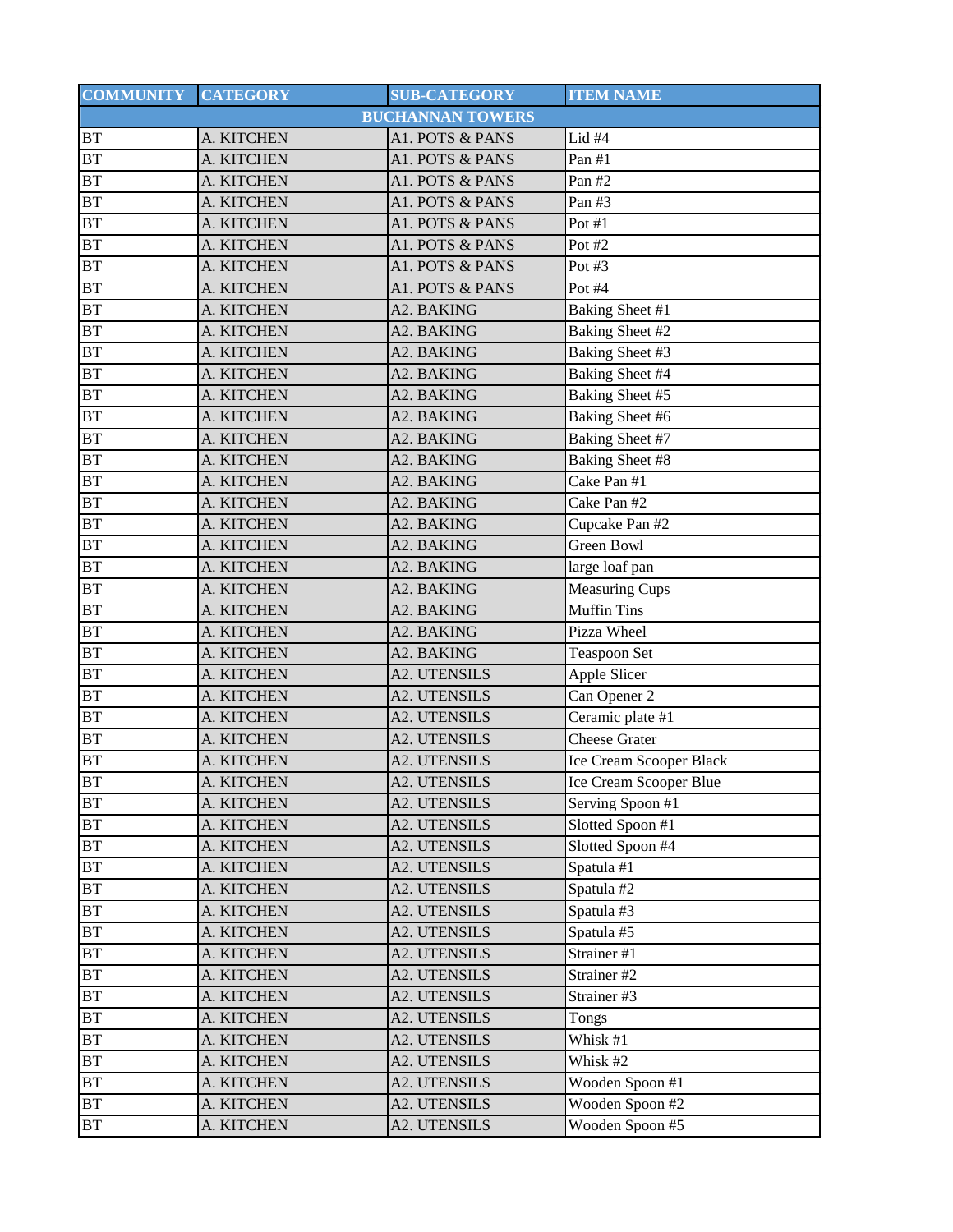| <b>COMMUNITY</b> | <b>CATEGORY</b> | <b>SUB-CATEGORY</b>     | <b>ITEM NAME</b>        |
|------------------|-----------------|-------------------------|-------------------------|
|                  |                 | <b>BUCHANNAN TOWERS</b> |                         |
| <b>BT</b>        | A. KITCHEN      | A1. POTS & PANS         | Lid #4                  |
| <b>BT</b>        | A. KITCHEN      | A1. POTS & PANS         | Pan $#1$                |
| BT               | A. KITCHEN      | A1. POTS & PANS         | Pan #2                  |
| <b>BT</b>        | A. KITCHEN      | A1. POTS & PANS         | Pan #3                  |
| <b>BT</b>        | A. KITCHEN      | A1. POTS & PANS         | Pot #1                  |
| <b>BT</b>        | A. KITCHEN      | A1. POTS & PANS         | Pot #2                  |
| BT               | A. KITCHEN      | A1. POTS & PANS         | Pot $#3$                |
| <b>BT</b>        | A. KITCHEN      | A1. POTS & PANS         | Pot #4                  |
| <b>BT</b>        | A. KITCHEN      | A2. BAKING              | Baking Sheet #1         |
| <b>BT</b>        | A. KITCHEN      | A2. BAKING              | Baking Sheet #2         |
| <b>BT</b>        | A. KITCHEN      | A2. BAKING              | Baking Sheet #3         |
| <b>BT</b>        | A. KITCHEN      | A2. BAKING              | <b>Baking Sheet #4</b>  |
| <b>BT</b>        | A. KITCHEN      | A2. BAKING              | <b>Baking Sheet #5</b>  |
| <b>BT</b>        | A. KITCHEN      | A2. BAKING              | <b>Baking Sheet #6</b>  |
| <b>BT</b>        | A. KITCHEN      | A2. BAKING              | <b>Baking Sheet #7</b>  |
| <b>BT</b>        | A. KITCHEN      | A2. BAKING              | <b>Baking Sheet #8</b>  |
| <b>BT</b>        | A. KITCHEN      | A2. BAKING              | Cake Pan #1             |
| <b>BT</b>        | A. KITCHEN      | A2. BAKING              | Cake Pan #2             |
| <b>BT</b>        | A. KITCHEN      | A2. BAKING              | Cupcake Pan #2          |
| <b>BT</b>        | A. KITCHEN      | A2. BAKING              | Green Bowl              |
| <b>BT</b>        | A. KITCHEN      | A2. BAKING              | large loaf pan          |
| <b>BT</b>        | A. KITCHEN      | A2. BAKING              | <b>Measuring Cups</b>   |
| <b>BT</b>        | A. KITCHEN      | A2. BAKING              | <b>Muffin Tins</b>      |
| <b>BT</b>        | A. KITCHEN      | A2. BAKING              | Pizza Wheel             |
| <b>BT</b>        | A. KITCHEN      | A2. BAKING              | <b>Teaspoon Set</b>     |
| <b>BT</b>        | A. KITCHEN      | <b>A2. UTENSILS</b>     | Apple Slicer            |
| <b>BT</b>        | A. KITCHEN      | <b>A2. UTENSILS</b>     | Can Opener 2            |
| <b>BT</b>        | A. KITCHEN      | A2. UTENSILS            | Ceramic plate $#1$      |
| <b>BT</b>        | A. KITCHEN      | <b>A2. UTENSILS</b>     | <b>Cheese Grater</b>    |
| <b>BT</b>        | A. KITCHEN      | <b>A2. UTENSILS</b>     | Ice Cream Scooper Black |
| BT               | A. KITCHEN      | A2. UTENSILS            | Ice Cream Scooper Blue  |
| <b>BT</b>        | A. KITCHEN      | A2. UTENSILS            | Serving Spoon #1        |
| <b>BT</b>        | A. KITCHEN      | <b>A2. UTENSILS</b>     | Slotted Spoon #1        |
| <b>BT</b>        | A. KITCHEN      | <b>A2. UTENSILS</b>     | Slotted Spoon #4        |
| BT               | A. KITCHEN      | A2. UTENSILS            | Spatula #1              |
| BT               | A. KITCHEN      | A2. UTENSILS            | Spatula #2              |
| <b>BT</b>        | A. KITCHEN      | A2. UTENSILS            | Spatula #3              |
| BT               | A. KITCHEN      | <b>A2. UTENSILS</b>     | Spatula #5              |
| <b>BT</b>        | A. KITCHEN      | A2. UTENSILS            | Strainer #1             |
| <b>BT</b>        | A. KITCHEN      | <b>A2. UTENSILS</b>     | Strainer #2             |
| <b>BT</b>        | A. KITCHEN      | A2. UTENSILS            | Strainer #3             |
| BT               | A. KITCHEN      | A2. UTENSILS            | Tongs                   |
| BT               | A. KITCHEN      | A2. UTENSILS            | Whisk #1                |
| <b>BT</b>        | A. KITCHEN      | A2. UTENSILS            | Whisk #2                |
| <b>BT</b>        | A. KITCHEN      | A2. UTENSILS            | Wooden Spoon #1         |
| BT               | A. KITCHEN      | A2. UTENSILS            | Wooden Spoon #2         |
| BT               | A. KITCHEN      | <b>A2. UTENSILS</b>     | Wooden Spoon #5         |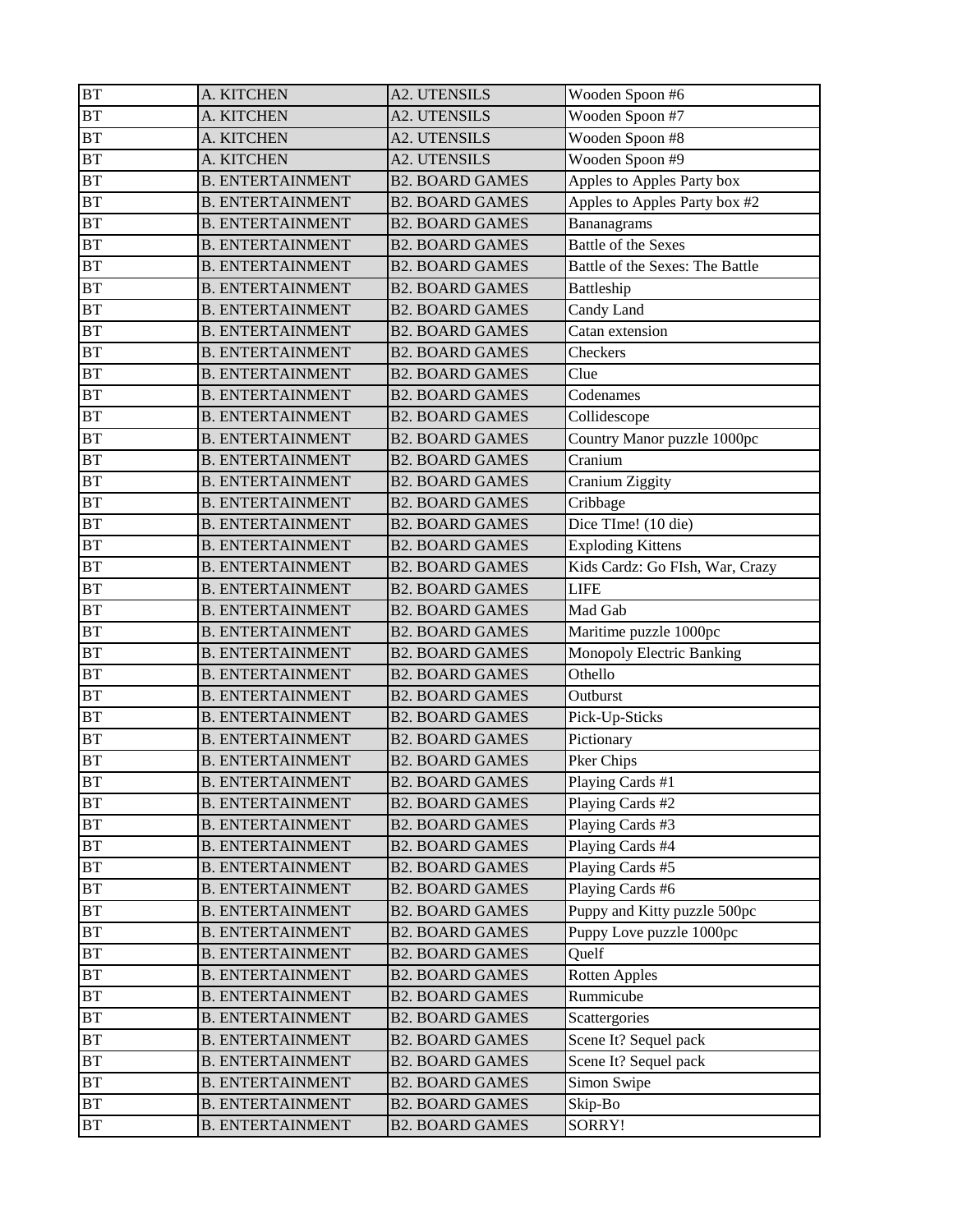| BT        | A. KITCHEN              | <b>A2. UTENSILS</b>    | Wooden Spoon #6                 |
|-----------|-------------------------|------------------------|---------------------------------|
| <b>BT</b> | A. KITCHEN              | <b>A2. UTENSILS</b>    | Wooden Spoon #7                 |
| BT        | A. KITCHEN              | A2. UTENSILS           | Wooden Spoon #8                 |
| BT        | A. KITCHEN              | <b>A2. UTENSILS</b>    | Wooden Spoon #9                 |
| BT        | <b>B. ENTERTAINMENT</b> | <b>B2. BOARD GAMES</b> | Apples to Apples Party box      |
| <b>BT</b> | <b>B. ENTERTAINMENT</b> | <b>B2. BOARD GAMES</b> | Apples to Apples Party box #2   |
| <b>BT</b> | <b>B. ENTERTAINMENT</b> | <b>B2. BOARD GAMES</b> | Bananagrams                     |
| BT        | <b>B. ENTERTAINMENT</b> | <b>B2. BOARD GAMES</b> | <b>Battle of the Sexes</b>      |
| BT        | <b>B. ENTERTAINMENT</b> | <b>B2. BOARD GAMES</b> | Battle of the Sexes: The Battle |
| <b>BT</b> | <b>B. ENTERTAINMENT</b> | <b>B2. BOARD GAMES</b> | Battleship                      |
| BT        | <b>B. ENTERTAINMENT</b> | <b>B2. BOARD GAMES</b> | Candy Land                      |
| BT        | <b>B. ENTERTAINMENT</b> | <b>B2. BOARD GAMES</b> | Catan extension                 |
| BT        | <b>B. ENTERTAINMENT</b> | <b>B2. BOARD GAMES</b> | Checkers                        |
| BT        | <b>B. ENTERTAINMENT</b> | <b>B2. BOARD GAMES</b> | Clue                            |
| BT        | <b>B. ENTERTAINMENT</b> | <b>B2. BOARD GAMES</b> | Codenames                       |
| <b>BT</b> | <b>B. ENTERTAINMENT</b> | <b>B2. BOARD GAMES</b> | Collidescope                    |
| BT        | <b>B. ENTERTAINMENT</b> | <b>B2. BOARD GAMES</b> | Country Manor puzzle 1000pc     |
| BT        | <b>B. ENTERTAINMENT</b> | <b>B2. BOARD GAMES</b> | Cranium                         |
| BT        | <b>B. ENTERTAINMENT</b> | <b>B2. BOARD GAMES</b> | Cranium Ziggity                 |
| <b>BT</b> | <b>B. ENTERTAINMENT</b> | <b>B2. BOARD GAMES</b> | Cribbage                        |
| BT        | <b>B. ENTERTAINMENT</b> | <b>B2. BOARD GAMES</b> | Dice TIme! (10 die)             |
| BT        | <b>B. ENTERTAINMENT</b> | <b>B2. BOARD GAMES</b> | <b>Exploding Kittens</b>        |
| <b>BT</b> | <b>B. ENTERTAINMENT</b> | <b>B2. BOARD GAMES</b> | Kids Cardz: Go FIsh, War, Crazy |
| BT        | <b>B. ENTERTAINMENT</b> | <b>B2. BOARD GAMES</b> | <b>LIFE</b>                     |
| BT        | <b>B. ENTERTAINMENT</b> | <b>B2. BOARD GAMES</b> | Mad Gab                         |
| <b>BT</b> | <b>B. ENTERTAINMENT</b> | <b>B2. BOARD GAMES</b> | Maritime puzzle 1000pc          |
| <b>BT</b> | <b>B. ENTERTAINMENT</b> | <b>B2. BOARD GAMES</b> | Monopoly Electric Banking       |
| BT        | <b>B. ENTERTAINMENT</b> | <b>B2. BOARD GAMES</b> | Othello                         |
| BT        | <b>B. ENTERTAINMENT</b> | <b>B2. BOARD GAMES</b> | Outburst                        |
| BT        | <b>B. ENTERTAINMENT</b> | <b>B2. BOARD GAMES</b> | Pick-Up-Sticks                  |
| <b>BT</b> | <b>B. ENTERTAINMENT</b> | <b>B2. BOARD GAMES</b> | Pictionary                      |
| <b>BT</b> | <b>B. ENTERTAINMENT</b> | <b>B2. BOARD GAMES</b> | Pker Chips                      |
| BT        | <b>B. ENTERTAINMENT</b> | <b>B2. BOARD GAMES</b> | Playing Cards #1                |
| BT        | <b>B. ENTERTAINMENT</b> | <b>B2. BOARD GAMES</b> | Playing Cards #2                |
| BT        | <b>B. ENTERTAINMENT</b> | <b>B2. BOARD GAMES</b> | Playing Cards #3                |
| BT        | <b>B. ENTERTAINMENT</b> | <b>B2. BOARD GAMES</b> | Playing Cards #4                |
| BT        | <b>B. ENTERTAINMENT</b> | <b>B2. BOARD GAMES</b> | Playing Cards #5                |
| BT        | <b>B. ENTERTAINMENT</b> | <b>B2. BOARD GAMES</b> | Playing Cards #6                |
| BT        | <b>B. ENTERTAINMENT</b> | <b>B2. BOARD GAMES</b> | Puppy and Kitty puzzle 500pc    |
| <b>BT</b> | <b>B. ENTERTAINMENT</b> | <b>B2. BOARD GAMES</b> | Puppy Love puzzle 1000pc        |
| BT        | <b>B. ENTERTAINMENT</b> | <b>B2. BOARD GAMES</b> | Quelf                           |
| BT        | <b>B. ENTERTAINMENT</b> | <b>B2. BOARD GAMES</b> | <b>Rotten Apples</b>            |
| BT        | <b>B. ENTERTAINMENT</b> | <b>B2. BOARD GAMES</b> | Rummicube                       |
| BT        | <b>B. ENTERTAINMENT</b> | <b>B2. BOARD GAMES</b> | Scattergories                   |
| <b>BT</b> | <b>B. ENTERTAINMENT</b> | <b>B2. BOARD GAMES</b> | Scene It? Sequel pack           |
| BT        | <b>B. ENTERTAINMENT</b> | <b>B2. BOARD GAMES</b> | Scene It? Sequel pack           |
| BT        | <b>B. ENTERTAINMENT</b> | <b>B2. BOARD GAMES</b> | Simon Swipe                     |
| BT        | <b>B. ENTERTAINMENT</b> | <b>B2. BOARD GAMES</b> | Skip-Bo                         |
| BT        | <b>B. ENTERTAINMENT</b> | <b>B2. BOARD GAMES</b> | SORRY!                          |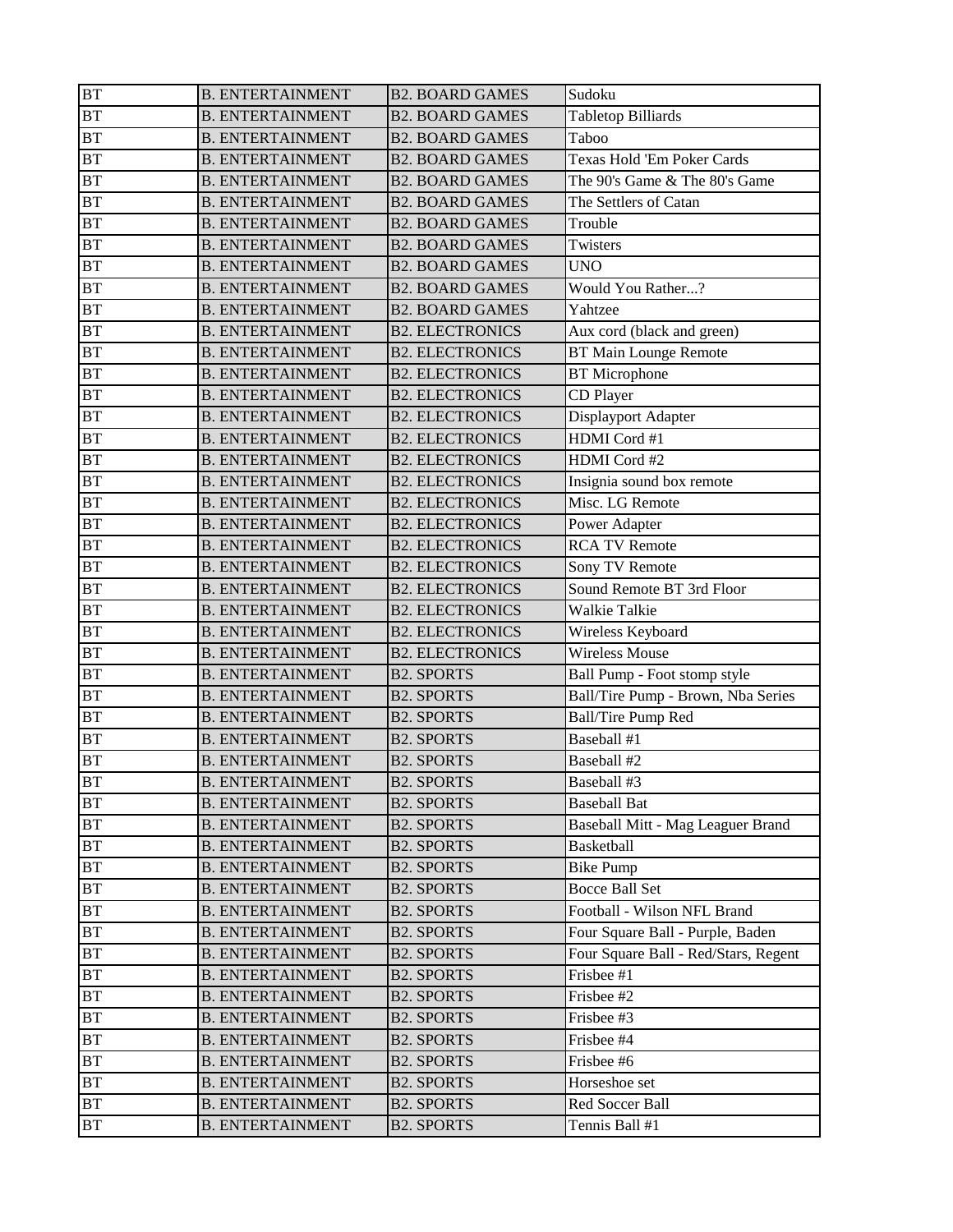| BT        | <b>B. ENTERTAINMENT</b> | <b>B2. BOARD GAMES</b> | Sudoku                               |
|-----------|-------------------------|------------------------|--------------------------------------|
| <b>BT</b> | <b>B. ENTERTAINMENT</b> | <b>B2. BOARD GAMES</b> | <b>Tabletop Billiards</b>            |
| BT        | <b>B. ENTERTAINMENT</b> | <b>B2. BOARD GAMES</b> | Taboo                                |
| BT        | <b>B. ENTERTAINMENT</b> | <b>B2. BOARD GAMES</b> | Texas Hold 'Em Poker Cards           |
| BT        | <b>B. ENTERTAINMENT</b> | <b>B2. BOARD GAMES</b> | The 90's Game & The 80's Game        |
| BT        | <b>B. ENTERTAINMENT</b> | <b>B2. BOARD GAMES</b> | The Settlers of Catan                |
| BT        | <b>B. ENTERTAINMENT</b> | <b>B2. BOARD GAMES</b> | Trouble                              |
| BT        | <b>B. ENTERTAINMENT</b> | <b>B2. BOARD GAMES</b> | Twisters                             |
| BT        | <b>B. ENTERTAINMENT</b> | <b>B2. BOARD GAMES</b> | <b>UNO</b>                           |
| BT        | <b>B. ENTERTAINMENT</b> | <b>B2. BOARD GAMES</b> | Would You Rather?                    |
| BT        | <b>B. ENTERTAINMENT</b> | <b>B2. BOARD GAMES</b> | Yahtzee                              |
| BT        | <b>B. ENTERTAINMENT</b> | <b>B2. ELECTRONICS</b> | Aux cord (black and green)           |
| <b>BT</b> | <b>B. ENTERTAINMENT</b> | <b>B2. ELECTRONICS</b> | <b>BT Main Lounge Remote</b>         |
| <b>BT</b> | <b>B. ENTERTAINMENT</b> | <b>B2. ELECTRONICS</b> | <b>BT</b> Microphone                 |
| BT        | <b>B. ENTERTAINMENT</b> | <b>B2. ELECTRONICS</b> | CD Player                            |
| BT        | <b>B. ENTERTAINMENT</b> | <b>B2. ELECTRONICS</b> | Displayport Adapter                  |
| BT        | <b>B. ENTERTAINMENT</b> | <b>B2. ELECTRONICS</b> | HDMI Cord #1                         |
| BT        | <b>B. ENTERTAINMENT</b> | <b>B2. ELECTRONICS</b> | HDMI Cord #2                         |
| BT        | <b>B. ENTERTAINMENT</b> | <b>B2. ELECTRONICS</b> | Insignia sound box remote            |
| BT        | <b>B. ENTERTAINMENT</b> | <b>B2. ELECTRONICS</b> | Misc. LG Remote                      |
| <b>BT</b> | <b>B. ENTERTAINMENT</b> | <b>B2. ELECTRONICS</b> | Power Adapter                        |
| BT        | <b>B. ENTERTAINMENT</b> | <b>B2. ELECTRONICS</b> | <b>RCA TV Remote</b>                 |
| BT        | <b>B. ENTERTAINMENT</b> | <b>B2. ELECTRONICS</b> | Sony TV Remote                       |
| BT        | <b>B. ENTERTAINMENT</b> | <b>B2. ELECTRONICS</b> | Sound Remote BT 3rd Floor            |
| BT        | <b>B. ENTERTAINMENT</b> | <b>B2. ELECTRONICS</b> | Walkie Talkie                        |
| <b>BT</b> | <b>B. ENTERTAINMENT</b> | <b>B2. ELECTRONICS</b> | Wireless Keyboard                    |
| BT        | <b>B. ENTERTAINMENT</b> | <b>B2. ELECTRONICS</b> | <b>Wireless Mouse</b>                |
| BT        | <b>B. ENTERTAINMENT</b> | <b>B2. SPORTS</b>      | Ball Pump - Foot stomp style         |
| BT        | <b>B. ENTERTAINMENT</b> | <b>B2. SPORTS</b>      | Ball/Tire Pump - Brown, Nba Series   |
| BT        | <b>B. ENTERTAINMENT</b> | <b>B2. SPORTS</b>      | <b>Ball/Tire Pump Red</b>            |
| <b>BT</b> | <b>B. ENTERTAINMENT</b> | <b>B2. SPORTS</b>      | Baseball #1                          |
| <b>BT</b> | <b>B. ENTERTAINMENT</b> | <b>B2. SPORTS</b>      | Baseball #2                          |
| <b>BT</b> | <b>B. ENTERTAINMENT</b> | <b>B2. SPORTS</b>      | Baseball #3                          |
| <b>BT</b> | <b>B. ENTERTAINMENT</b> | <b>B2. SPORTS</b>      | <b>Baseball Bat</b>                  |
| BT        | <b>B. ENTERTAINMENT</b> | <b>B2. SPORTS</b>      | Baseball Mitt - Mag Leaguer Brand    |
| BT        | <b>B. ENTERTAINMENT</b> | <b>B2. SPORTS</b>      | <b>Basketball</b>                    |
| BT        | <b>B. ENTERTAINMENT</b> | <b>B2. SPORTS</b>      | <b>Bike Pump</b>                     |
| BT        | <b>B. ENTERTAINMENT</b> | <b>B2. SPORTS</b>      | <b>Bocce Ball Set</b>                |
| <b>BT</b> | <b>B. ENTERTAINMENT</b> | <b>B2. SPORTS</b>      | Football - Wilson NFL Brand          |
| BT        | <b>B. ENTERTAINMENT</b> | <b>B2. SPORTS</b>      | Four Square Ball - Purple, Baden     |
| BT        | <b>B. ENTERTAINMENT</b> | <b>B2. SPORTS</b>      | Four Square Ball - Red/Stars, Regent |
| BT        | <b>B. ENTERTAINMENT</b> | <b>B2. SPORTS</b>      | Frisbee #1                           |
| <b>BT</b> | <b>B. ENTERTAINMENT</b> | <b>B2. SPORTS</b>      | Frisbee #2                           |
| BT        | <b>B. ENTERTAINMENT</b> | <b>B2. SPORTS</b>      | Frisbee #3                           |
| BT        | <b>B. ENTERTAINMENT</b> | <b>B2. SPORTS</b>      | Frisbee #4                           |
| BT        | <b>B. ENTERTAINMENT</b> | <b>B2. SPORTS</b>      | Frisbee #6                           |
| BT        | <b>B. ENTERTAINMENT</b> | <b>B2. SPORTS</b>      | Horseshoe set                        |
| BT        | <b>B. ENTERTAINMENT</b> | <b>B2. SPORTS</b>      | Red Soccer Ball                      |
| BT        | <b>B. ENTERTAINMENT</b> | <b>B2. SPORTS</b>      | Tennis Ball #1                       |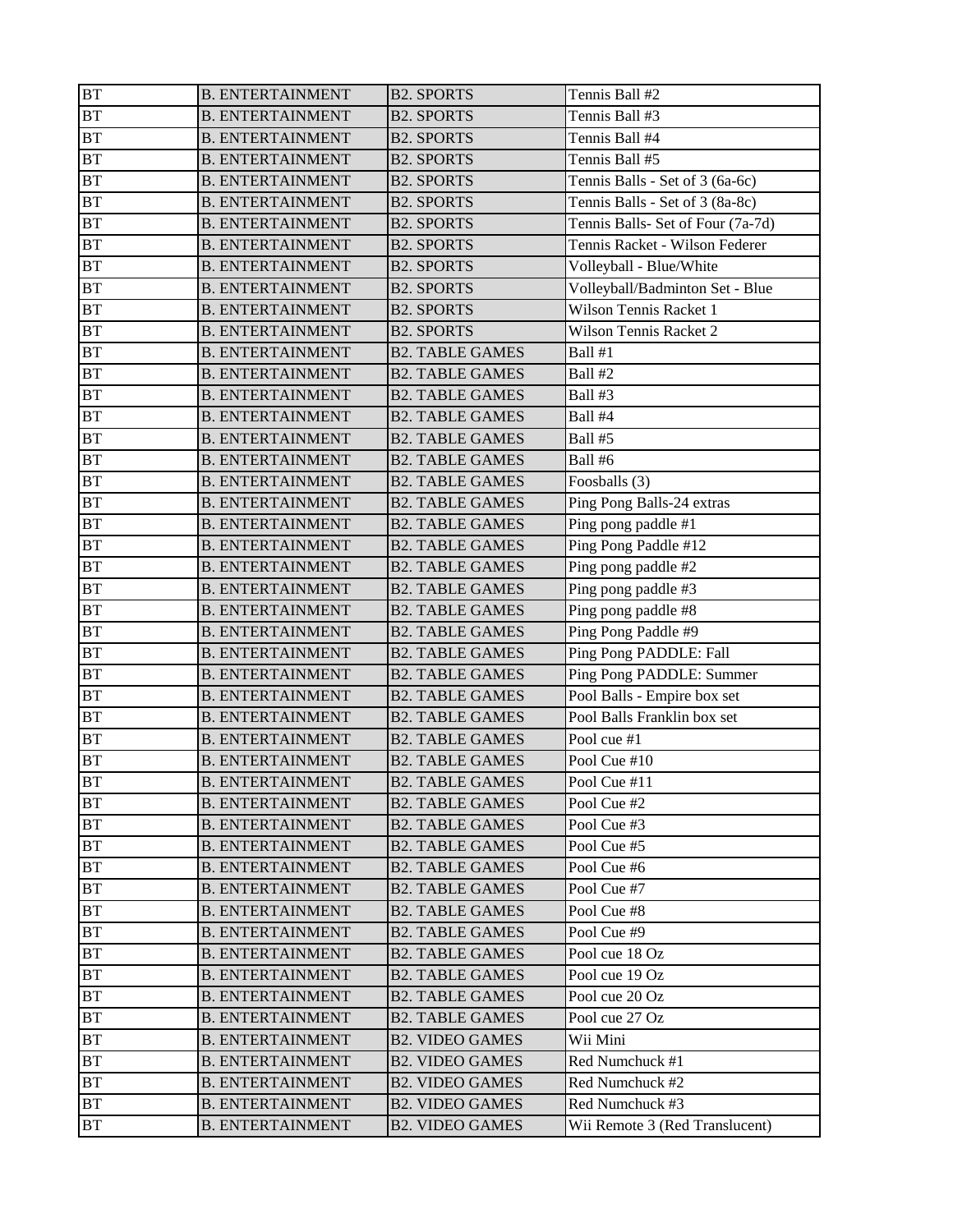| BT        | <b>B. ENTERTAINMENT</b> | <b>B2. SPORTS</b>      | Tennis Ball #2                    |
|-----------|-------------------------|------------------------|-----------------------------------|
| <b>BT</b> | <b>B. ENTERTAINMENT</b> | <b>B2. SPORTS</b>      | Tennis Ball #3                    |
| <b>BT</b> | <b>B. ENTERTAINMENT</b> | <b>B2. SPORTS</b>      | Tennis Ball #4                    |
| BT        | <b>B. ENTERTAINMENT</b> | <b>B2. SPORTS</b>      | Tennis Ball #5                    |
| BT        | <b>B. ENTERTAINMENT</b> | <b>B2. SPORTS</b>      | Tennis Balls - Set of 3 (6a-6c)   |
| <b>BT</b> | <b>B. ENTERTAINMENT</b> | <b>B2. SPORTS</b>      | Tennis Balls - Set of 3 (8a-8c)   |
| <b>BT</b> | <b>B. ENTERTAINMENT</b> | <b>B2. SPORTS</b>      | Tennis Balls- Set of Four (7a-7d) |
| BT        | <b>B. ENTERTAINMENT</b> | <b>B2. SPORTS</b>      | Tennis Racket - Wilson Federer    |
| <b>BT</b> | <b>B. ENTERTAINMENT</b> | <b>B2. SPORTS</b>      | Volleyball - Blue/White           |
| BT        | <b>B. ENTERTAINMENT</b> | <b>B2. SPORTS</b>      | Volleyball/Badminton Set - Blue   |
| BT        | <b>B. ENTERTAINMENT</b> | <b>B2. SPORTS</b>      | Wilson Tennis Racket 1            |
| BT        | <b>B. ENTERTAINMENT</b> | <b>B2. SPORTS</b>      | Wilson Tennis Racket 2            |
| <b>BT</b> | <b>B. ENTERTAINMENT</b> | <b>B2. TABLE GAMES</b> | Ball #1                           |
| BT        | <b>B. ENTERTAINMENT</b> | <b>B2. TABLE GAMES</b> | Ball #2                           |
| BT        | <b>B. ENTERTAINMENT</b> | <b>B2. TABLE GAMES</b> | Ball #3                           |
| <b>BT</b> | <b>B. ENTERTAINMENT</b> | <b>B2. TABLE GAMES</b> | Ball #4                           |
| BT        | <b>B. ENTERTAINMENT</b> | <b>B2. TABLE GAMES</b> | Ball #5                           |
| BT        | <b>B. ENTERTAINMENT</b> | <b>B2. TABLE GAMES</b> | Ball #6                           |
| BT        | <b>B. ENTERTAINMENT</b> | <b>B2. TABLE GAMES</b> | Foosballs (3)                     |
| BT        | <b>B. ENTERTAINMENT</b> | <b>B2. TABLE GAMES</b> | Ping Pong Balls-24 extras         |
| BT        | <b>B. ENTERTAINMENT</b> | <b>B2. TABLE GAMES</b> | Ping pong paddle #1               |
| BT        | <b>B. ENTERTAINMENT</b> | <b>B2. TABLE GAMES</b> | Ping Pong Paddle #12              |
| <b>BT</b> | <b>B. ENTERTAINMENT</b> | <b>B2. TABLE GAMES</b> | Ping pong paddle #2               |
| BT        | <b>B. ENTERTAINMENT</b> | <b>B2. TABLE GAMES</b> | Ping pong paddle #3               |
| BT        | <b>B. ENTERTAINMENT</b> | <b>B2. TABLE GAMES</b> | Ping pong paddle #8               |
| BT        | <b>B. ENTERTAINMENT</b> | <b>B2. TABLE GAMES</b> | Ping Pong Paddle #9               |
| BT        | <b>B. ENTERTAINMENT</b> | <b>B2. TABLE GAMES</b> | Ping Pong PADDLE: Fall            |
| BT        | <b>B. ENTERTAINMENT</b> | <b>B2. TABLE GAMES</b> | Ping Pong PADDLE: Summer          |
| <b>BT</b> | <b>B. ENTERTAINMENT</b> | <b>B2. TABLE GAMES</b> | Pool Balls - Empire box set       |
| BT        | <b>B. ENTERTAINMENT</b> | <b>B2. TABLE GAMES</b> | Pool Balls Franklin box set       |
| BT        | <b>B. ENTERTAINMENT</b> | <b>B2. TABLE GAMES</b> | Pool cue #1                       |
| BT        | <b>B. ENTERTAINMENT</b> | <b>B2. TABLE GAMES</b> | Pool Cue #10                      |
| <b>BT</b> | <b>B. ENTERTAINMENT</b> | <b>B2. TABLE GAMES</b> | Pool Cue #11                      |
| <b>BT</b> | <b>B. ENTERTAINMENT</b> | <b>B2. TABLE GAMES</b> | Pool Cue #2                       |
| <b>BT</b> | <b>B. ENTERTAINMENT</b> | <b>B2. TABLE GAMES</b> | Pool Cue #3                       |
| <b>BT</b> | <b>B. ENTERTAINMENT</b> | <b>B2. TABLE GAMES</b> | Pool Cue #5                       |
| <b>BT</b> | <b>B. ENTERTAINMENT</b> | <b>B2. TABLE GAMES</b> | Pool Cue #6                       |
| <b>BT</b> | <b>B. ENTERTAINMENT</b> | <b>B2. TABLE GAMES</b> | Pool Cue #7                       |
| <b>BT</b> | <b>B. ENTERTAINMENT</b> | <b>B2. TABLE GAMES</b> | Pool Cue #8                       |
| <b>BT</b> | <b>B. ENTERTAINMENT</b> | <b>B2. TABLE GAMES</b> | Pool Cue #9                       |
| BT        | <b>B. ENTERTAINMENT</b> | <b>B2. TABLE GAMES</b> | Pool cue 18 Oz                    |
| <b>BT</b> | <b>B. ENTERTAINMENT</b> | <b>B2. TABLE GAMES</b> | Pool cue 19 Oz                    |
| <b>BT</b> | <b>B. ENTERTAINMENT</b> | <b>B2. TABLE GAMES</b> | Pool cue 20 Oz                    |
| BT        | <b>B. ENTERTAINMENT</b> | <b>B2. TABLE GAMES</b> | Pool cue 27 Oz                    |
| <b>BT</b> | <b>B. ENTERTAINMENT</b> | <b>B2. VIDEO GAMES</b> | Wii Mini                          |
| <b>BT</b> | <b>B. ENTERTAINMENT</b> | <b>B2. VIDEO GAMES</b> | Red Numchuck #1                   |
| BT        | <b>B. ENTERTAINMENT</b> | <b>B2. VIDEO GAMES</b> | Red Numchuck #2                   |
| <b>BT</b> | <b>B. ENTERTAINMENT</b> | <b>B2. VIDEO GAMES</b> | Red Numchuck #3                   |
| BT        | <b>B. ENTERTAINMENT</b> | <b>B2. VIDEO GAMES</b> | Wii Remote 3 (Red Translucent)    |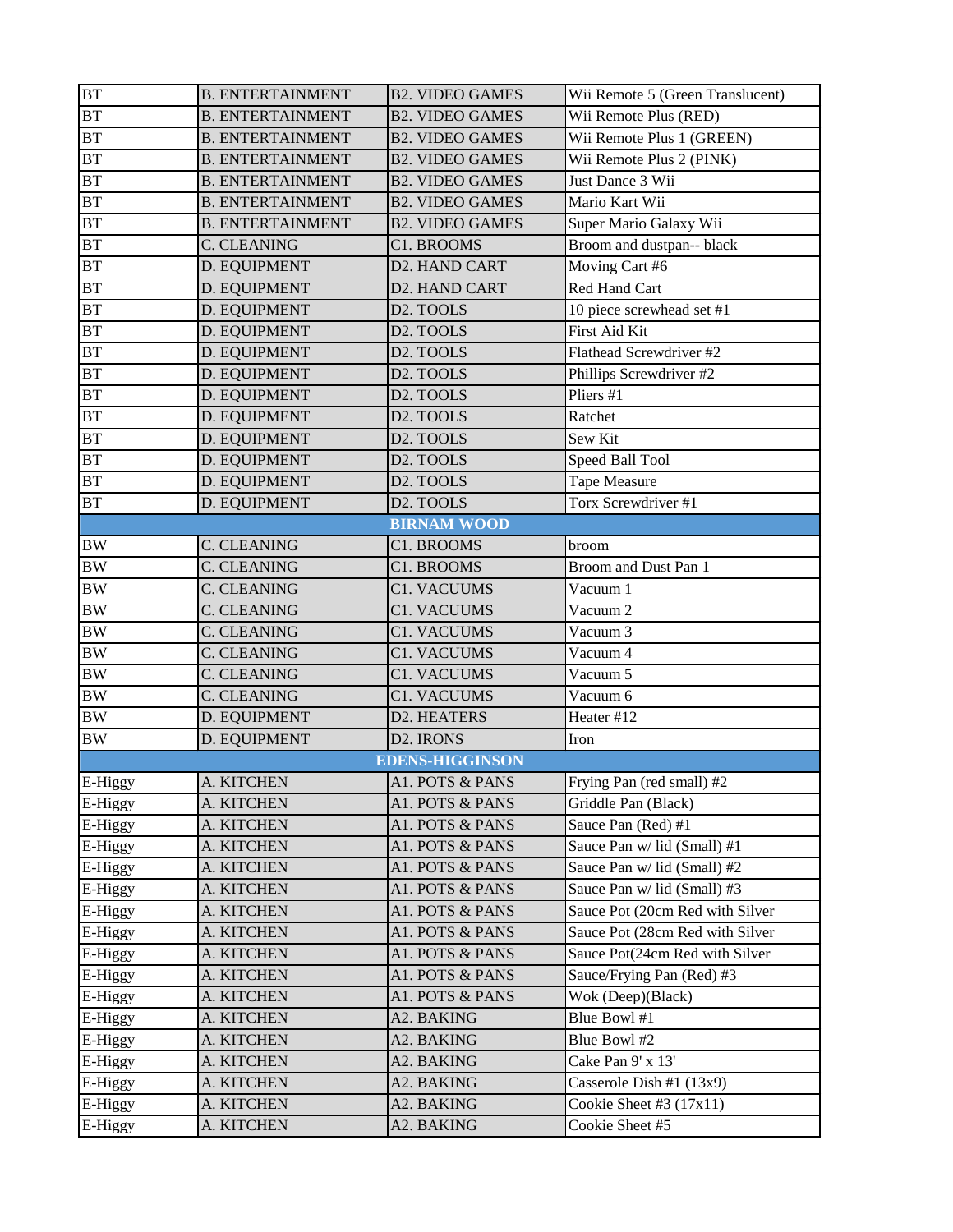| <b>BT</b>          | <b>B. ENTERTAINMENT</b> | <b>B2. VIDEO GAMES</b> | Wii Remote 5 (Green Translucent) |
|--------------------|-------------------------|------------------------|----------------------------------|
| BT                 | <b>B. ENTERTAINMENT</b> | <b>B2. VIDEO GAMES</b> | Wii Remote Plus (RED)            |
| <b>BT</b>          | <b>B. ENTERTAINMENT</b> | <b>B2. VIDEO GAMES</b> | Wii Remote Plus 1 (GREEN)        |
| <b>BT</b>          | <b>B. ENTERTAINMENT</b> | <b>B2. VIDEO GAMES</b> | Wii Remote Plus 2 (PINK)         |
| <b>BT</b>          | <b>B. ENTERTAINMENT</b> | <b>B2. VIDEO GAMES</b> | Just Dance 3 Wii                 |
| BT                 | <b>B. ENTERTAINMENT</b> | <b>B2. VIDEO GAMES</b> | Mario Kart Wii                   |
| <b>BT</b>          | <b>B. ENTERTAINMENT</b> | <b>B2. VIDEO GAMES</b> | Super Mario Galaxy Wii           |
| <b>BT</b>          | C. CLEANING             | C1. BROOMS             | Broom and dustpan-- black        |
| <b>BT</b>          | D. EQUIPMENT            | D2. HAND CART          | Moving Cart #6                   |
| <b>BT</b>          | D. EQUIPMENT            | D2. HAND CART          | Red Hand Cart                    |
| <b>BT</b>          | D. EQUIPMENT            | D <sub>2</sub> . TOOLS | 10 piece screwhead set #1        |
| BT                 | D. EQUIPMENT            | D <sub>2</sub> . TOOLS | First Aid Kit                    |
| <b>BT</b>          | D. EQUIPMENT            | D2. TOOLS              | Flathead Screwdriver #2          |
| <b>BT</b>          | D. EQUIPMENT            | D <sub>2</sub> . TOOLS | Phillips Screwdriver #2          |
| <b>BT</b>          | D. EQUIPMENT            | D2. TOOLS              | Pliers #1                        |
| <b>BT</b>          | D. EQUIPMENT            | D <sub>2</sub> . TOOLS | Ratchet                          |
| <b>BT</b>          | D. EQUIPMENT            | D <sub>2</sub> . TOOLS | Sew Kit                          |
| <b>BT</b>          | D. EQUIPMENT            | D <sub>2</sub> . TOOLS | Speed Ball Tool                  |
| <b>BT</b>          | D. EQUIPMENT            | D2. TOOLS              | Tape Measure                     |
| <b>BT</b>          | D. EQUIPMENT            | D <sub>2</sub> . TOOLS | Torx Screwdriver #1              |
|                    |                         | <b>BIRNAM WOOD</b>     |                                  |
| <b>BW</b>          | <b>C. CLEANING</b>      | C1. BROOMS             | broom                            |
| <b>BW</b>          | C. CLEANING             | C1. BROOMS             | Broom and Dust Pan 1             |
| <b>BW</b>          | C. CLEANING             | <b>C1. VACUUMS</b>     | Vacuum 1                         |
| <b>BW</b>          | <b>C. CLEANING</b>      | <b>C1. VACUUMS</b>     | Vacuum 2                         |
| <b>BW</b>          | <b>C. CLEANING</b>      | <b>C1. VACUUMS</b>     | Vacuum 3                         |
| <b>BW</b>          | C. CLEANING             | <b>C1. VACUUMS</b>     | Vacuum 4                         |
| <b>BW</b>          | C. CLEANING             | <b>C1. VACUUMS</b>     | Vacuum 5                         |
| <b>BW</b>          | <b>C. CLEANING</b>      | <b>C1. VACUUMS</b>     | Vacuum 6                         |
| <b>BW</b>          | D. EQUIPMENT            | D2. HEATERS            | Heater #12                       |
| <b>BW</b>          | D. EQUIPMENT            | D <sub>2</sub> . IRONS | Iron                             |
|                    |                         | <b>EDENS-HIGGINSON</b> |                                  |
| E-Higgy            | A. KITCHEN              | A1. POTS & PANS        | Frying Pan (red small) #2        |
| E-Higgy            | A. KITCHEN              | A1. POTS & PANS        | Griddle Pan (Black)              |
| E-Higgy            | A. KITCHEN              | A1. POTS & PANS        | Sauce Pan (Red) #1               |
| E-Higgy            | A. KITCHEN              | A1. POTS & PANS        | Sauce Pan w/ lid (Small) #1      |
| E-Higgy            | A. KITCHEN              | A1. POTS & PANS        | Sauce Pan w/ lid (Small) #2      |
| E-Higgy            | A. KITCHEN              | A1. POTS & PANS        | Sauce Pan w/ lid (Small) #3      |
| E-Higgy            | A. KITCHEN              | A1. POTS & PANS        | Sauce Pot (20cm Red with Silver  |
| E-Higgy            | A. KITCHEN              | A1. POTS & PANS        | Sauce Pot (28cm Red with Silver  |
| E-Higgy            | A. KITCHEN              | A1. POTS & PANS        | Sauce Pot(24cm Red with Silver   |
| E-Higgy            | A. KITCHEN              | A1. POTS & PANS        | Sauce/Frying Pan (Red) #3        |
| E-Higgy            | A. KITCHEN              | A1. POTS & PANS        | Wok (Deep)(Black)                |
| E-Higgy            | A. KITCHEN              | A2. BAKING             | Blue Bowl #1                     |
| E-Higgy            | A. KITCHEN              | A2. BAKING             | Blue Bowl #2                     |
| E-Higgy            | A. KITCHEN              | A2. BAKING             | Cake Pan 9' x 13'                |
|                    | A. KITCHEN              | A2. BAKING             | Casserole Dish #1 (13x9)         |
|                    |                         |                        |                                  |
| E-Higgy<br>E-Higgy | A. KITCHEN              | A2. BAKING             | Cookie Sheet #3 $(17x11)$        |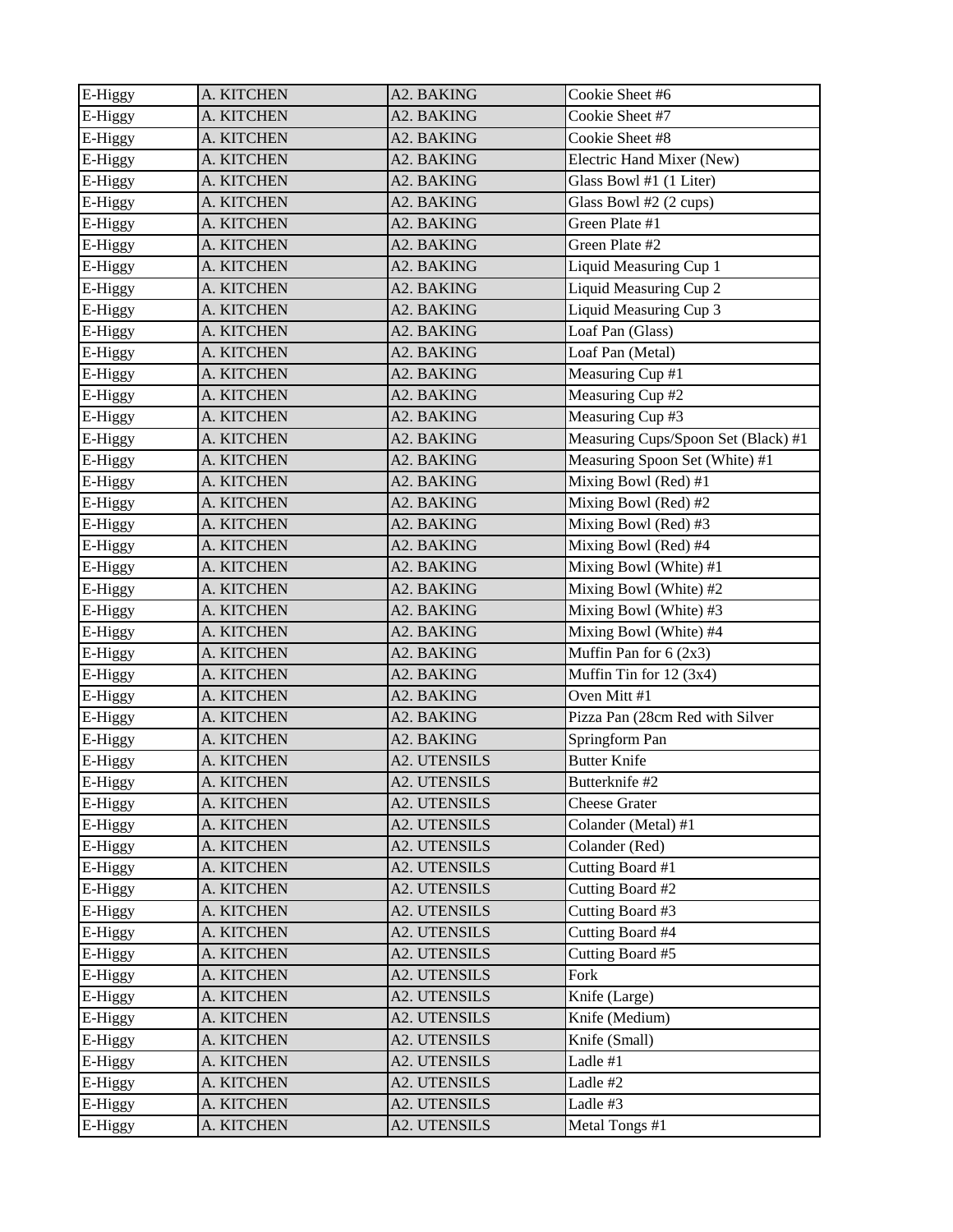| E-Higgy | A. KITCHEN | A2. BAKING          | Cookie Sheet #6                     |
|---------|------------|---------------------|-------------------------------------|
| E-Higgy | A. KITCHEN | A2. BAKING          | Cookie Sheet #7                     |
| E-Higgy | A. KITCHEN | A2. BAKING          | Cookie Sheet #8                     |
| E-Higgy | A. KITCHEN | A2. BAKING          | Electric Hand Mixer (New)           |
| E-Higgy | A. KITCHEN | A2. BAKING          | Glass Bowl #1 (1 Liter)             |
| E-Higgy | A. KITCHEN | A2. BAKING          | Glass Bowl #2 (2 cups)              |
| E-Higgy | A. KITCHEN | A2. BAKING          | Green Plate #1                      |
| E-Higgy | A. KITCHEN | A2. BAKING          | Green Plate #2                      |
| E-Higgy | A. KITCHEN | A2. BAKING          | Liquid Measuring Cup 1              |
| E-Higgy | A. KITCHEN | A2. BAKING          | Liquid Measuring Cup 2              |
| E-Higgy | A. KITCHEN | A2. BAKING          | Liquid Measuring Cup 3              |
| E-Higgy | A. KITCHEN | A2. BAKING          | Loaf Pan (Glass)                    |
| E-Higgy | A. KITCHEN | A2. BAKING          | Loaf Pan (Metal)                    |
| E-Higgy | A. KITCHEN | A2. BAKING          | Measuring Cup #1                    |
| E-Higgy | A. KITCHEN | A2. BAKING          | Measuring Cup #2                    |
| E-Higgy | A. KITCHEN | A2. BAKING          | Measuring Cup #3                    |
| E-Higgy | A. KITCHEN | A2. BAKING          | Measuring Cups/Spoon Set (Black) #1 |
| E-Higgy | A. KITCHEN | A2. BAKING          | Measuring Spoon Set (White) #1      |
| E-Higgy | A. KITCHEN | A2. BAKING          | Mixing Bowl (Red) #1                |
| E-Higgy | A. KITCHEN | A2. BAKING          | Mixing Bowl (Red) #2                |
| E-Higgy | A. KITCHEN | A2. BAKING          | Mixing Bowl (Red) #3                |
| E-Higgy | A. KITCHEN | A2. BAKING          | Mixing Bowl (Red) #4                |
| E-Higgy | A. KITCHEN | A2. BAKING          | Mixing Bowl (White) #1              |
| E-Higgy | A. KITCHEN | A2. BAKING          | Mixing Bowl (White) #2              |
| E-Higgy | A. KITCHEN | A2. BAKING          | Mixing Bowl (White) #3              |
| E-Higgy | A. KITCHEN | A2. BAKING          | Mixing Bowl (White) #4              |
| E-Higgy | A. KITCHEN | A2. BAKING          | Muffin Pan for $6(2x3)$             |
| E-Higgy | A. KITCHEN | A2. BAKING          | Muffin Tin for 12 (3x4)             |
| E-Higgy | A. KITCHEN | A2. BAKING          | Oven Mitt #1                        |
| E-Higgy | A. KITCHEN | A2. BAKING          | Pizza Pan (28cm Red with Silver     |
| E-Higgy | A. KITCHEN | A2. BAKING          | Springform Pan                      |
| E-Higgy | A. KITCHEN | <b>A2. UTENSILS</b> | <b>Butter Knife</b>                 |
| E-Higgy | A. KITCHEN | A2. UTENSILS        | Butterknife #2                      |
| E-Higgy | A. KITCHEN | A2. UTENSILS        | <b>Cheese Grater</b>                |
| E-Higgy | A. KITCHEN | <b>A2. UTENSILS</b> | Colander (Metal) #1                 |
| E-Higgy | A. KITCHEN | <b>A2. UTENSILS</b> | Colander (Red)                      |
| E-Higgy | A. KITCHEN | A2. UTENSILS        | Cutting Board #1                    |
| E-Higgy | A. KITCHEN | A2. UTENSILS        | Cutting Board #2                    |
| E-Higgy | A. KITCHEN | A2. UTENSILS        | Cutting Board #3                    |
| E-Higgy | A. KITCHEN | A2. UTENSILS        | Cutting Board #4                    |
| E-Higgy | A. KITCHEN | A2. UTENSILS        | Cutting Board #5                    |
| E-Higgy | A. KITCHEN | <b>A2. UTENSILS</b> | Fork                                |
| E-Higgy | A. KITCHEN | A2. UTENSILS        | Knife (Large)                       |
| E-Higgy | A. KITCHEN | A2. UTENSILS        | Knife (Medium)                      |
| E-Higgy | A. KITCHEN | A2. UTENSILS        | Knife (Small)                       |
| E-Higgy | A. KITCHEN | A2. UTENSILS        | Ladle #1                            |
| E-Higgy | A. KITCHEN | A2. UTENSILS        | Ladle #2                            |
| E-Higgy | A. KITCHEN | A2. UTENSILS        | Ladle #3                            |
| E-Higgy | A. KITCHEN | <b>A2. UTENSILS</b> | Metal Tongs #1                      |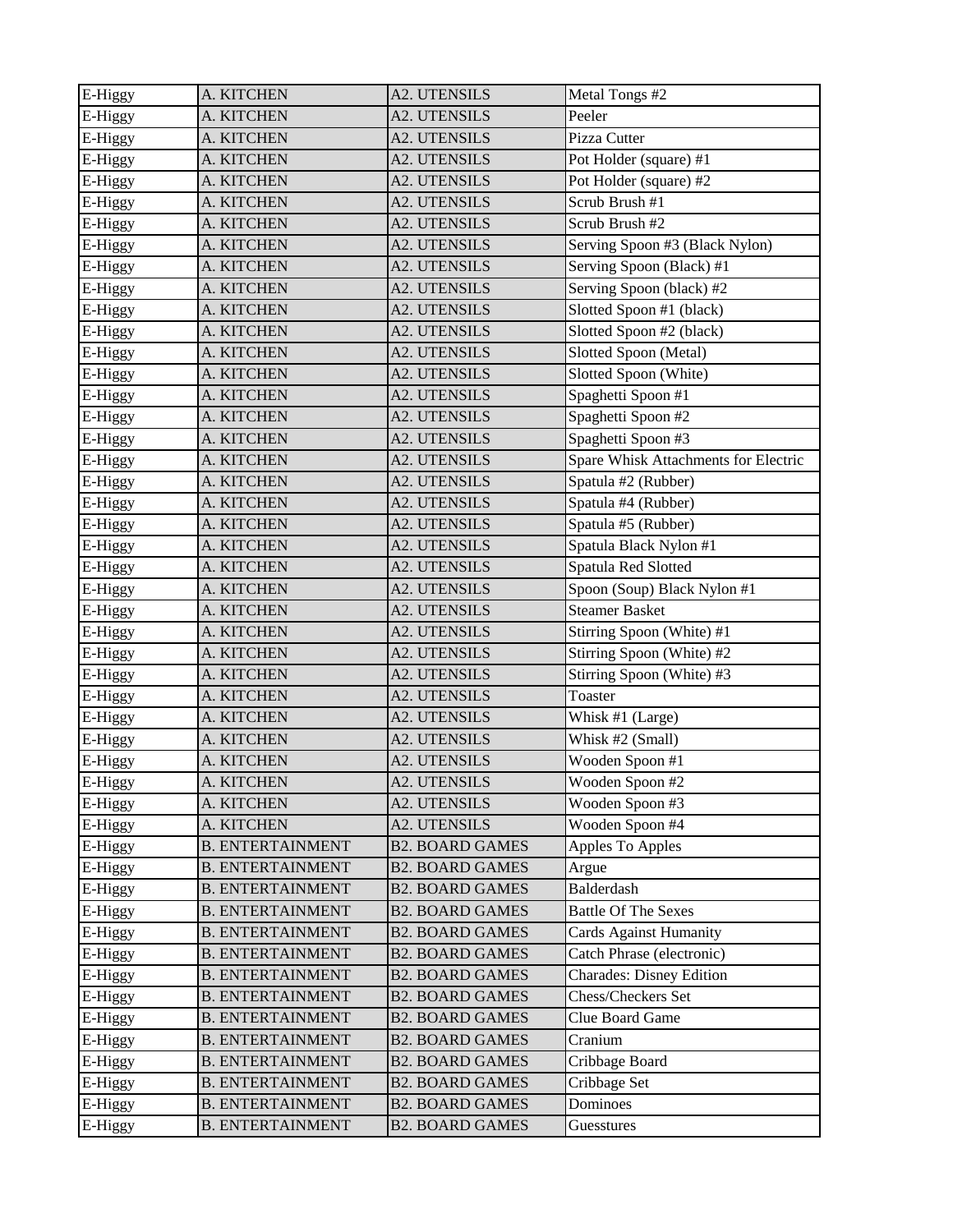| E-Higgy | A. KITCHEN              | <b>A2. UTENSILS</b>    | Metal Tongs #2                       |
|---------|-------------------------|------------------------|--------------------------------------|
| E-Higgy | A. KITCHEN              | <b>A2. UTENSILS</b>    | Peeler                               |
| E-Higgy | A. KITCHEN              | A2. UTENSILS           | Pizza Cutter                         |
| E-Higgy | A. KITCHEN              | A2. UTENSILS           | Pot Holder (square) #1               |
| E-Higgy | A. KITCHEN              | A2. UTENSILS           | Pot Holder (square) #2               |
| E-Higgy | A. KITCHEN              | A2. UTENSILS           | Scrub Brush #1                       |
| E-Higgy | A. KITCHEN              | <b>A2. UTENSILS</b>    | Scrub Brush #2                       |
| E-Higgy | A. KITCHEN              | <b>A2. UTENSILS</b>    | Serving Spoon #3 (Black Nylon)       |
| E-Higgy | A. KITCHEN              | A2. UTENSILS           | Serving Spoon (Black) #1             |
| E-Higgy | A. KITCHEN              | A2. UTENSILS           | Serving Spoon (black) #2             |
| E-Higgy | A. KITCHEN              | A2. UTENSILS           | Slotted Spoon #1 (black)             |
| E-Higgy | A. KITCHEN              | A2. UTENSILS           | Slotted Spoon #2 (black)             |
| E-Higgy | A. KITCHEN              | <b>A2. UTENSILS</b>    | Slotted Spoon (Metal)                |
| E-Higgy | A. KITCHEN              | A2. UTENSILS           | Slotted Spoon (White)                |
| E-Higgy | A. KITCHEN              | A2. UTENSILS           | Spaghetti Spoon #1                   |
| E-Higgy | A. KITCHEN              | A2. UTENSILS           | Spaghetti Spoon #2                   |
| E-Higgy | A. KITCHEN              | A2. UTENSILS           | Spaghetti Spoon #3                   |
| E-Higgy | A. KITCHEN              | <b>A2. UTENSILS</b>    | Spare Whisk Attachments for Electric |
| E-Higgy | A. KITCHEN              | A2. UTENSILS           | Spatula #2 (Rubber)                  |
| E-Higgy | A. KITCHEN              | A2. UTENSILS           | Spatula #4 (Rubber)                  |
| E-Higgy | A. KITCHEN              | <b>A2. UTENSILS</b>    | Spatula #5 (Rubber)                  |
| E-Higgy | A. KITCHEN              | A2. UTENSILS           | Spatula Black Nylon #1               |
| E-Higgy | A. KITCHEN              | A2. UTENSILS           | Spatula Red Slotted                  |
| E-Higgy | A. KITCHEN              | A2. UTENSILS           | Spoon (Soup) Black Nylon #1          |
| E-Higgy | A. KITCHEN              | A2. UTENSILS           | <b>Steamer Basket</b>                |
| E-Higgy | A. KITCHEN              | A2. UTENSILS           | Stirring Spoon (White) #1            |
| E-Higgy | A. KITCHEN              | A2. UTENSILS           | Stirring Spoon (White) #2            |
| E-Higgy | A. KITCHEN              | <b>A2. UTENSILS</b>    | Stirring Spoon (White) #3            |
| E-Higgy | A. KITCHEN              | A2. UTENSILS           | Toaster                              |
| E-Higgy | A. KITCHEN              | <b>A2. UTENSILS</b>    | Whisk #1 (Large)                     |
| E-Higgy | A. KITCHEN              | <b>A2. UTENSILS</b>    | Whisk #2 (Small)                     |
| E-Higgy | A. KITCHEN              | A2. UTENSILS           | Wooden Spoon #1                      |
| E-Higgy | A. KITCHEN              | A2. UTENSILS           | Wooden Spoon #2                      |
| E-Higgy | A. KITCHEN              | A2. UTENSILS           | Wooden Spoon #3                      |
| E-Higgy | A. KITCHEN              | A2. UTENSILS           | Wooden Spoon #4                      |
| E-Higgy | <b>B. ENTERTAINMENT</b> | <b>B2. BOARD GAMES</b> | Apples To Apples                     |
| E-Higgy | <b>B. ENTERTAINMENT</b> | <b>B2. BOARD GAMES</b> | Argue                                |
| E-Higgy | <b>B. ENTERTAINMENT</b> | <b>B2. BOARD GAMES</b> | Balderdash                           |
| E-Higgy | <b>B. ENTERTAINMENT</b> | <b>B2. BOARD GAMES</b> | <b>Battle Of The Sexes</b>           |
| E-Higgy | <b>B. ENTERTAINMENT</b> | <b>B2. BOARD GAMES</b> | <b>Cards Against Humanity</b>        |
| E-Higgy | <b>B. ENTERTAINMENT</b> | <b>B2. BOARD GAMES</b> | Catch Phrase (electronic)            |
| E-Higgy | <b>B. ENTERTAINMENT</b> | <b>B2. BOARD GAMES</b> | <b>Charades: Disney Edition</b>      |
| E-Higgy | <b>B. ENTERTAINMENT</b> | <b>B2. BOARD GAMES</b> | Chess/Checkers Set                   |
| E-Higgy | <b>B. ENTERTAINMENT</b> | <b>B2. BOARD GAMES</b> | Clue Board Game                      |
| E-Higgy | <b>B. ENTERTAINMENT</b> | <b>B2. BOARD GAMES</b> | Cranium                              |
| E-Higgy | <b>B. ENTERTAINMENT</b> | <b>B2. BOARD GAMES</b> | Cribbage Board                       |
| E-Higgy | <b>B. ENTERTAINMENT</b> | <b>B2. BOARD GAMES</b> | Cribbage Set                         |
| E-Higgy | <b>B. ENTERTAINMENT</b> | <b>B2. BOARD GAMES</b> | Dominoes                             |
| E-Higgy | <b>B. ENTERTAINMENT</b> | <b>B2. BOARD GAMES</b> | Guesstures                           |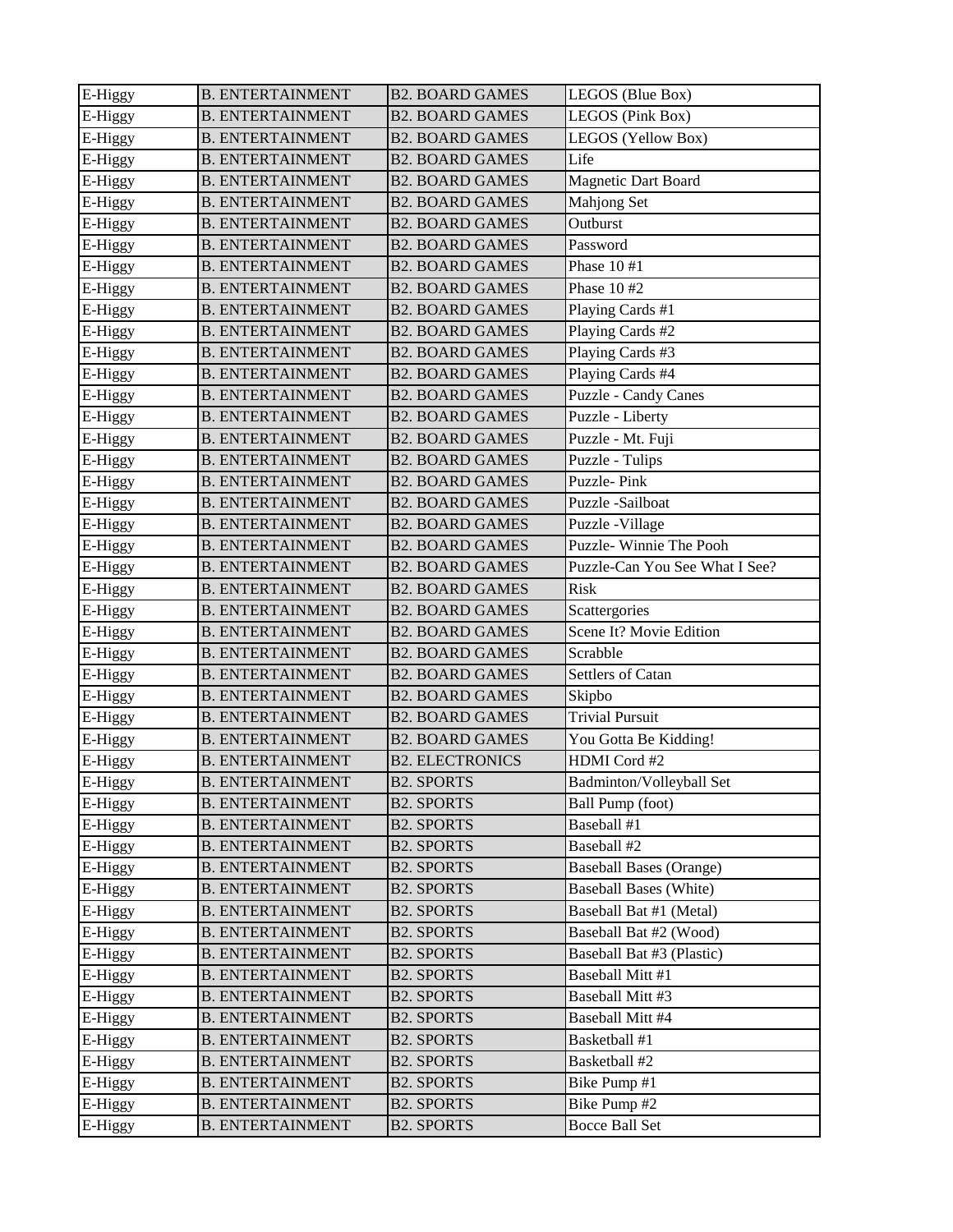| E-Higgy | <b>B. ENTERTAINMENT</b> | <b>B2. BOARD GAMES</b> | LEGOS (Blue Box)               |
|---------|-------------------------|------------------------|--------------------------------|
| E-Higgy | <b>B. ENTERTAINMENT</b> | <b>B2. BOARD GAMES</b> | LEGOS (Pink Box)               |
| E-Higgy | <b>B. ENTERTAINMENT</b> | <b>B2. BOARD GAMES</b> | LEGOS (Yellow Box)             |
| E-Higgy | <b>B. ENTERTAINMENT</b> | <b>B2. BOARD GAMES</b> | Life                           |
| E-Higgy | <b>B. ENTERTAINMENT</b> | <b>B2. BOARD GAMES</b> | Magnetic Dart Board            |
| E-Higgy | <b>B. ENTERTAINMENT</b> | <b>B2. BOARD GAMES</b> | Mahjong Set                    |
| E-Higgy | <b>B. ENTERTAINMENT</b> | <b>B2. BOARD GAMES</b> | Outburst                       |
| E-Higgy | <b>B. ENTERTAINMENT</b> | <b>B2. BOARD GAMES</b> | Password                       |
| E-Higgy | <b>B. ENTERTAINMENT</b> | <b>B2. BOARD GAMES</b> | Phase 10 #1                    |
| E-Higgy | <b>B. ENTERTAINMENT</b> | <b>B2. BOARD GAMES</b> | Phase 10 #2                    |
| E-Higgy | <b>B. ENTERTAINMENT</b> | <b>B2. BOARD GAMES</b> | Playing Cards #1               |
| E-Higgy | <b>B. ENTERTAINMENT</b> | <b>B2. BOARD GAMES</b> | Playing Cards #2               |
| E-Higgy | <b>B. ENTERTAINMENT</b> | <b>B2. BOARD GAMES</b> | Playing Cards #3               |
| E-Higgy | <b>B. ENTERTAINMENT</b> | <b>B2. BOARD GAMES</b> | Playing Cards #4               |
| E-Higgy | <b>B. ENTERTAINMENT</b> | <b>B2. BOARD GAMES</b> | Puzzle - Candy Canes           |
| E-Higgy | <b>B. ENTERTAINMENT</b> | <b>B2. BOARD GAMES</b> | Puzzle - Liberty               |
| E-Higgy | <b>B. ENTERTAINMENT</b> | <b>B2. BOARD GAMES</b> | Puzzle - Mt. Fuji              |
| E-Higgy | <b>B. ENTERTAINMENT</b> | <b>B2. BOARD GAMES</b> | Puzzle - Tulips                |
| E-Higgy | <b>B. ENTERTAINMENT</b> | <b>B2. BOARD GAMES</b> | Puzzle-Pink                    |
| E-Higgy | <b>B. ENTERTAINMENT</b> | <b>B2. BOARD GAMES</b> | Puzzle-Sailboat                |
| E-Higgy | <b>B. ENTERTAINMENT</b> | <b>B2. BOARD GAMES</b> | Puzzle -Village                |
| E-Higgy | <b>B. ENTERTAINMENT</b> | <b>B2. BOARD GAMES</b> | Puzzle-Winnie The Pooh         |
| E-Higgy | <b>B. ENTERTAINMENT</b> | <b>B2. BOARD GAMES</b> | Puzzle-Can You See What I See? |
| E-Higgy | <b>B. ENTERTAINMENT</b> | <b>B2. BOARD GAMES</b> | Risk                           |
| E-Higgy | <b>B. ENTERTAINMENT</b> | <b>B2. BOARD GAMES</b> | Scattergories                  |
| E-Higgy | <b>B. ENTERTAINMENT</b> | <b>B2. BOARD GAMES</b> | Scene It? Movie Edition        |
| E-Higgy | <b>B. ENTERTAINMENT</b> | <b>B2. BOARD GAMES</b> | Scrabble                       |
| E-Higgy | <b>B. ENTERTAINMENT</b> | <b>B2. BOARD GAMES</b> | Settlers of Catan              |
| E-Higgy | <b>B. ENTERTAINMENT</b> | <b>B2. BOARD GAMES</b> | Skipbo                         |
| E-Higgy | <b>B. ENTERTAINMENT</b> | <b>B2. BOARD GAMES</b> | <b>Trivial Pursuit</b>         |
| E-Higgy | <b>B. ENTERTAINMENT</b> | <b>B2. BOARD GAMES</b> | You Gotta Be Kidding!          |
| E-Higgy | <b>B. ENTERTAINMENT</b> | <b>B2. ELECTRONICS</b> | HDMI Cord #2                   |
| E-Higgy | <b>B. ENTERTAINMENT</b> | <b>B2. SPORTS</b>      | Badminton/Volleyball Set       |
| E-Higgy | <b>B. ENTERTAINMENT</b> | <b>B2. SPORTS</b>      | Ball Pump (foot)               |
| E-Higgy | <b>B. ENTERTAINMENT</b> | <b>B2. SPORTS</b>      | Baseball #1                    |
| E-Higgy | <b>B. ENTERTAINMENT</b> | <b>B2. SPORTS</b>      | Baseball #2                    |
| E-Higgy | <b>B. ENTERTAINMENT</b> | <b>B2. SPORTS</b>      | <b>Baseball Bases (Orange)</b> |
| E-Higgy | <b>B. ENTERTAINMENT</b> | <b>B2. SPORTS</b>      | <b>Baseball Bases (White)</b>  |
| E-Higgy | <b>B. ENTERTAINMENT</b> | <b>B2. SPORTS</b>      | Baseball Bat #1 (Metal)        |
| E-Higgy | <b>B. ENTERTAINMENT</b> | <b>B2. SPORTS</b>      | Baseball Bat #2 (Wood)         |
| E-Higgy | <b>B. ENTERTAINMENT</b> | <b>B2. SPORTS</b>      | Baseball Bat #3 (Plastic)      |
| E-Higgy | <b>B. ENTERTAINMENT</b> | <b>B2. SPORTS</b>      | Baseball Mitt #1               |
| E-Higgy | <b>B. ENTERTAINMENT</b> | <b>B2. SPORTS</b>      | Baseball Mitt #3               |
| E-Higgy | <b>B. ENTERTAINMENT</b> | <b>B2. SPORTS</b>      | Baseball Mitt #4               |
| E-Higgy | <b>B. ENTERTAINMENT</b> | <b>B2. SPORTS</b>      | Basketball #1                  |
| E-Higgy | <b>B. ENTERTAINMENT</b> | <b>B2. SPORTS</b>      | Basketball #2                  |
| E-Higgy | <b>B. ENTERTAINMENT</b> | <b>B2. SPORTS</b>      | Bike Pump #1                   |
| E-Higgy | <b>B. ENTERTAINMENT</b> | <b>B2. SPORTS</b>      | Bike Pump #2                   |
| E-Higgy | <b>B. ENTERTAINMENT</b> | <b>B2. SPORTS</b>      | <b>Bocce Ball Set</b>          |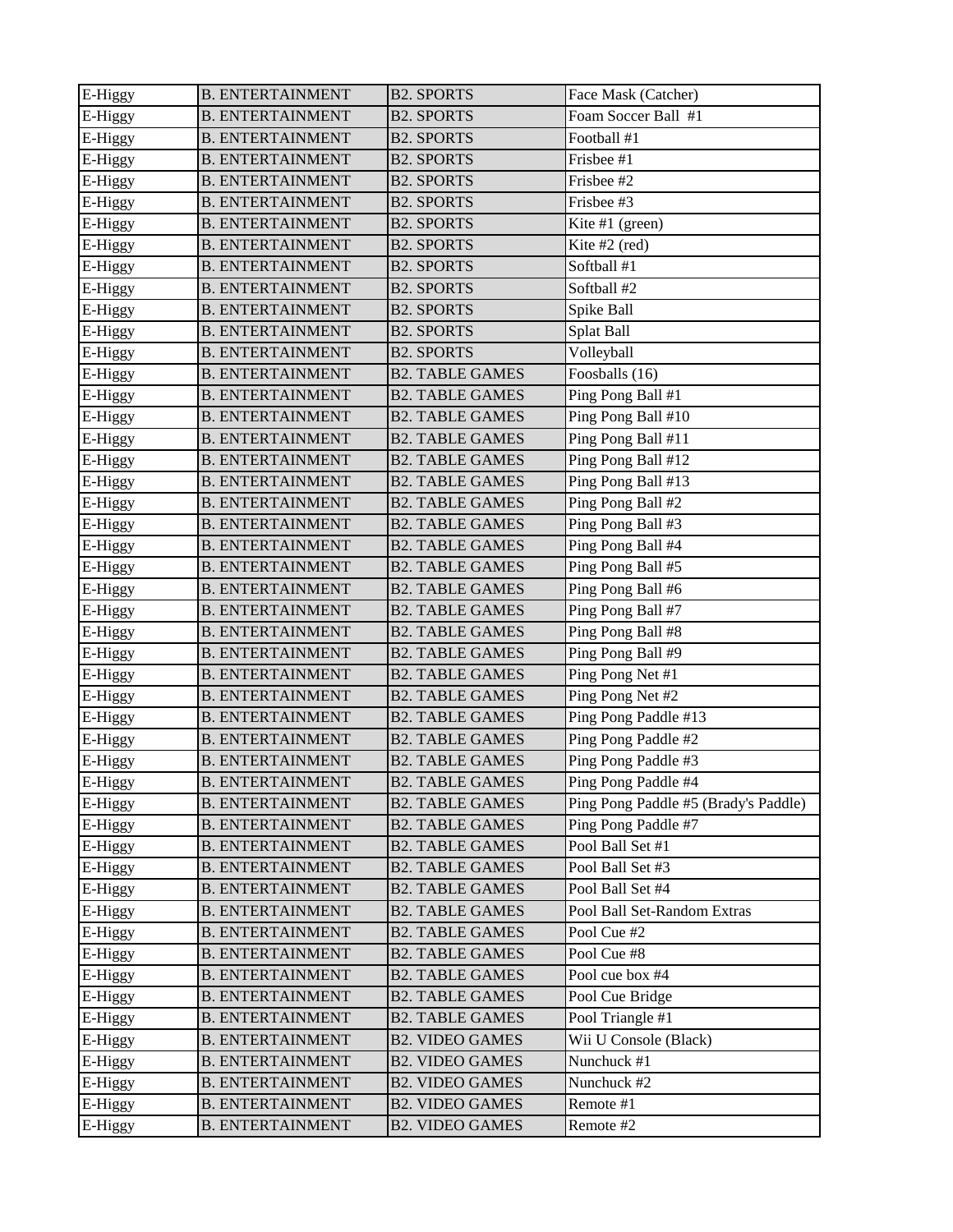| E-Higgy | <b>B. ENTERTAINMENT</b> | <b>B2. SPORTS</b>      | Face Mask (Catcher)                  |
|---------|-------------------------|------------------------|--------------------------------------|
| E-Higgy | <b>B. ENTERTAINMENT</b> | <b>B2. SPORTS</b>      | Foam Soccer Ball #1                  |
| E-Higgy | <b>B. ENTERTAINMENT</b> | <b>B2. SPORTS</b>      | Football #1                          |
| E-Higgy | <b>B. ENTERTAINMENT</b> | <b>B2. SPORTS</b>      | Frisbee #1                           |
| E-Higgy | <b>B. ENTERTAINMENT</b> | <b>B2. SPORTS</b>      | Frisbee #2                           |
| E-Higgy | <b>B. ENTERTAINMENT</b> | <b>B2. SPORTS</b>      | Frisbee #3                           |
| E-Higgy | <b>B. ENTERTAINMENT</b> | <b>B2. SPORTS</b>      | Kite #1 (green)                      |
| E-Higgy | <b>B. ENTERTAINMENT</b> | <b>B2. SPORTS</b>      | Kite #2 (red)                        |
| E-Higgy | <b>B. ENTERTAINMENT</b> | <b>B2. SPORTS</b>      | Softball #1                          |
| E-Higgy | <b>B. ENTERTAINMENT</b> | <b>B2. SPORTS</b>      | Softball #2                          |
| E-Higgy | <b>B. ENTERTAINMENT</b> | <b>B2. SPORTS</b>      | Spike Ball                           |
| E-Higgy | <b>B. ENTERTAINMENT</b> | <b>B2. SPORTS</b>      | Splat Ball                           |
| E-Higgy | <b>B. ENTERTAINMENT</b> | <b>B2. SPORTS</b>      | Volleyball                           |
| E-Higgy | <b>B. ENTERTAINMENT</b> | <b>B2. TABLE GAMES</b> | Foosballs (16)                       |
| E-Higgy | <b>B. ENTERTAINMENT</b> | <b>B2. TABLE GAMES</b> | Ping Pong Ball #1                    |
| E-Higgy | <b>B. ENTERTAINMENT</b> | <b>B2. TABLE GAMES</b> | Ping Pong Ball #10                   |
| E-Higgy | <b>B. ENTERTAINMENT</b> | <b>B2. TABLE GAMES</b> | Ping Pong Ball #11                   |
| E-Higgy | <b>B. ENTERTAINMENT</b> | <b>B2. TABLE GAMES</b> | Ping Pong Ball #12                   |
| E-Higgy | <b>B. ENTERTAINMENT</b> | <b>B2. TABLE GAMES</b> | Ping Pong Ball #13                   |
| E-Higgy | <b>B. ENTERTAINMENT</b> | <b>B2. TABLE GAMES</b> | Ping Pong Ball #2                    |
| E-Higgy | <b>B. ENTERTAINMENT</b> | <b>B2. TABLE GAMES</b> | Ping Pong Ball #3                    |
| E-Higgy | <b>B. ENTERTAINMENT</b> | <b>B2. TABLE GAMES</b> | Ping Pong Ball #4                    |
| E-Higgy | <b>B. ENTERTAINMENT</b> | <b>B2. TABLE GAMES</b> | Ping Pong Ball #5                    |
| E-Higgy | <b>B. ENTERTAINMENT</b> | <b>B2. TABLE GAMES</b> | Ping Pong Ball #6                    |
| E-Higgy | <b>B. ENTERTAINMENT</b> | <b>B2. TABLE GAMES</b> | Ping Pong Ball #7                    |
| E-Higgy | <b>B. ENTERTAINMENT</b> | <b>B2. TABLE GAMES</b> | Ping Pong Ball #8                    |
| E-Higgy | <b>B. ENTERTAINMENT</b> | <b>B2. TABLE GAMES</b> | Ping Pong Ball #9                    |
| E-Higgy | <b>B. ENTERTAINMENT</b> | <b>B2. TABLE GAMES</b> | Ping Pong Net #1                     |
| E-Higgy | <b>B. ENTERTAINMENT</b> | <b>B2. TABLE GAMES</b> | Ping Pong Net #2                     |
| E-Higgy | <b>B. ENTERTAINMENT</b> | <b>B2. TABLE GAMES</b> | Ping Pong Paddle #13                 |
| E-Higgy | <b>B. ENTERTAINMENT</b> | <b>B2. TABLE GAMES</b> | Ping Pong Paddle #2                  |
| E-Higgy | <b>B. ENTERTAINMENT</b> | <b>B2. TABLE GAMES</b> | Ping Pong Paddle #3                  |
| E-Higgy | <b>B. ENTERTAINMENT</b> | <b>B2. TABLE GAMES</b> | Ping Pong Paddle #4                  |
| E-Higgy | <b>B. ENTERTAINMENT</b> | <b>B2. TABLE GAMES</b> | Ping Pong Paddle #5 (Brady's Paddle) |
| E-Higgy | <b>B. ENTERTAINMENT</b> | <b>B2. TABLE GAMES</b> | Ping Pong Paddle #7                  |
| E-Higgy | <b>B. ENTERTAINMENT</b> | <b>B2. TABLE GAMES</b> | Pool Ball Set #1                     |
| E-Higgy | <b>B. ENTERTAINMENT</b> | <b>B2. TABLE GAMES</b> | Pool Ball Set #3                     |
| E-Higgy | <b>B. ENTERTAINMENT</b> | <b>B2. TABLE GAMES</b> | Pool Ball Set #4                     |
| E-Higgy | <b>B. ENTERTAINMENT</b> | <b>B2. TABLE GAMES</b> | Pool Ball Set-Random Extras          |
| E-Higgy | <b>B. ENTERTAINMENT</b> | <b>B2. TABLE GAMES</b> | Pool Cue #2                          |
| E-Higgy | <b>B. ENTERTAINMENT</b> | <b>B2. TABLE GAMES</b> | Pool Cue #8                          |
| E-Higgy | <b>B. ENTERTAINMENT</b> | <b>B2. TABLE GAMES</b> | Pool cue box #4                      |
| E-Higgy | <b>B. ENTERTAINMENT</b> | <b>B2. TABLE GAMES</b> | Pool Cue Bridge                      |
| E-Higgy | <b>B. ENTERTAINMENT</b> | <b>B2. TABLE GAMES</b> | Pool Triangle #1                     |
| E-Higgy | <b>B. ENTERTAINMENT</b> | <b>B2. VIDEO GAMES</b> | Wii U Console (Black)                |
| E-Higgy | <b>B. ENTERTAINMENT</b> | <b>B2. VIDEO GAMES</b> | Nunchuck #1                          |
| E-Higgy | <b>B. ENTERTAINMENT</b> | <b>B2. VIDEO GAMES</b> | Nunchuck #2                          |
| E-Higgy | <b>B. ENTERTAINMENT</b> | <b>B2. VIDEO GAMES</b> | Remote #1                            |
| E-Higgy | <b>B. ENTERTAINMENT</b> | <b>B2. VIDEO GAMES</b> | Remote #2                            |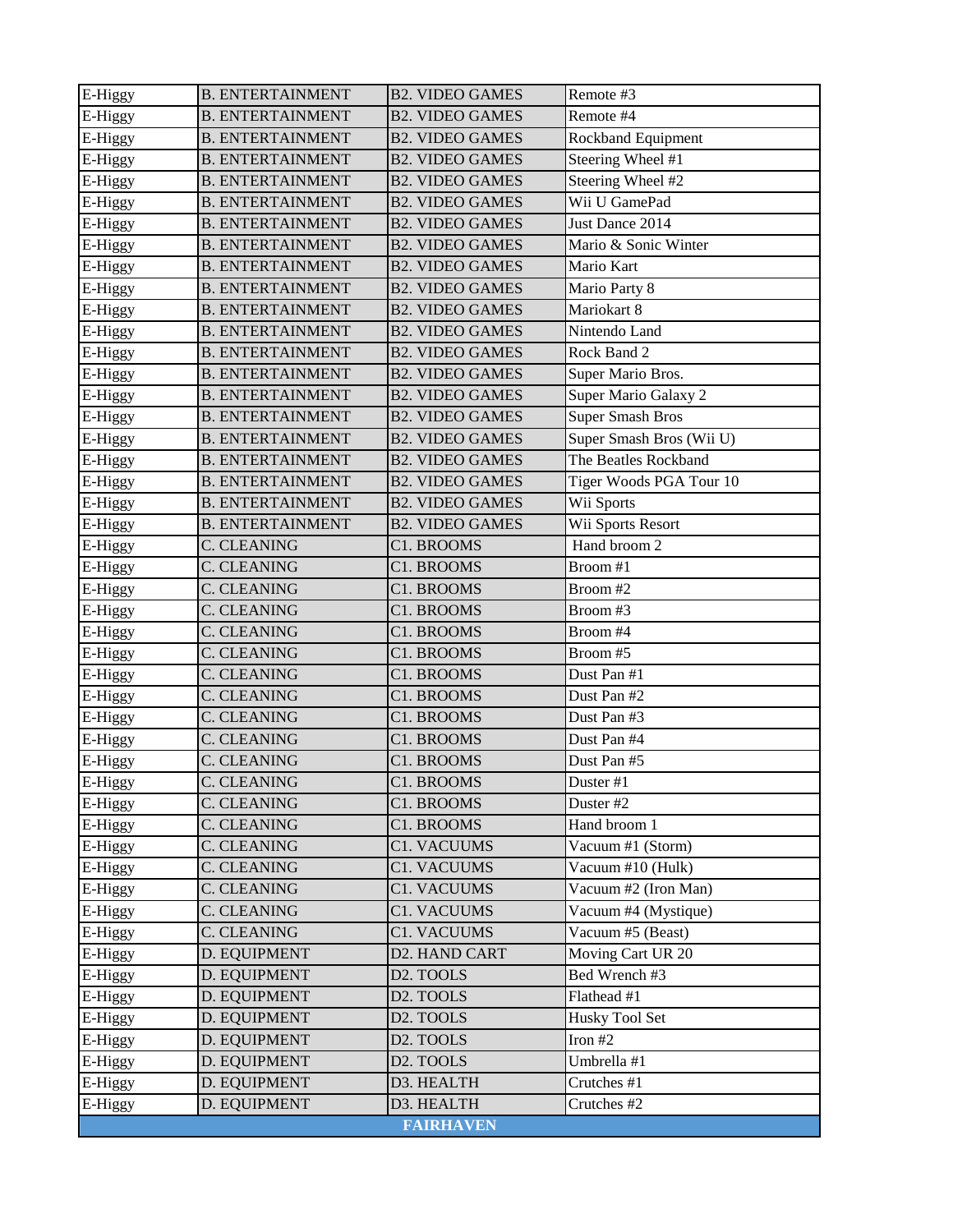| E-Higgy | <b>B. ENTERTAINMENT</b> | <b>B2. VIDEO GAMES</b> | Remote #3                |
|---------|-------------------------|------------------------|--------------------------|
| E-Higgy | <b>B. ENTERTAINMENT</b> | <b>B2. VIDEO GAMES</b> | Remote #4                |
| E-Higgy | <b>B. ENTERTAINMENT</b> | <b>B2. VIDEO GAMES</b> | Rockband Equipment       |
| E-Higgy | <b>B. ENTERTAINMENT</b> | <b>B2. VIDEO GAMES</b> | Steering Wheel #1        |
| E-Higgy | <b>B. ENTERTAINMENT</b> | <b>B2. VIDEO GAMES</b> | Steering Wheel #2        |
| E-Higgy | <b>B. ENTERTAINMENT</b> | <b>B2. VIDEO GAMES</b> | Wii U GamePad            |
| E-Higgy | <b>B. ENTERTAINMENT</b> | <b>B2. VIDEO GAMES</b> | Just Dance 2014          |
| E-Higgy | <b>B. ENTERTAINMENT</b> | <b>B2. VIDEO GAMES</b> | Mario & Sonic Winter     |
| E-Higgy | <b>B. ENTERTAINMENT</b> | <b>B2. VIDEO GAMES</b> | Mario Kart               |
| E-Higgy | <b>B. ENTERTAINMENT</b> | <b>B2. VIDEO GAMES</b> | Mario Party 8            |
| E-Higgy | <b>B. ENTERTAINMENT</b> | <b>B2. VIDEO GAMES</b> | Mariokart 8              |
| E-Higgy | <b>B. ENTERTAINMENT</b> | <b>B2. VIDEO GAMES</b> | Nintendo Land            |
| E-Higgy | <b>B. ENTERTAINMENT</b> | <b>B2. VIDEO GAMES</b> | Rock Band 2              |
| E-Higgy | <b>B. ENTERTAINMENT</b> | <b>B2. VIDEO GAMES</b> | Super Mario Bros.        |
| E-Higgy | <b>B. ENTERTAINMENT</b> | <b>B2. VIDEO GAMES</b> | Super Mario Galaxy 2     |
| E-Higgy | <b>B. ENTERTAINMENT</b> | <b>B2. VIDEO GAMES</b> | <b>Super Smash Bros</b>  |
| E-Higgy | <b>B. ENTERTAINMENT</b> | <b>B2. VIDEO GAMES</b> | Super Smash Bros (Wii U) |
| E-Higgy | <b>B. ENTERTAINMENT</b> | <b>B2. VIDEO GAMES</b> | The Beatles Rockband     |
| E-Higgy | <b>B. ENTERTAINMENT</b> | <b>B2. VIDEO GAMES</b> | Tiger Woods PGA Tour 10  |
| E-Higgy | <b>B. ENTERTAINMENT</b> | <b>B2. VIDEO GAMES</b> | Wii Sports               |
| E-Higgy | <b>B. ENTERTAINMENT</b> | <b>B2. VIDEO GAMES</b> | Wii Sports Resort        |
| E-Higgy | <b>C. CLEANING</b>      | C1. BROOMS             | Hand broom 2             |
| E-Higgy | <b>C. CLEANING</b>      | C1. BROOMS             | Broom #1                 |
| E-Higgy | C. CLEANING             | C1. BROOMS             | Broom #2                 |
| E-Higgy | <b>C. CLEANING</b>      | C1. BROOMS             | Broom #3                 |
| E-Higgy | C. CLEANING             | C1. BROOMS             | Broom #4                 |
| E-Higgy | C. CLEANING             | C1. BROOMS             | Broom #5                 |
| E-Higgy | C. CLEANING             | C1. BROOMS             | Dust Pan #1              |
| E-Higgy | C. CLEANING             | C1. BROOMS             | Dust Pan #2              |
| E-Higgy | C. CLEANING             | C1. BROOMS             | Dust Pan #3              |
| E-Higgy | <b>C. CLEANING</b>      | C1. BROOMS             | Dust Pan #4              |
| E-Higgy | C. CLEANING             | C1. BROOMS             | Dust Pan #5              |
| E-Higgy | <b>C. CLEANING</b>      | C1. BROOMS             | Duster #1                |
| E-Higgy | C. CLEANING             | C1. BROOMS             | Duster #2                |
| E-Higgy | C. CLEANING             | C1. BROOMS             | Hand broom 1             |
| E-Higgy | C. CLEANING             | C1. VACUUMS            | Vacuum #1 (Storm)        |
| E-Higgy | <b>C. CLEANING</b>      | <b>C1. VACUUMS</b>     | Vacuum #10 (Hulk)        |
| E-Higgy | C. CLEANING             | C1. VACUUMS            | Vacuum #2 (Iron Man)     |
| E-Higgy | <b>C. CLEANING</b>      | C1. VACUUMS            | Vacuum #4 (Mystique)     |
| E-Higgy | <b>C. CLEANING</b>      | <b>C1. VACUUMS</b>     | Vacuum #5 (Beast)        |
| E-Higgy | D. EQUIPMENT            | D2. HAND CART          | Moving Cart UR 20        |
| E-Higgy | D. EQUIPMENT            | D2. TOOLS              | Bed Wrench #3            |
| E-Higgy | D. EQUIPMENT            | D2. TOOLS              | Flathead #1              |
| E-Higgy | D. EQUIPMENT            | D2. TOOLS              | Husky Tool Set           |
| E-Higgy | D. EQUIPMENT            | D2. TOOLS              | Iron #2                  |
| E-Higgy | D. EQUIPMENT            | D <sub>2</sub> . TOOLS | Umbrella #1              |
| E-Higgy | D. EQUIPMENT            | D3. HEALTH             | Crutches #1              |
| E-Higgy | D. EQUIPMENT            | D3. HEALTH             | Crutches #2              |
|         |                         | <b>FAIRHAVEN</b>       |                          |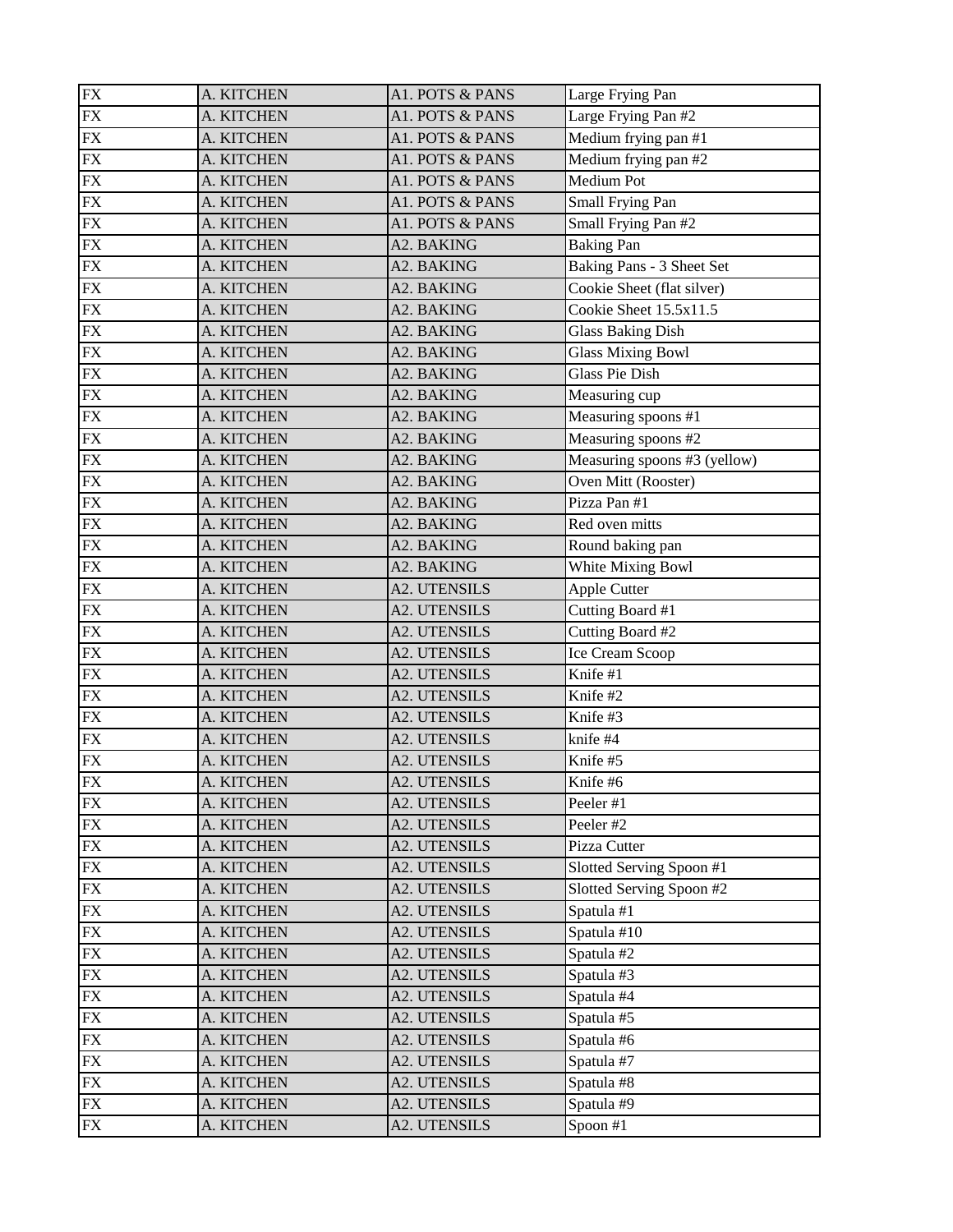| <b>FX</b>       | A. KITCHEN               | A1. POTS & PANS     | Large Frying Pan             |
|-----------------|--------------------------|---------------------|------------------------------|
| ${\rm FX}$      | A. KITCHEN               | A1. POTS & PANS     | Large Frying Pan #2          |
| <b>FX</b>       | A. KITCHEN               | A1. POTS & PANS     | Medium frying pan #1         |
| <b>FX</b>       | A. KITCHEN               | A1. POTS & PANS     | Medium frying pan #2         |
| ${\rm FX}$      | A. KITCHEN               | A1. POTS & PANS     | <b>Medium Pot</b>            |
| ${\rm FX}$      | A. KITCHEN               | A1. POTS & PANS     | Small Frying Pan             |
| $\overline{FX}$ | A. KITCHEN               | A1. POTS & PANS     | Small Frying Pan #2          |
| <b>FX</b>       | A. KITCHEN               | A2. BAKING          | <b>Baking Pan</b>            |
| <b>FX</b>       | A. KITCHEN               | A2. BAKING          | Baking Pans - 3 Sheet Set    |
| <b>FX</b>       | A. KITCHEN               | A2. BAKING          | Cookie Sheet (flat silver)   |
| ${\rm FX}$      | A. KITCHEN               | A2. BAKING          | Cookie Sheet 15.5x11.5       |
| ${\rm FX}$      | A. KITCHEN               | A2. BAKING          | <b>Glass Baking Dish</b>     |
| <b>FX</b>       | A. KITCHEN               | A2. BAKING          | <b>Glass Mixing Bowl</b>     |
| <b>FX</b>       | A. KITCHEN               | A2. BAKING          | <b>Glass Pie Dish</b>        |
| <b>FX</b>       | A. KITCHEN               | A2. BAKING          | Measuring cup                |
| <b>FX</b>       | A. KITCHEN               | A2. BAKING          | Measuring spoons #1          |
| <b>FX</b>       | A. KITCHEN               | A2. BAKING          | Measuring spoons #2          |
| <b>FX</b>       | A. KITCHEN               | A2. BAKING          | Measuring spoons #3 (yellow) |
| <b>FX</b>       | A. KITCHEN               | A2. BAKING          | Oven Mitt (Rooster)          |
| <b>FX</b>       | A. KITCHEN               | A2. BAKING          | Pizza Pan #1                 |
| ${\rm FX}$      | A. KITCHEN               | A2. BAKING          | Red oven mitts               |
| <b>FX</b>       | A. KITCHEN               | A2. BAKING          | Round baking pan             |
| <b>FX</b>       | A. KITCHEN               | A2. BAKING          | White Mixing Bowl            |
| <b>FX</b>       | A. KITCHEN               | <b>A2. UTENSILS</b> | Apple Cutter                 |
| ${\rm FX}$      | A. KITCHEN               | <b>A2. UTENSILS</b> | Cutting Board #1             |
| <b>FX</b>       | A. KITCHEN               | <b>A2. UTENSILS</b> | Cutting Board #2             |
| <b>FX</b>       | A. KITCHEN               | <b>A2. UTENSILS</b> | Ice Cream Scoop              |
| <b>FX</b>       | A. KITCHEN               | <b>A2. UTENSILS</b> | Knife #1                     |
| <b>FX</b>       | A. KITCHEN               | <b>A2. UTENSILS</b> | Knife #2                     |
| <b>FX</b>       | A. KITCHEN               | <b>A2. UTENSILS</b> | Knife #3                     |
| <b>FX</b>       | A. KITCHEN               | <b>A2. UTENSILS</b> | knife #4                     |
| <b>FX</b>       | A. KITCHEN               | <b>A2. UTENSILS</b> | Knife #5                     |
| FX              | A. KITCHEN               | <b>A2. UTENSILS</b> | Knife #6                     |
| <b>FX</b>       | A. KITCHEN               | A2. UTENSILS        | Peeler #1                    |
| ${\rm FX}$      | A. KITCHEN               | <b>A2. UTENSILS</b> | Peeler #2                    |
| <b>FX</b>       | A. KITCHEN               | A2. UTENSILS        | Pizza Cutter                 |
| <b>FX</b>       | A. KITCHEN               | <b>A2. UTENSILS</b> | Slotted Serving Spoon #1     |
| FX              | A. KITCHEN               | A2. UTENSILS        | Slotted Serving Spoon #2     |
| <b>FX</b>       | A. KITCHEN               | A2. UTENSILS        | Spatula #1                   |
| <b>FX</b>       | A. KITCHEN               | A2. UTENSILS        | Spatula #10                  |
| ${\rm FX}$      | A. KITCHEN               | A2. UTENSILS        | Spatula #2                   |
| <b>FX</b>       | A. KITCHEN               | A2. UTENSILS        | Spatula #3                   |
| <b>FX</b>       | A. KITCHEN               | A2. UTENSILS        | Spatula #4                   |
| ${\rm FX}$      | A. KITCHEN               | A2. UTENSILS        | Spatula #5                   |
| ${\rm FX}$      | A. KITCHEN               | A2. UTENSILS        | Spatula #6                   |
| <b>FX</b>       | A. KITCHEN               | A2. UTENSILS        | Spatula #7                   |
| <b>FX</b>       |                          | A2. UTENSILS        | Spatula #8                   |
| FX              | A. KITCHEN<br>A. KITCHEN | A2. UTENSILS        | Spatula #9                   |
|                 |                          |                     |                              |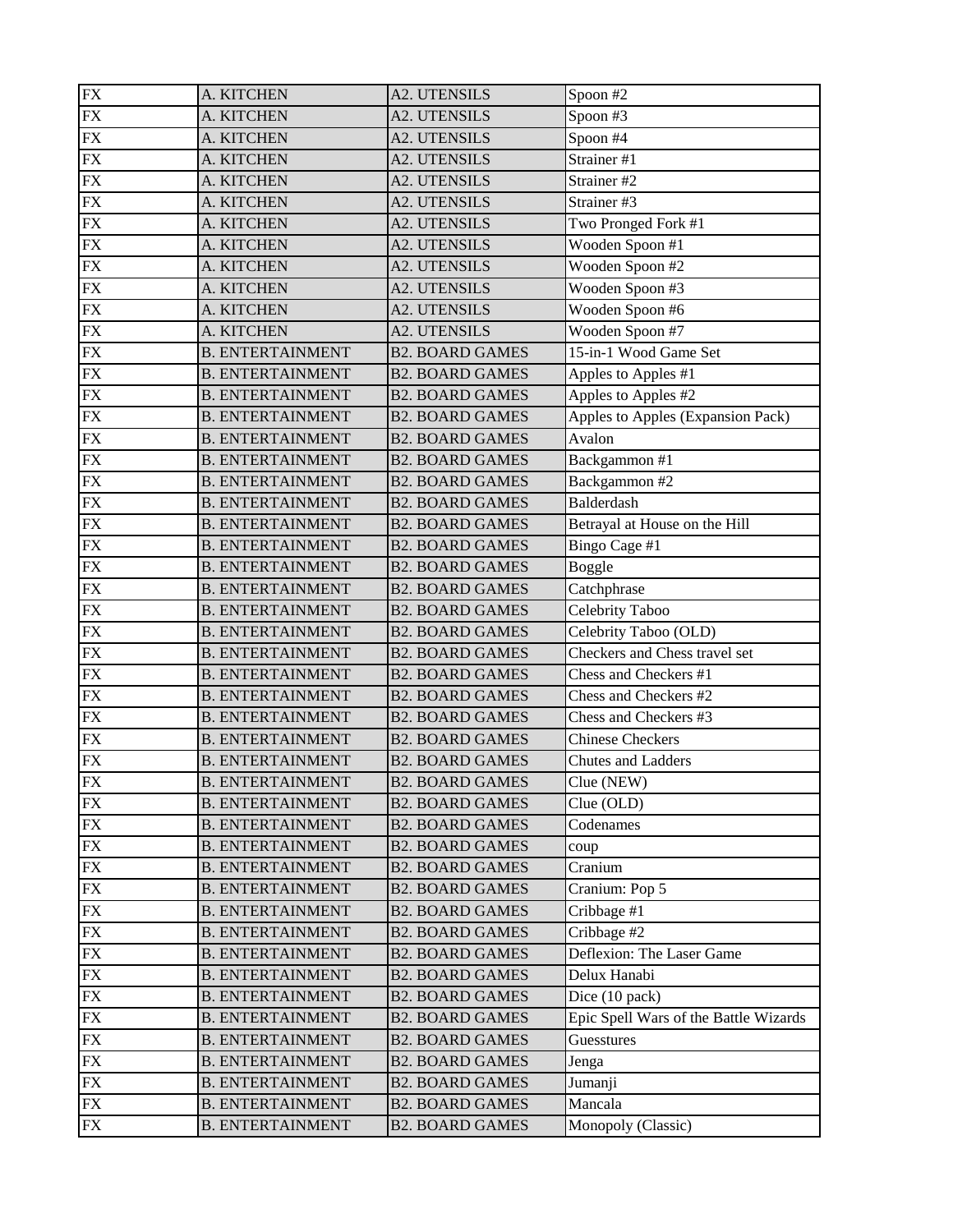| <b>FX</b>  | A. KITCHEN              | <b>A2. UTENSILS</b>    | Spoon $#2$                            |
|------------|-------------------------|------------------------|---------------------------------------|
| <b>FX</b>  | A. KITCHEN              | <b>A2. UTENSILS</b>    | Spoon #3                              |
| <b>FX</b>  | A. KITCHEN              | <b>A2. UTENSILS</b>    | Spoon #4                              |
| <b>FX</b>  | A. KITCHEN              | A2. UTENSILS           | Strainer #1                           |
| ${\rm FX}$ | A. KITCHEN              | <b>A2. UTENSILS</b>    | Strainer #2                           |
| <b>FX</b>  | A. KITCHEN              | <b>A2. UTENSILS</b>    | Strainer #3                           |
| <b>FX</b>  | A. KITCHEN              | <b>A2. UTENSILS</b>    | Two Pronged Fork #1                   |
| <b>FX</b>  | A. KITCHEN              | <b>A2. UTENSILS</b>    | Wooden Spoon #1                       |
| ${\rm FX}$ | A. KITCHEN              | <b>A2. UTENSILS</b>    | Wooden Spoon #2                       |
| ${\rm FX}$ | A. KITCHEN              | A2. UTENSILS           | Wooden Spoon #3                       |
| ${\rm FX}$ | A. KITCHEN              | <b>A2. UTENSILS</b>    | Wooden Spoon #6                       |
| <b>FX</b>  | A. KITCHEN              | <b>A2. UTENSILS</b>    | Wooden Spoon #7                       |
| <b>FX</b>  | <b>B. ENTERTAINMENT</b> | <b>B2. BOARD GAMES</b> | 15-in-1 Wood Game Set                 |
| <b>FX</b>  | <b>B. ENTERTAINMENT</b> | <b>B2. BOARD GAMES</b> | Apples to Apples #1                   |
| ${\rm FX}$ | <b>B. ENTERTAINMENT</b> | <b>B2. BOARD GAMES</b> | Apples to Apples #2                   |
| <b>FX</b>  | <b>B. ENTERTAINMENT</b> | <b>B2. BOARD GAMES</b> | Apples to Apples (Expansion Pack)     |
| <b>FX</b>  | <b>B. ENTERTAINMENT</b> | <b>B2. BOARD GAMES</b> | Avalon                                |
| <b>FX</b>  | <b>B. ENTERTAINMENT</b> | <b>B2. BOARD GAMES</b> | Backgammon #1                         |
| ${\rm FX}$ | <b>B. ENTERTAINMENT</b> | <b>B2. BOARD GAMES</b> | Backgammon $#2$                       |
| <b>FX</b>  | <b>B. ENTERTAINMENT</b> | <b>B2. BOARD GAMES</b> | Balderdash                            |
| ${\rm FX}$ | <b>B. ENTERTAINMENT</b> | <b>B2. BOARD GAMES</b> | Betrayal at House on the Hill         |
| <b>FX</b>  | <b>B. ENTERTAINMENT</b> | <b>B2. BOARD GAMES</b> | Bingo Cage #1                         |
| <b>FX</b>  | <b>B. ENTERTAINMENT</b> | <b>B2. BOARD GAMES</b> | <b>Boggle</b>                         |
| <b>FX</b>  | <b>B. ENTERTAINMENT</b> | <b>B2. BOARD GAMES</b> | Catchphrase                           |
| ${\rm FX}$ | <b>B. ENTERTAINMENT</b> | <b>B2. BOARD GAMES</b> | Celebrity Taboo                       |
| <b>FX</b>  | <b>B. ENTERTAINMENT</b> | <b>B2. BOARD GAMES</b> | Celebrity Taboo (OLD)                 |
| <b>FX</b>  | <b>B. ENTERTAINMENT</b> | <b>B2. BOARD GAMES</b> | Checkers and Chess travel set         |
| <b>FX</b>  | <b>B. ENTERTAINMENT</b> | <b>B2. BOARD GAMES</b> | Chess and Checkers #1                 |
| ${\rm FX}$ | <b>B. ENTERTAINMENT</b> | <b>B2. BOARD GAMES</b> | Chess and Checkers #2                 |
| <b>FX</b>  | <b>B. ENTERTAINMENT</b> | <b>B2. BOARD GAMES</b> | Chess and Checkers #3                 |
| ${\rm FX}$ | <b>B. ENTERTAINMENT</b> | <b>B2. BOARD GAMES</b> | <b>Chinese Checkers</b>               |
| ${\rm FX}$ | <b>B. ENTERTAINMENT</b> | <b>B2. BOARD GAMES</b> | Chutes and Ladders                    |
| FX         | <b>B. ENTERTAINMENT</b> | <b>B2. BOARD GAMES</b> | Clue (NEW)                            |
| ${\rm FX}$ |                         |                        |                                       |
|            | <b>B. ENTERTAINMENT</b> | <b>B2. BOARD GAMES</b> | Clue (OLD)                            |
| FX         | <b>B. ENTERTAINMENT</b> | <b>B2. BOARD GAMES</b> | Codenames                             |
| <b>FX</b>  | <b>B. ENTERTAINMENT</b> | <b>B2. BOARD GAMES</b> | coup                                  |
| ${\rm FX}$ | <b>B. ENTERTAINMENT</b> | <b>B2. BOARD GAMES</b> | Cranium                               |
| ${\rm FX}$ | <b>B. ENTERTAINMENT</b> | <b>B2. BOARD GAMES</b> | Cranium: Pop 5                        |
| <b>FX</b>  | <b>B. ENTERTAINMENT</b> | <b>B2. BOARD GAMES</b> | Cribbage #1                           |
| <b>FX</b>  | <b>B. ENTERTAINMENT</b> | <b>B2. BOARD GAMES</b> | Cribbage #2                           |
| ${\rm FX}$ | <b>B. ENTERTAINMENT</b> | <b>B2. BOARD GAMES</b> | Deflexion: The Laser Game             |
| <b>FX</b>  | <b>B. ENTERTAINMENT</b> | <b>B2. BOARD GAMES</b> | Delux Hanabi                          |
| <b>FX</b>  | <b>B. ENTERTAINMENT</b> | <b>B2. BOARD GAMES</b> | Dice (10 pack)                        |
| ${\rm FX}$ | <b>B. ENTERTAINMENT</b> | <b>B2. BOARD GAMES</b> | Epic Spell Wars of the Battle Wizards |
| <b>FX</b>  | <b>B. ENTERTAINMENT</b> | <b>B2. BOARD GAMES</b> | Guesstures                            |
| <b>FX</b>  | <b>B. ENTERTAINMENT</b> | <b>B2. BOARD GAMES</b> | Jenga                                 |
| ${\rm FX}$ | <b>B. ENTERTAINMENT</b> | <b>B2. BOARD GAMES</b> | Jumanji                               |
| <b>FX</b>  | <b>B. ENTERTAINMENT</b> | <b>B2. BOARD GAMES</b> | Mancala                               |
| ${\rm FX}$ | <b>B. ENTERTAINMENT</b> | <b>B2. BOARD GAMES</b> | Monopoly (Classic)                    |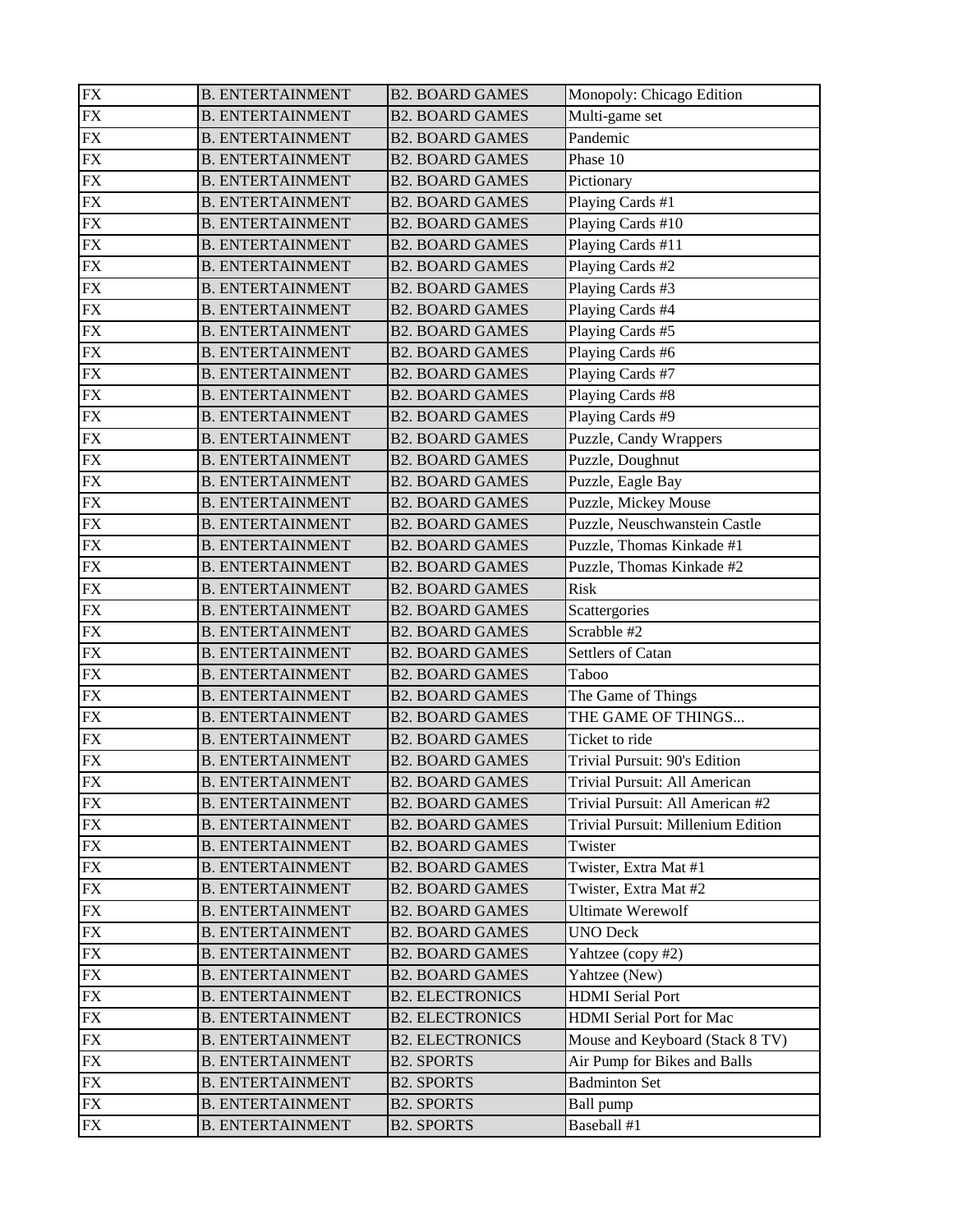| <b>FX</b>  | <b>B. ENTERTAINMENT</b>                            | <b>B2. BOARD GAMES</b>                 | Monopoly: Chicago Edition          |
|------------|----------------------------------------------------|----------------------------------------|------------------------------------|
| ${\rm FX}$ | <b>B. ENTERTAINMENT</b>                            | <b>B2. BOARD GAMES</b>                 | Multi-game set                     |
| <b>FX</b>  | <b>B. ENTERTAINMENT</b>                            | <b>B2. BOARD GAMES</b>                 | Pandemic                           |
| <b>FX</b>  | <b>B. ENTERTAINMENT</b>                            | <b>B2. BOARD GAMES</b>                 | Phase 10                           |
| ${\rm FX}$ | <b>B. ENTERTAINMENT</b>                            | <b>B2. BOARD GAMES</b>                 | Pictionary                         |
| ${\rm FX}$ | <b>B. ENTERTAINMENT</b>                            | <b>B2. BOARD GAMES</b>                 | Playing Cards #1                   |
| <b>FX</b>  | <b>B. ENTERTAINMENT</b>                            | <b>B2. BOARD GAMES</b>                 | Playing Cards #10                  |
| ${\rm FX}$ | <b>B. ENTERTAINMENT</b>                            | <b>B2. BOARD GAMES</b>                 | Playing Cards #11                  |
| <b>FX</b>  | <b>B. ENTERTAINMENT</b>                            | <b>B2. BOARD GAMES</b>                 | Playing Cards #2                   |
| <b>FX</b>  | <b>B. ENTERTAINMENT</b>                            | <b>B2. BOARD GAMES</b>                 | Playing Cards #3                   |
| <b>FX</b>  | <b>B. ENTERTAINMENT</b>                            | <b>B2. BOARD GAMES</b>                 | Playing Cards #4                   |
| ${\rm FX}$ | <b>B. ENTERTAINMENT</b>                            | <b>B2. BOARD GAMES</b>                 | Playing Cards #5                   |
| <b>FX</b>  | <b>B. ENTERTAINMENT</b>                            | <b>B2. BOARD GAMES</b>                 | Playing Cards #6                   |
| <b>FX</b>  | <b>B. ENTERTAINMENT</b>                            | <b>B2. BOARD GAMES</b>                 | Playing Cards #7                   |
| ${\rm FX}$ | <b>B. ENTERTAINMENT</b>                            | <b>B2. BOARD GAMES</b>                 | Playing Cards #8                   |
| ${\rm FX}$ | <b>B. ENTERTAINMENT</b>                            | <b>B2. BOARD GAMES</b>                 | Playing Cards #9                   |
| <b>FX</b>  | <b>B. ENTERTAINMENT</b>                            | <b>B2. BOARD GAMES</b>                 | Puzzle, Candy Wrappers             |
| ${\rm FX}$ | <b>B. ENTERTAINMENT</b>                            | <b>B2. BOARD GAMES</b>                 | Puzzle, Doughnut                   |
| <b>FX</b>  | <b>B. ENTERTAINMENT</b>                            | <b>B2. BOARD GAMES</b>                 | Puzzle, Eagle Bay                  |
| <b>FX</b>  | <b>B. ENTERTAINMENT</b>                            | <b>B2. BOARD GAMES</b>                 | Puzzle, Mickey Mouse               |
| ${\rm FX}$ | <b>B. ENTERTAINMENT</b>                            | <b>B2. BOARD GAMES</b>                 | Puzzle, Neuschwanstein Castle      |
| ${\rm FX}$ | <b>B. ENTERTAINMENT</b>                            | <b>B2. BOARD GAMES</b>                 | Puzzle, Thomas Kinkade #1          |
| <b>FX</b>  | <b>B. ENTERTAINMENT</b>                            | <b>B2. BOARD GAMES</b>                 | Puzzle, Thomas Kinkade #2          |
| <b>FX</b>  | <b>B. ENTERTAINMENT</b>                            | <b>B2. BOARD GAMES</b>                 | Risk                               |
| ${\rm FX}$ | <b>B. ENTERTAINMENT</b>                            | <b>B2. BOARD GAMES</b>                 | Scattergories                      |
| ${\rm FX}$ | <b>B. ENTERTAINMENT</b>                            | <b>B2. BOARD GAMES</b>                 | Scrabble #2                        |
| <b>FX</b>  | <b>B. ENTERTAINMENT</b>                            | <b>B2. BOARD GAMES</b>                 | Settlers of Catan                  |
| ${\rm FX}$ | <b>B. ENTERTAINMENT</b>                            | <b>B2. BOARD GAMES</b>                 | Taboo                              |
| <b>FX</b>  | <b>B. ENTERTAINMENT</b>                            | <b>B2. BOARD GAMES</b>                 | The Game of Things                 |
| <b>FX</b>  | <b>B. ENTERTAINMENT</b>                            | <b>B2. BOARD GAMES</b>                 | THE GAME OF THINGS                 |
| <b>FX</b>  | <b>B. ENTERTAINMENT</b>                            | <b>B2. BOARD GAMES</b>                 | Ticket to ride                     |
| <b>FX</b>  | <b>B. ENTERTAINMENT</b>                            | <b>B2. BOARD GAMES</b>                 | Trivial Pursuit: 90's Edition      |
| FX         | <b>B. ENTERTAINMENT</b>                            | <b>B2. BOARD GAMES</b>                 | Trivial Pursuit: All American      |
| <b>FX</b>  | <b>B. ENTERTAINMENT</b>                            | <b>B2. BOARD GAMES</b>                 | Trivial Pursuit: All American #2   |
| ${\rm FX}$ | <b>B. ENTERTAINMENT</b>                            | <b>B2. BOARD GAMES</b>                 | Trivial Pursuit: Millenium Edition |
| <b>FX</b>  | <b>B. ENTERTAINMENT</b>                            | <b>B2. BOARD GAMES</b>                 | Twister                            |
| <b>FX</b>  | <b>B. ENTERTAINMENT</b>                            | <b>B2. BOARD GAMES</b>                 | Twister, Extra Mat #1              |
| FX         | <b>B. ENTERTAINMENT</b>                            | <b>B2. BOARD GAMES</b>                 | Twister, Extra Mat #2              |
| <b>FX</b>  | <b>B. ENTERTAINMENT</b>                            | <b>B2. BOARD GAMES</b>                 | <b>Ultimate Werewolf</b>           |
| <b>FX</b>  | <b>B. ENTERTAINMENT</b>                            | <b>B2. BOARD GAMES</b>                 | <b>UNO Deck</b>                    |
| ${\rm FX}$ | <b>B. ENTERTAINMENT</b>                            | <b>B2. BOARD GAMES</b>                 | Yahtzee (copy #2)                  |
| <b>FX</b>  | <b>B. ENTERTAINMENT</b>                            | <b>B2. BOARD GAMES</b>                 | Yahtzee (New)                      |
| <b>FX</b>  | <b>B. ENTERTAINMENT</b>                            | <b>B2. ELECTRONICS</b>                 | <b>HDMI</b> Serial Port            |
| <b>FX</b>  | <b>B. ENTERTAINMENT</b>                            | <b>B2. ELECTRONICS</b>                 | <b>HDMI</b> Serial Port for Mac    |
| ${\rm FX}$ | <b>B. ENTERTAINMENT</b>                            | <b>B2. ELECTRONICS</b>                 | Mouse and Keyboard (Stack 8 TV)    |
| <b>FX</b>  | <b>B. ENTERTAINMENT</b>                            | <b>B2. SPORTS</b>                      | Air Pump for Bikes and Balls       |
| <b>FX</b>  |                                                    |                                        | <b>Badminton Set</b>               |
| <b>FX</b>  | <b>B. ENTERTAINMENT</b><br><b>B. ENTERTAINMENT</b> | <b>B2. SPORTS</b><br><b>B2. SPORTS</b> |                                    |
|            |                                                    |                                        | Ball pump                          |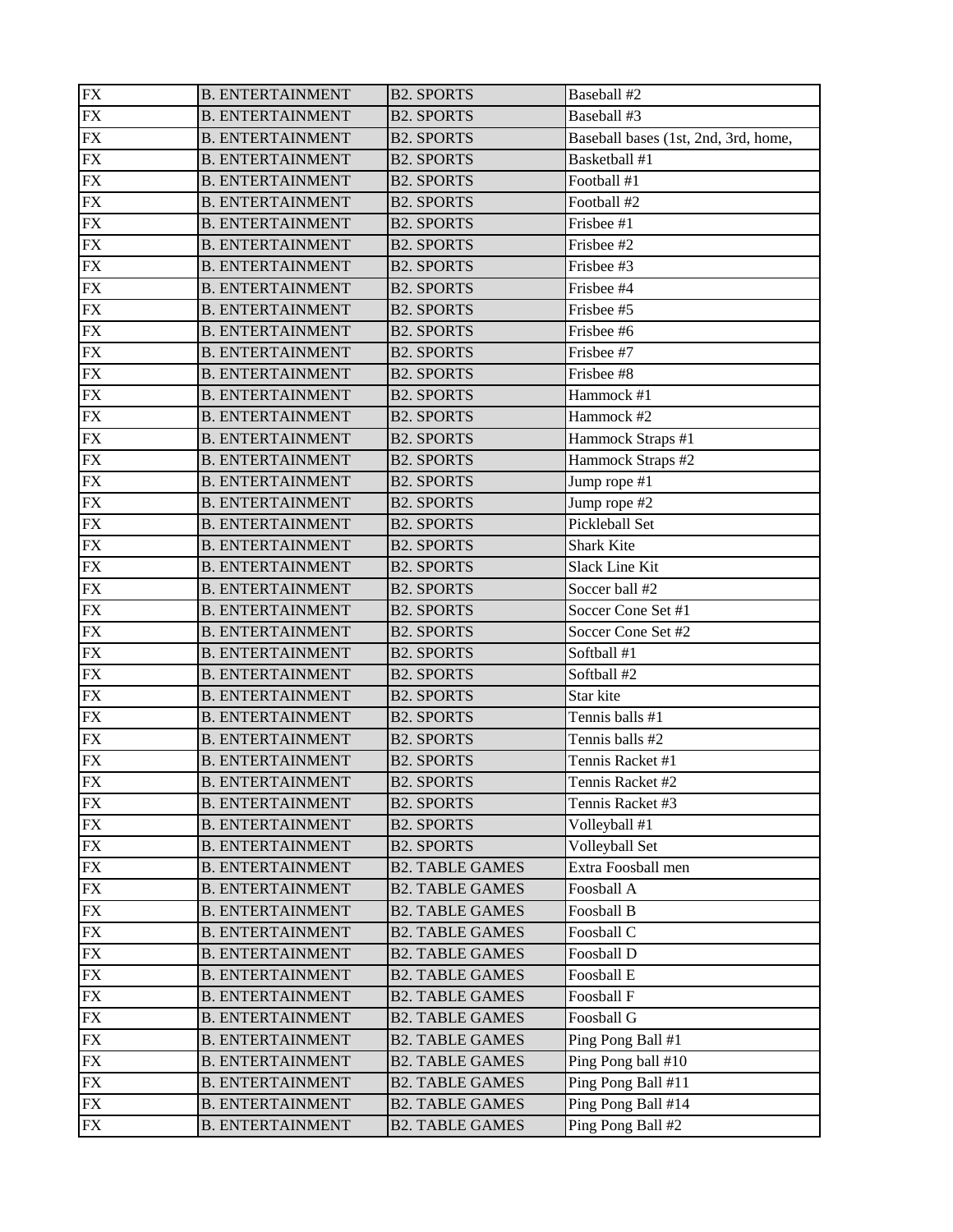| ${\rm FX}$      | <b>B. ENTERTAINMENT</b> | <b>B2. SPORTS</b>      | Baseball #2                          |
|-----------------|-------------------------|------------------------|--------------------------------------|
| ${\rm FX}$      | <b>B. ENTERTAINMENT</b> | <b>B2. SPORTS</b>      | Baseball #3                          |
| ${\rm FX}$      | <b>B. ENTERTAINMENT</b> | <b>B2. SPORTS</b>      | Baseball bases (1st, 2nd, 3rd, home, |
| <b>FX</b>       | <b>B. ENTERTAINMENT</b> | <b>B2. SPORTS</b>      | Basketball #1                        |
| ${\rm FX}$      | <b>B. ENTERTAINMENT</b> | <b>B2. SPORTS</b>      | Football #1                          |
| ${\rm FX}$      | <b>B. ENTERTAINMENT</b> | <b>B2. SPORTS</b>      | Football #2                          |
| $\overline{FX}$ | <b>B. ENTERTAINMENT</b> | <b>B2. SPORTS</b>      | Frisbee #1                           |
| <b>FX</b>       | <b>B. ENTERTAINMENT</b> | <b>B2. SPORTS</b>      | Frisbee #2                           |
| <b>FX</b>       | <b>B. ENTERTAINMENT</b> | <b>B2. SPORTS</b>      | Frisbee #3                           |
| <b>FX</b>       | <b>B. ENTERTAINMENT</b> | <b>B2. SPORTS</b>      | Frisbee #4                           |
| <b>FX</b>       | <b>B. ENTERTAINMENT</b> | <b>B2. SPORTS</b>      | Frisbee #5                           |
| ${\rm FX}$      | <b>B. ENTERTAINMENT</b> | <b>B2. SPORTS</b>      | Frisbee #6                           |
| ${\rm FX}$      | <b>B. ENTERTAINMENT</b> | <b>B2. SPORTS</b>      | Frisbee #7                           |
| <b>FX</b>       | <b>B. ENTERTAINMENT</b> | <b>B2. SPORTS</b>      | Frisbee #8                           |
| ${\rm FX}$      | <b>B. ENTERTAINMENT</b> | <b>B2. SPORTS</b>      | Hammock #1                           |
| ${\rm FX}$      | <b>B. ENTERTAINMENT</b> | <b>B2. SPORTS</b>      | Hammock #2                           |
| ${\rm FX}$      | <b>B. ENTERTAINMENT</b> | <b>B2. SPORTS</b>      | Hammock Straps #1                    |
| <b>FX</b>       | <b>B. ENTERTAINMENT</b> | <b>B2. SPORTS</b>      | Hammock Straps #2                    |
| <b>FX</b>       | <b>B. ENTERTAINMENT</b> | <b>B2. SPORTS</b>      | Jump rope #1                         |
| <b>FX</b>       | <b>B. ENTERTAINMENT</b> | <b>B2. SPORTS</b>      | Jump rope #2                         |
| <b>FX</b>       | <b>B. ENTERTAINMENT</b> | <b>B2. SPORTS</b>      | Pickleball Set                       |
| ${\rm FX}$      | <b>B. ENTERTAINMENT</b> | <b>B2. SPORTS</b>      | <b>Shark Kite</b>                    |
| ${\rm FX}$      | <b>B. ENTERTAINMENT</b> | <b>B2. SPORTS</b>      | Slack Line Kit                       |
| <b>FX</b>       | <b>B. ENTERTAINMENT</b> | <b>B2. SPORTS</b>      | Soccer ball #2                       |
| ${\rm FX}$      | <b>B. ENTERTAINMENT</b> | <b>B2. SPORTS</b>      | Soccer Cone Set #1                   |
| ${\rm FX}$      | <b>B. ENTERTAINMENT</b> | <b>B2. SPORTS</b>      | Soccer Cone Set #2                   |
| <b>FX</b>       | <b>B. ENTERTAINMENT</b> | <b>B2. SPORTS</b>      | Softball #1                          |
| <b>FX</b>       | <b>B. ENTERTAINMENT</b> | <b>B2. SPORTS</b>      | Softball #2                          |
| <b>FX</b>       | <b>B. ENTERTAINMENT</b> | <b>B2. SPORTS</b>      | Star kite                            |
| <b>FX</b>       | <b>B. ENTERTAINMENT</b> | <b>B2. SPORTS</b>      | Tennis balls #1                      |
| <b>FX</b>       | <b>B. ENTERTAINMENT</b> | <b>B2. SPORTS</b>      | Tennis balls #2                      |
| <b>FX</b>       | <b>B. ENTERTAINMENT</b> | <b>B2. SPORTS</b>      | Tennis Racket #1                     |
| $\overline{FX}$ | <b>B. ENTERTAINMENT</b> | <b>B2. SPORTS</b>      | Tennis Racket #2                     |
| FX              | <b>B. ENTERTAINMENT</b> | <b>B2. SPORTS</b>      | Tennis Racket #3                     |
| FX              | <b>B. ENTERTAINMENT</b> | <b>B2. SPORTS</b>      | Volleyball #1                        |
| ${\rm FX}$      | <b>B. ENTERTAINMENT</b> | <b>B2. SPORTS</b>      | Volleyball Set                       |
| <b>FX</b>       | <b>B. ENTERTAINMENT</b> | <b>B2. TABLE GAMES</b> | Extra Foosball men                   |
| FX              | <b>B. ENTERTAINMENT</b> | <b>B2. TABLE GAMES</b> | Foosball A                           |
| FX              | <b>B. ENTERTAINMENT</b> | <b>B2. TABLE GAMES</b> | Foosball B                           |
| <b>FX</b>       | <b>B. ENTERTAINMENT</b> | <b>B2. TABLE GAMES</b> | Foosball C                           |
| <b>FX</b>       | <b>B. ENTERTAINMENT</b> | <b>B2. TABLE GAMES</b> | Foosball D                           |
| <b>FX</b>       | <b>B. ENTERTAINMENT</b> | <b>B2. TABLE GAMES</b> | Foosball E                           |
| <b>FX</b>       | <b>B. ENTERTAINMENT</b> | <b>B2. TABLE GAMES</b> | Foosball F                           |
| <b>FX</b>       | <b>B. ENTERTAINMENT</b> | <b>B2. TABLE GAMES</b> | Foosball G                           |
| ${\rm FX}$      | <b>B. ENTERTAINMENT</b> | <b>B2. TABLE GAMES</b> | Ping Pong Ball #1                    |
| ${\rm FX}$      | <b>B. ENTERTAINMENT</b> | <b>B2. TABLE GAMES</b> | Ping Pong ball #10                   |
| <b>FX</b>       | <b>B. ENTERTAINMENT</b> | <b>B2. TABLE GAMES</b> | Ping Pong Ball #11                   |
| FX              | <b>B. ENTERTAINMENT</b> | <b>B2. TABLE GAMES</b> | Ping Pong Ball #14                   |
| <b>FX</b>       | <b>B. ENTERTAINMENT</b> | <b>B2. TABLE GAMES</b> | Ping Pong Ball #2                    |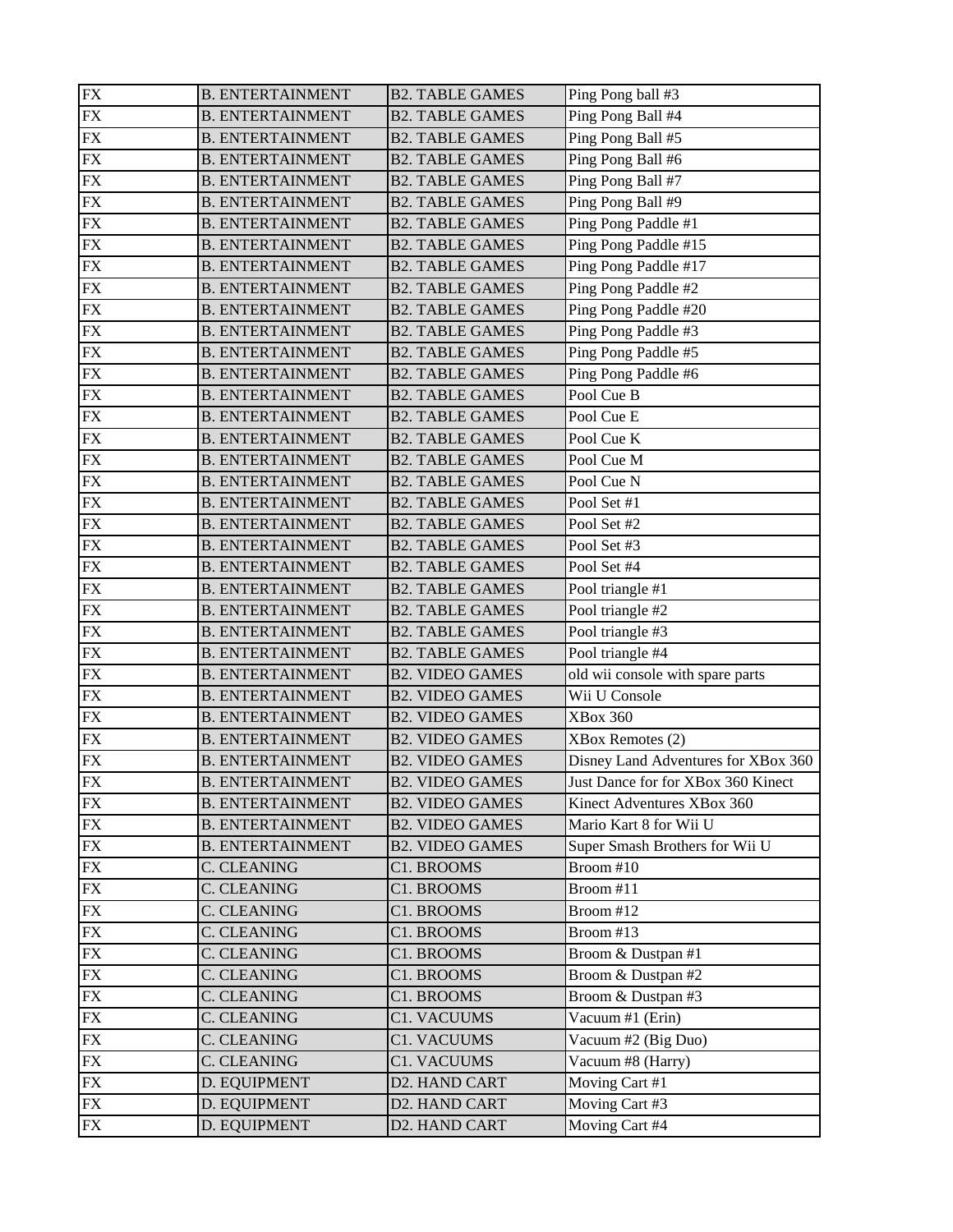| ${\rm FX}$      | <b>B. ENTERTAINMENT</b> | <b>B2. TABLE GAMES</b> | Ping Pong ball #3                   |
|-----------------|-------------------------|------------------------|-------------------------------------|
| ${\rm FX}$      | <b>B. ENTERTAINMENT</b> | <b>B2. TABLE GAMES</b> | Ping Pong Ball #4                   |
| ${\rm FX}$      | <b>B. ENTERTAINMENT</b> | <b>B2. TABLE GAMES</b> | Ping Pong Ball #5                   |
| <b>FX</b>       | <b>B. ENTERTAINMENT</b> | <b>B2. TABLE GAMES</b> | Ping Pong Ball #6                   |
| ${\rm FX}$      | <b>B. ENTERTAINMENT</b> | <b>B2. TABLE GAMES</b> | Ping Pong Ball #7                   |
| ${\rm FX}$      | <b>B. ENTERTAINMENT</b> | <b>B2. TABLE GAMES</b> | Ping Pong Ball #9                   |
| ${\rm FX}$      | <b>B. ENTERTAINMENT</b> | <b>B2. TABLE GAMES</b> | Ping Pong Paddle #1                 |
| ${\rm FX}$      | <b>B. ENTERTAINMENT</b> | <b>B2. TABLE GAMES</b> | Ping Pong Paddle #15                |
| <b>FX</b>       | <b>B. ENTERTAINMENT</b> | <b>B2. TABLE GAMES</b> | Ping Pong Paddle #17                |
| <b>FX</b>       | <b>B. ENTERTAINMENT</b> | <b>B2. TABLE GAMES</b> | Ping Pong Paddle #2                 |
| ${\rm FX}$      | <b>B. ENTERTAINMENT</b> | <b>B2. TABLE GAMES</b> | Ping Pong Paddle #20                |
| ${\rm FX}$      | <b>B. ENTERTAINMENT</b> | <b>B2. TABLE GAMES</b> | Ping Pong Paddle #3                 |
| ${\rm FX}$      | <b>B. ENTERTAINMENT</b> | <b>B2. TABLE GAMES</b> | Ping Pong Paddle #5                 |
| <b>FX</b>       | <b>B. ENTERTAINMENT</b> | <b>B2. TABLE GAMES</b> | Ping Pong Paddle #6                 |
| ${\rm FX}$      | <b>B. ENTERTAINMENT</b> | <b>B2. TABLE GAMES</b> | Pool Cue B                          |
| ${\rm FX}$      | <b>B. ENTERTAINMENT</b> | <b>B2. TABLE GAMES</b> | Pool Cue E                          |
| ${\rm FX}$      | <b>B. ENTERTAINMENT</b> | <b>B2. TABLE GAMES</b> | Pool Cue K                          |
| ${\rm FX}$      | <b>B. ENTERTAINMENT</b> | <b>B2. TABLE GAMES</b> | Pool Cue M                          |
| <b>FX</b>       | <b>B. ENTERTAINMENT</b> | <b>B2. TABLE GAMES</b> | Pool Cue N                          |
| <b>FX</b>       | <b>B. ENTERTAINMENT</b> | <b>B2. TABLE GAMES</b> | Pool Set #1                         |
| <b>FX</b>       | <b>B. ENTERTAINMENT</b> | <b>B2. TABLE GAMES</b> | Pool Set #2                         |
| ${\rm FX}$      | <b>B. ENTERTAINMENT</b> | <b>B2. TABLE GAMES</b> | Pool Set #3                         |
| ${\rm FX}$      | <b>B. ENTERTAINMENT</b> | <b>B2. TABLE GAMES</b> | Pool Set #4                         |
| <b>FX</b>       | <b>B. ENTERTAINMENT</b> | <b>B2. TABLE GAMES</b> | Pool triangle #1                    |
| ${\rm FX}$      | <b>B. ENTERTAINMENT</b> | <b>B2. TABLE GAMES</b> | Pool triangle #2                    |
| ${\rm FX}$      | <b>B. ENTERTAINMENT</b> | <b>B2. TABLE GAMES</b> | Pool triangle #3                    |
| <b>FX</b>       | <b>B. ENTERTAINMENT</b> | <b>B2. TABLE GAMES</b> | Pool triangle $#4$                  |
| <b>FX</b>       | <b>B. ENTERTAINMENT</b> | <b>B2. VIDEO GAMES</b> | old wii console with spare parts    |
| <b>FX</b>       | <b>B. ENTERTAINMENT</b> | <b>B2. VIDEO GAMES</b> | Wii U Console                       |
| <b>FX</b>       | <b>B. ENTERTAINMENT</b> | <b>B2. VIDEO GAMES</b> | <b>XBox 360</b>                     |
| <b>FX</b>       | <b>B. ENTERTAINMENT</b> | <b>B2. VIDEO GAMES</b> | XBox Remotes (2)                    |
| <b>FX</b>       | <b>B. ENTERTAINMENT</b> | <b>B2. VIDEO GAMES</b> | Disney Land Adventures for XBox 360 |
| $\overline{FX}$ | <b>B. ENTERTAINMENT</b> | <b>B2. VIDEO GAMES</b> | Just Dance for for XBox 360 Kinect  |
| <b>FX</b>       | <b>B. ENTERTAINMENT</b> | <b>B2. VIDEO GAMES</b> | Kinect Adventures XBox 360          |
| FX              | <b>B. ENTERTAINMENT</b> | <b>B2. VIDEO GAMES</b> | Mario Kart 8 for Wii U              |
| <b>FX</b>       | <b>B. ENTERTAINMENT</b> | <b>B2. VIDEO GAMES</b> | Super Smash Brothers for Wii U      |
| <b>FX</b>       | <b>C. CLEANING</b>      | C1. BROOMS             | Broom #10                           |
| ${\rm FX}$      | C. CLEANING             | C1. BROOMS             | Broom #11                           |
| <b>FX</b>       | C. CLEANING             | C1. BROOMS             | Broom #12                           |
| <b>FX</b>       | C. CLEANING             | C1. BROOMS             | Broom #13                           |
| <b>FX</b>       | C. CLEANING             | C1. BROOMS             | Broom & Dustpan #1                  |
| FX              | C. CLEANING             | C1. BROOMS             | Broom & Dustpan #2                  |
| <b>FX</b>       | C. CLEANING             | C1. BROOMS             | Broom & Dustpan #3                  |
| <b>FX</b>       | <b>C. CLEANING</b>      | C1. VACUUMS            | Vacuum #1 (Erin)                    |
| ${\rm FX}$      | C. CLEANING             | C1. VACUUMS            | Vacuum #2 (Big Duo)                 |
| <b>FX</b>       | C. CLEANING             | C1. VACUUMS            | Vacuum #8 (Harry)                   |
| <b>FX</b>       | D. EQUIPMENT            | D2. HAND CART          | Moving Cart #1                      |
| FX              | D. EQUIPMENT            | D2. HAND CART          | Moving Cart #3                      |
| ${\rm FX}$      | D. EQUIPMENT            | D2. HAND CART          | Moving Cart #4                      |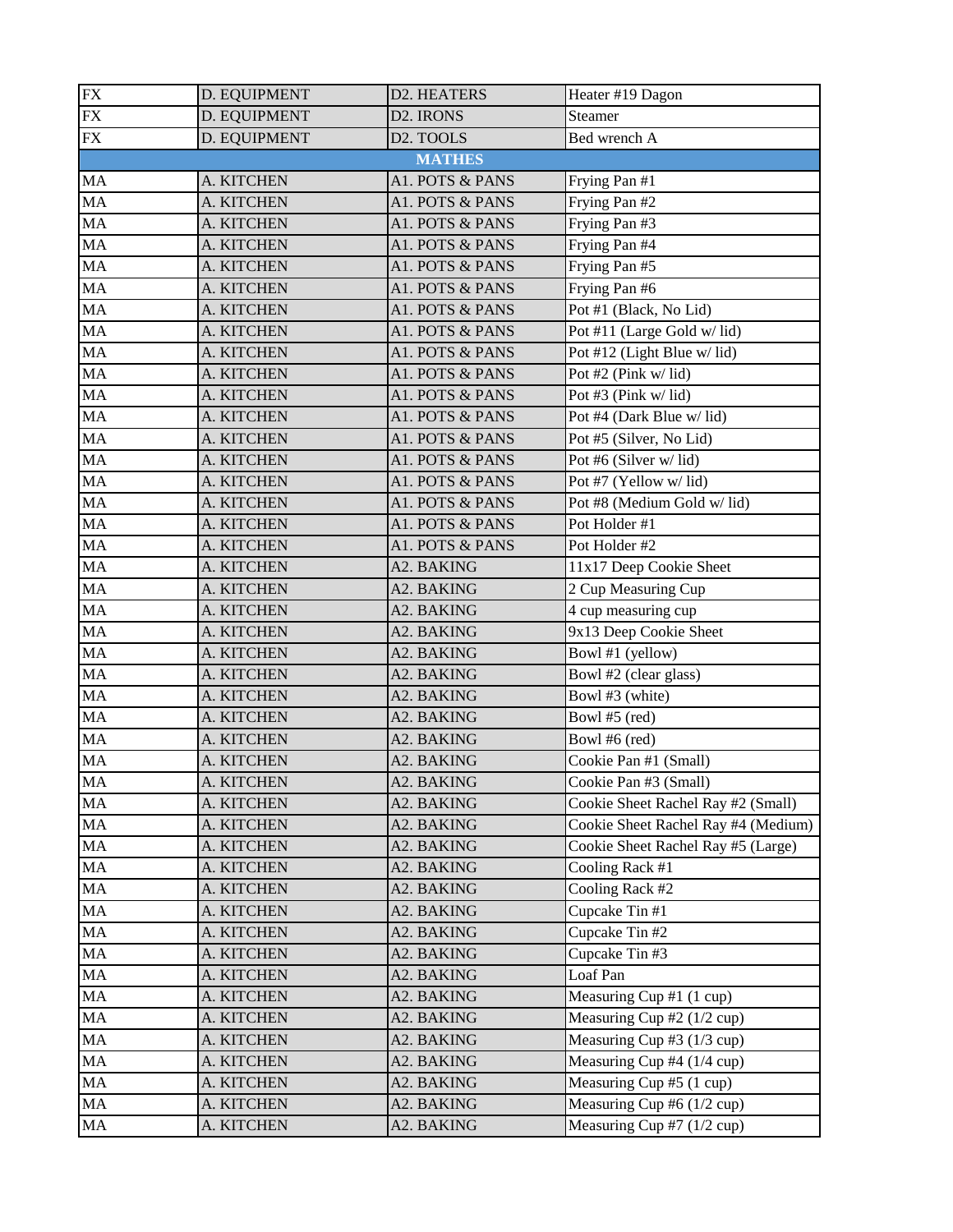| ${\rm FX}$ | D. EQUIPMENT | D2. HEATERS            | Heater #19 Dagon                    |
|------------|--------------|------------------------|-------------------------------------|
| ${\rm FX}$ | D. EQUIPMENT | D <sub>2</sub> . IRONS | Steamer                             |
| <b>FX</b>  | D. EQUIPMENT | D <sub>2</sub> . TOOLS | Bed wrench A                        |
|            |              | <b>MATHES</b>          |                                     |
| MA         | A. KITCHEN   | A1. POTS & PANS        | Frying Pan #1                       |
| MA         | A. KITCHEN   | A1. POTS & PANS        | Frying Pan #2                       |
| MA         | A. KITCHEN   | A1. POTS & PANS        | Frying Pan #3                       |
| MA         | A. KITCHEN   | A1. POTS & PANS        | Frying Pan #4                       |
| MA         | A. KITCHEN   | A1. POTS & PANS        | Frying Pan #5                       |
| MA         | A. KITCHEN   | A1. POTS & PANS        | Frying Pan #6                       |
| MA         | A. KITCHEN   | A1. POTS & PANS        | Pot #1 (Black, No Lid)              |
| MA         | A. KITCHEN   | A1. POTS & PANS        | Pot #11 (Large Gold w/lid)          |
| MA         | A. KITCHEN   | A1. POTS & PANS        | Pot #12 (Light Blue w/lid)          |
| MA         | A. KITCHEN   | A1. POTS & PANS        | Pot #2 (Pink w/lid)                 |
| MA         | A. KITCHEN   | A1. POTS & PANS        | Pot #3 (Pink w/lid)                 |
| MA         | A. KITCHEN   | A1. POTS & PANS        | Pot #4 (Dark Blue w/lid)            |
| MA         | A. KITCHEN   | A1. POTS & PANS        | Pot #5 (Silver, No Lid)             |
| MA         | A. KITCHEN   | A1. POTS & PANS        | Pot #6 (Silver w/lid)               |
| MA         | A. KITCHEN   | A1. POTS & PANS        | Pot #7 (Yellow w/lid)               |
| MA         | A. KITCHEN   | A1. POTS & PANS        | Pot #8 (Medium Gold w/ lid)         |
| MA         | A. KITCHEN   | A1. POTS & PANS        | Pot Holder #1                       |
| MA         | A. KITCHEN   | A1. POTS & PANS        | Pot Holder #2                       |
| MA         | A. KITCHEN   | A2. BAKING             | 11x17 Deep Cookie Sheet             |
| MA         | A. KITCHEN   | A2. BAKING             | 2 Cup Measuring Cup                 |
| MA         | A. KITCHEN   | A2. BAKING             | 4 cup measuring cup                 |
| MA         | A. KITCHEN   | A2. BAKING             | 9x13 Deep Cookie Sheet              |
| MA         | A. KITCHEN   | A2. BAKING             | Bowl #1 (yellow)                    |
| MA         | A. KITCHEN   | A2. BAKING             | Bowl #2 (clear glass)               |
| MA         | A. KITCHEN   | A2. BAKING             | Bowl #3 (white)                     |
| MA         | A. KITCHEN   | A2. BAKING             | Bowl #5 (red)                       |
| MA         | A. KITCHEN   | A2. BAKING             | Bowl #6 (red)                       |
| MA         | A. KITCHEN   | A2. BAKING             | Cookie Pan #1 (Small)               |
| $\rm MA$   | A. KITCHEN   | A2. BAKING             | Cookie Pan #3 (Small)               |
| MA         | A. KITCHEN   | A2. BAKING             | Cookie Sheet Rachel Ray #2 (Small)  |
| MA         | A. KITCHEN   | A2. BAKING             | Cookie Sheet Rachel Ray #4 (Medium) |
| MA         | A. KITCHEN   | A2. BAKING             | Cookie Sheet Rachel Ray #5 (Large)  |
| MA         | A. KITCHEN   | A2. BAKING             | Cooling Rack #1                     |
| MA         | A. KITCHEN   | A2. BAKING             | Cooling Rack #2                     |
| MA         | A. KITCHEN   | A2. BAKING             | Cupcake Tin #1                      |
| MA         | A. KITCHEN   | A2. BAKING             | Cupcake Tin #2                      |
| MA         | A. KITCHEN   | A2. BAKING             | Cupcake Tin #3                      |
| MA         | A. KITCHEN   | A2. BAKING             | Loaf Pan                            |
| MA         | A. KITCHEN   | A2. BAKING             | Measuring Cup #1 $(1 \text{ cup})$  |
| MA         | A. KITCHEN   | A2. BAKING             | Measuring Cup #2 $(1/2$ cup)        |
| MA         | A. KITCHEN   | A2. BAKING             | Measuring Cup #3 (1/3 cup)          |
| MA         | A. KITCHEN   | A2. BAKING             | Measuring Cup #4 $(1/4$ cup)        |
| MA         | A. KITCHEN   | A2. BAKING             | Measuring Cup #5 (1 cup)            |
| MA         | A. KITCHEN   | A2. BAKING             | Measuring Cup #6 $(1/2$ cup)        |
| MA         | A. KITCHEN   | A2. BAKING             | Measuring Cup #7 (1/2 cup)          |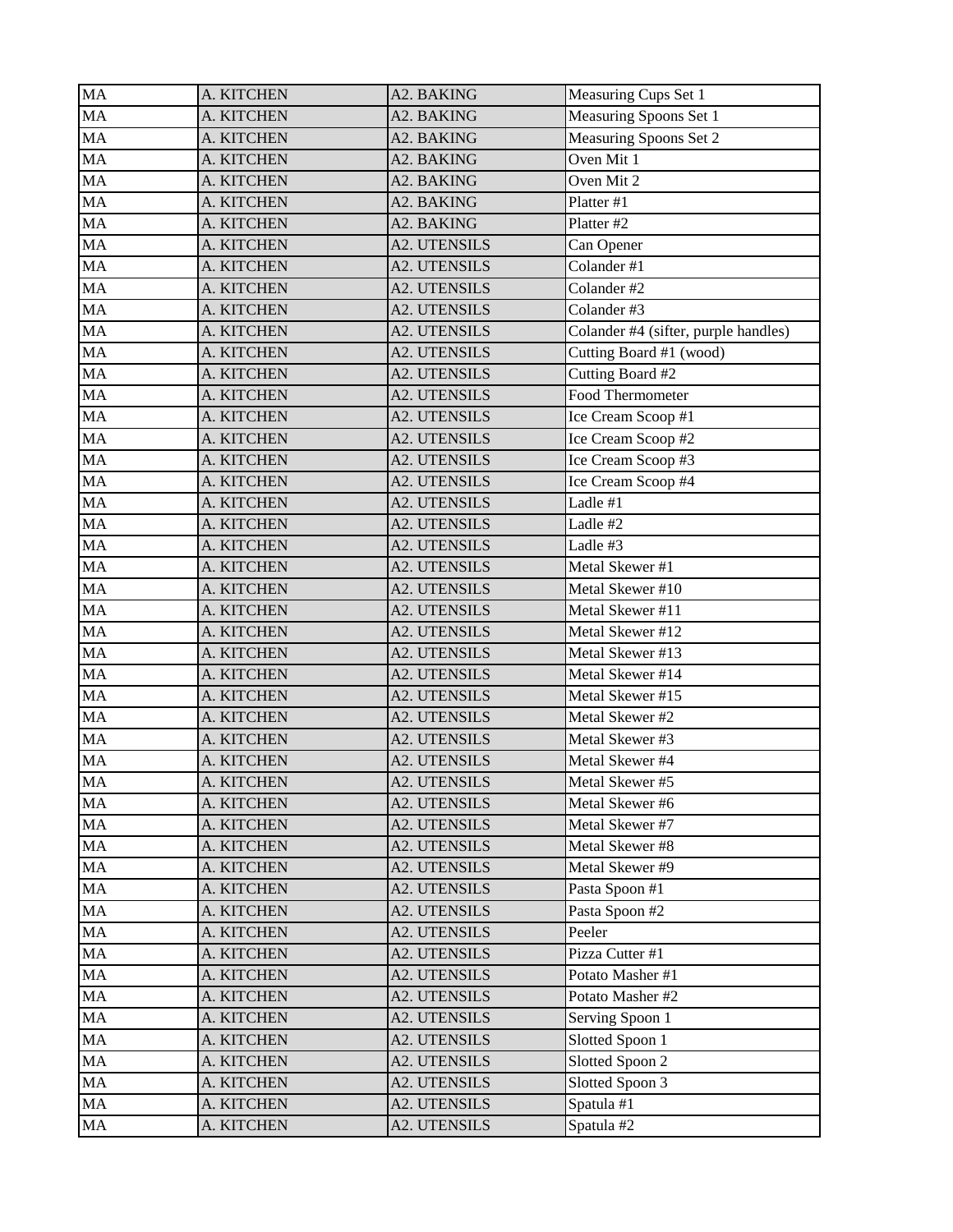| <b>MA</b>       | A. KITCHEN | A2. BAKING          | Measuring Cups Set 1                 |
|-----------------|------------|---------------------|--------------------------------------|
| MA              | A. KITCHEN | A2. BAKING          | Measuring Spoons Set 1               |
| MA              | A. KITCHEN | A2. BAKING          | Measuring Spoons Set 2               |
| $\overline{M}A$ | A. KITCHEN | A2. BAKING          | Oven Mit 1                           |
| MA              | A. KITCHEN | A2. BAKING          | Oven Mit 2                           |
| MA              | A. KITCHEN | A2. BAKING          | Platter #1                           |
| MA              | A. KITCHEN | A2. BAKING          | Platter #2                           |
| MA              | A. KITCHEN | <b>A2. UTENSILS</b> | Can Opener                           |
| <b>MA</b>       | A. KITCHEN | A2. UTENSILS        | Colander #1                          |
| <b>MA</b>       | A. KITCHEN | <b>A2. UTENSILS</b> | Colander #2                          |
| MA              | A. KITCHEN | <b>A2. UTENSILS</b> | Colander #3                          |
| MA              | A. KITCHEN | <b>A2. UTENSILS</b> | Colander #4 (sifter, purple handles) |
| MA              | A. KITCHEN | <b>A2. UTENSILS</b> | Cutting Board #1 (wood)              |
| MA              | A. KITCHEN | A2. UTENSILS        | Cutting Board #2                     |
| MA              | A. KITCHEN | <b>A2. UTENSILS</b> | Food Thermometer                     |
| <b>MA</b>       | A. KITCHEN | A2. UTENSILS        | Ice Cream Scoop #1                   |
| MA              | A. KITCHEN | A2. UTENSILS        | Ice Cream Scoop #2                   |
| MA              | A. KITCHEN | A2. UTENSILS        | Ice Cream Scoop #3                   |
| MA              | A. KITCHEN | <b>A2. UTENSILS</b> | Ice Cream Scoop #4                   |
| <b>MA</b>       | A. KITCHEN | A2. UTENSILS        | Ladle #1                             |
| MA              | A. KITCHEN | A2. UTENSILS        | Ladle #2                             |
| MA              | A. KITCHEN | A2. UTENSILS        | Ladle #3                             |
| MA              | A. KITCHEN | <b>A2. UTENSILS</b> | Metal Skewer #1                      |
| MA              | A. KITCHEN | A2. UTENSILS        | Metal Skewer #10                     |
| MA              | A. KITCHEN | A2. UTENSILS        | Metal Skewer #11                     |
| MA              | A. KITCHEN | A2. UTENSILS        | Metal Skewer #12                     |
| MA              | A. KITCHEN | <b>A2. UTENSILS</b> | Metal Skewer #13                     |
| MA              | A. KITCHEN | A2. UTENSILS        | Metal Skewer #14                     |
| MA              | A. KITCHEN | A2. UTENSILS        | Metal Skewer #15                     |
| MA              | A. KITCHEN | <b>A2. UTENSILS</b> | Metal Skewer #2                      |
| <b>MA</b>       | A. KITCHEN | A2. UTENSILS        | Metal Skewer #3                      |
| MA              | A. KITCHEN | A2. UTENSILS        | Metal Skewer #4                      |
| MA              | A. KITCHEN | <b>A2. UTENSILS</b> | Metal Skewer #5                      |
| MA              | A. KITCHEN | A2. UTENSILS        | Metal Skewer #6                      |
| MA              | A. KITCHEN | <b>A2. UTENSILS</b> | Metal Skewer #7                      |
| MA              | A. KITCHEN | A2. UTENSILS        | Metal Skewer #8                      |
| MA              | A. KITCHEN | A2. UTENSILS        | Metal Skewer #9                      |
| MA              | A. KITCHEN | A2. UTENSILS        | Pasta Spoon #1                       |
| MA              | A. KITCHEN | A2. UTENSILS        | Pasta Spoon #2                       |
| MA              | A. KITCHEN | A2. UTENSILS        | Peeler                               |
| MA              | A. KITCHEN | A2. UTENSILS        | Pizza Cutter #1                      |
| MA              | A. KITCHEN | A2. UTENSILS        | Potato Masher #1                     |
| <b>MA</b>       | A. KITCHEN | A2. UTENSILS        | Potato Masher #2                     |
| MA              | A. KITCHEN | A2. UTENSILS        | Serving Spoon 1                      |
| MA              | A. KITCHEN | A2. UTENSILS        | Slotted Spoon 1                      |
| MA              | A. KITCHEN | A2. UTENSILS        | Slotted Spoon 2                      |
| MA              | A. KITCHEN | A2. UTENSILS        | Slotted Spoon 3                      |
| MA              | A. KITCHEN | A2. UTENSILS        | Spatula #1                           |
| MA              | A. KITCHEN | A2. UTENSILS        | Spatula #2                           |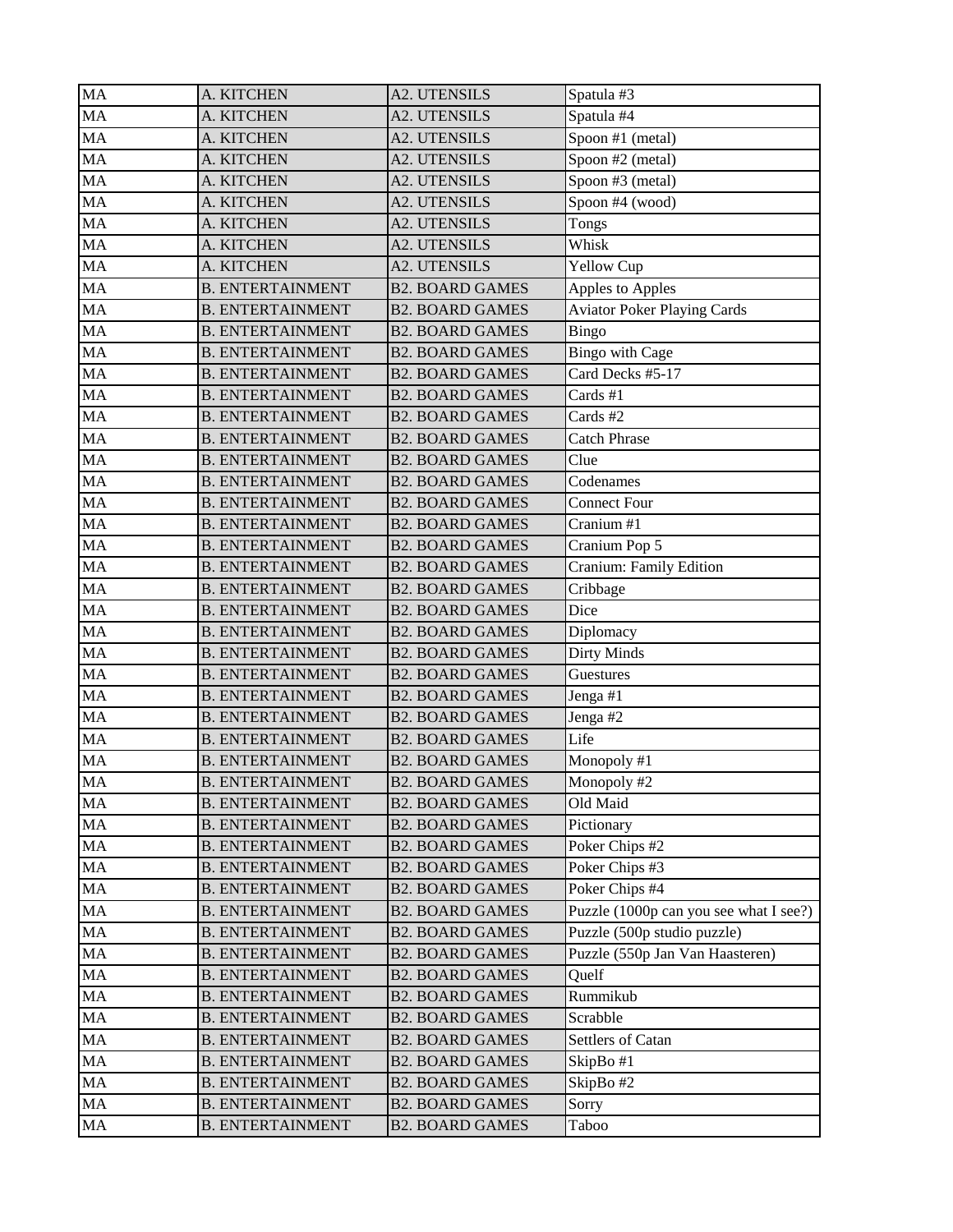| <b>MA</b> | A. KITCHEN              | <b>A2. UTENSILS</b>    | Spatula #3                             |
|-----------|-------------------------|------------------------|----------------------------------------|
| MA        | A. KITCHEN              | <b>A2. UTENSILS</b>    | Spatula #4                             |
| <b>MA</b> | A. KITCHEN              | <b>A2. UTENSILS</b>    | Spoon #1 (metal)                       |
| <b>MA</b> | A. KITCHEN              | <b>A2. UTENSILS</b>    | Spoon #2 (metal)                       |
| MA        | A. KITCHEN              | <b>A2. UTENSILS</b>    | Spoon #3 (metal)                       |
| MA        | A. KITCHEN              | <b>A2. UTENSILS</b>    | Spoon #4 (wood)                        |
| <b>MA</b> | A. KITCHEN              | <b>A2. UTENSILS</b>    | Tongs                                  |
| MA        | A. KITCHEN              | <b>A2. UTENSILS</b>    | Whisk                                  |
| <b>MA</b> | A. KITCHEN              | <b>A2. UTENSILS</b>    | <b>Yellow Cup</b>                      |
| MA        | <b>B. ENTERTAINMENT</b> | <b>B2. BOARD GAMES</b> | Apples to Apples                       |
| MA        | <b>B. ENTERTAINMENT</b> | <b>B2. BOARD GAMES</b> | <b>Aviator Poker Playing Cards</b>     |
| MA        | <b>B. ENTERTAINMENT</b> | <b>B2. BOARD GAMES</b> | Bingo                                  |
| <b>MA</b> | <b>B. ENTERTAINMENT</b> | <b>B2. BOARD GAMES</b> | <b>Bingo with Cage</b>                 |
| <b>MA</b> | <b>B. ENTERTAINMENT</b> | <b>B2. BOARD GAMES</b> | Card Decks #5-17                       |
| MA        | <b>B. ENTERTAINMENT</b> | <b>B2. BOARD GAMES</b> | Cards #1                               |
| MA        | <b>B. ENTERTAINMENT</b> | <b>B2. BOARD GAMES</b> | Cards #2                               |
| MA        | <b>B. ENTERTAINMENT</b> | <b>B2. BOARD GAMES</b> | <b>Catch Phrase</b>                    |
| <b>MA</b> | <b>B. ENTERTAINMENT</b> | <b>B2. BOARD GAMES</b> | Clue                                   |
| <b>MA</b> | <b>B. ENTERTAINMENT</b> | <b>B2. BOARD GAMES</b> | Codenames                              |
| MA        | <b>B. ENTERTAINMENT</b> | <b>B2. BOARD GAMES</b> | <b>Connect Four</b>                    |
| MA        | <b>B. ENTERTAINMENT</b> | <b>B2. BOARD GAMES</b> | Cranium #1                             |
| MA        | <b>B. ENTERTAINMENT</b> | <b>B2. BOARD GAMES</b> | Cranium Pop 5                          |
| <b>MA</b> | <b>B. ENTERTAINMENT</b> | <b>B2. BOARD GAMES</b> | Cranium: Family Edition                |
| MA        | <b>B. ENTERTAINMENT</b> | <b>B2. BOARD GAMES</b> | Cribbage                               |
| MA        | <b>B. ENTERTAINMENT</b> | <b>B2. BOARD GAMES</b> | Dice                                   |
| MA        | <b>B. ENTERTAINMENT</b> | <b>B2. BOARD GAMES</b> | Diplomacy                              |
| MA        | <b>B. ENTERTAINMENT</b> | <b>B2. BOARD GAMES</b> | <b>Dirty Minds</b>                     |
| MA        | <b>B. ENTERTAINMENT</b> | <b>B2. BOARD GAMES</b> | Guestures                              |
| MA        | <b>B. ENTERTAINMENT</b> | <b>B2. BOARD GAMES</b> | Jenga #1                               |
| MA        | <b>B. ENTERTAINMENT</b> | <b>B2. BOARD GAMES</b> | Jenga #2                               |
| MA        | <b>B. ENTERTAINMENT</b> | <b>B2. BOARD GAMES</b> | Life                                   |
| MA        | <b>B. ENTERTAINMENT</b> | <b>B2. BOARD GAMES</b> | Monopoly #1                            |
| <b>MA</b> | <b>B. ENTERTAINMENT</b> | <b>B2. BOARD GAMES</b> | Monopoly #2                            |
| MA        | <b>B. ENTERTAINMENT</b> | <b>B2. BOARD GAMES</b> | Old Maid                               |
| MA        | <b>B. ENTERTAINMENT</b> | <b>B2. BOARD GAMES</b> | Pictionary                             |
| MA        | <b>B. ENTERTAINMENT</b> | <b>B2. BOARD GAMES</b> | Poker Chips #2                         |
| MA        | <b>B. ENTERTAINMENT</b> | <b>B2. BOARD GAMES</b> | Poker Chips #3                         |
| MA        | <b>B. ENTERTAINMENT</b> | <b>B2. BOARD GAMES</b> | Poker Chips #4                         |
| MA        | <b>B. ENTERTAINMENT</b> | <b>B2. BOARD GAMES</b> | Puzzle (1000p can you see what I see?) |
| MA        | <b>B. ENTERTAINMENT</b> | <b>B2. BOARD GAMES</b> | Puzzle (500p studio puzzle)            |
| MA        | <b>B. ENTERTAINMENT</b> | <b>B2. BOARD GAMES</b> | Puzzle (550p Jan Van Haasteren)        |
| MA        | <b>B. ENTERTAINMENT</b> | <b>B2. BOARD GAMES</b> | Quelf                                  |
| MA        | <b>B. ENTERTAINMENT</b> | <b>B2. BOARD GAMES</b> | Rummikub                               |
| MA        | <b>B. ENTERTAINMENT</b> | <b>B2. BOARD GAMES</b> | Scrabble                               |
| MA        | <b>B. ENTERTAINMENT</b> | <b>B2. BOARD GAMES</b> | Settlers of Catan                      |
| MA        | <b>B. ENTERTAINMENT</b> | <b>B2. BOARD GAMES</b> | SkipBo#1                               |
| MA        | <b>B. ENTERTAINMENT</b> | <b>B2. BOARD GAMES</b> | SkipBo#2                               |
| MA        | <b>B. ENTERTAINMENT</b> | <b>B2. BOARD GAMES</b> | Sorry                                  |
| MA        | <b>B. ENTERTAINMENT</b> | <b>B2. BOARD GAMES</b> | Taboo                                  |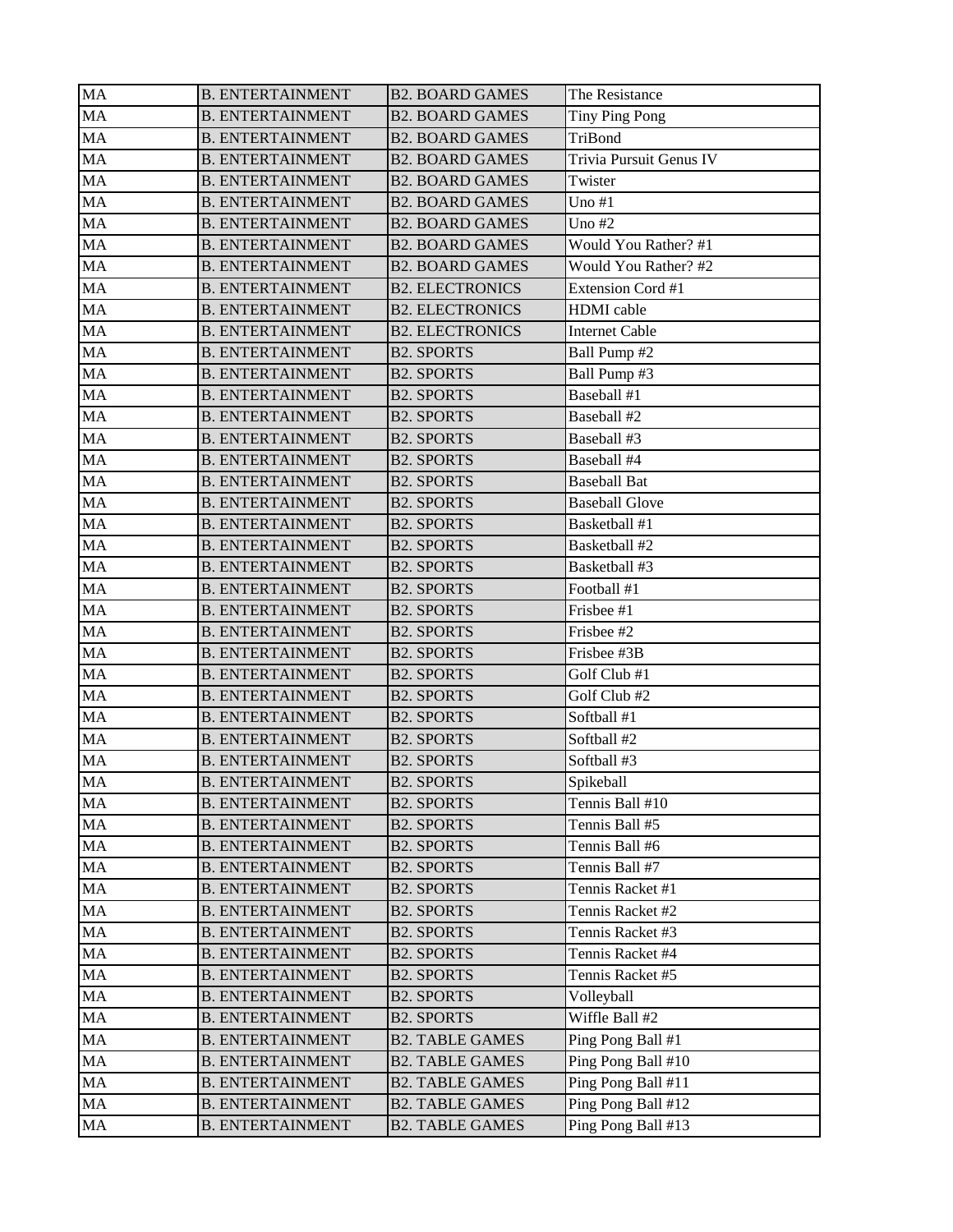| MA | <b>B. ENTERTAINMENT</b> | <b>B2. BOARD GAMES</b> | The Resistance           |
|----|-------------------------|------------------------|--------------------------|
| MA | <b>B. ENTERTAINMENT</b> | <b>B2. BOARD GAMES</b> | Tiny Ping Pong           |
| MA | <b>B. ENTERTAINMENT</b> | <b>B2. BOARD GAMES</b> | TriBond                  |
| MA | <b>B. ENTERTAINMENT</b> | <b>B2. BOARD GAMES</b> | Trivia Pursuit Genus IV  |
| MA | <b>B. ENTERTAINMENT</b> | <b>B2. BOARD GAMES</b> | Twister                  |
| MA | <b>B. ENTERTAINMENT</b> | <b>B2. BOARD GAMES</b> | Uno $#1$                 |
| MA | <b>B. ENTERTAINMENT</b> | <b>B2. BOARD GAMES</b> | Uno $#2$                 |
| MA | <b>B. ENTERTAINMENT</b> | <b>B2. BOARD GAMES</b> | Would You Rather? #1     |
| MA | <b>B. ENTERTAINMENT</b> | <b>B2. BOARD GAMES</b> | Would You Rather? #2     |
| MA | <b>B. ENTERTAINMENT</b> | <b>B2. ELECTRONICS</b> | <b>Extension Cord #1</b> |
| MA | <b>B. ENTERTAINMENT</b> | <b>B2. ELECTRONICS</b> | <b>HDMI</b> cable        |
| MA | <b>B. ENTERTAINMENT</b> | <b>B2. ELECTRONICS</b> | <b>Internet Cable</b>    |
| MA | <b>B. ENTERTAINMENT</b> | <b>B2. SPORTS</b>      | Ball Pump #2             |
| MA | <b>B. ENTERTAINMENT</b> | <b>B2. SPORTS</b>      | Ball Pump #3             |
| MA | <b>B. ENTERTAINMENT</b> | <b>B2. SPORTS</b>      | Baseball #1              |
| MA | <b>B. ENTERTAINMENT</b> | <b>B2. SPORTS</b>      | Baseball #2              |
| MA | <b>B. ENTERTAINMENT</b> | <b>B2. SPORTS</b>      | Baseball #3              |
| MA | <b>B. ENTERTAINMENT</b> | <b>B2. SPORTS</b>      | Baseball #4              |
| MA | <b>B. ENTERTAINMENT</b> | <b>B2. SPORTS</b>      | <b>Baseball Bat</b>      |
| MA | <b>B. ENTERTAINMENT</b> | <b>B2. SPORTS</b>      | <b>Baseball Glove</b>    |
| MA | <b>B. ENTERTAINMENT</b> | <b>B2. SPORTS</b>      | Basketball #1            |
| MA | <b>B. ENTERTAINMENT</b> | <b>B2. SPORTS</b>      | Basketball #2            |
| MA | <b>B. ENTERTAINMENT</b> | <b>B2. SPORTS</b>      | Basketball #3            |
| MA | <b>B. ENTERTAINMENT</b> | <b>B2. SPORTS</b>      | Football #1              |
| MA | <b>B. ENTERTAINMENT</b> | <b>B2. SPORTS</b>      | Frisbee #1               |
| MA | <b>B. ENTERTAINMENT</b> | <b>B2. SPORTS</b>      | Frisbee #2               |
| MA | <b>B. ENTERTAINMENT</b> | <b>B2. SPORTS</b>      | Frisbee #3B              |
| MA | <b>B. ENTERTAINMENT</b> | <b>B2. SPORTS</b>      | Golf Club #1             |
| MA | <b>B. ENTERTAINMENT</b> | <b>B2. SPORTS</b>      | Golf Club #2             |
| MA | <b>B. ENTERTAINMENT</b> | <b>B2. SPORTS</b>      | Softball #1              |
| MA | <b>B. ENTERTAINMENT</b> | <b>B2. SPORTS</b>      | Softball #2              |
| MA | <b>B. ENTERTAINMENT</b> | <b>B2. SPORTS</b>      | Softball #3              |
| MA | <b>B. ENTERTAINMENT</b> | <b>B2. SPORTS</b>      | Spikeball                |
| MA | <b>B. ENTERTAINMENT</b> | <b>B2. SPORTS</b>      | Tennis Ball #10          |
| MA | <b>B. ENTERTAINMENT</b> | <b>B2. SPORTS</b>      | Tennis Ball #5           |
| MA | <b>B. ENTERTAINMENT</b> | <b>B2. SPORTS</b>      | Tennis Ball #6           |
| MA | <b>B. ENTERTAINMENT</b> | <b>B2. SPORTS</b>      | Tennis Ball #7           |
| MA | <b>B. ENTERTAINMENT</b> | <b>B2. SPORTS</b>      | Tennis Racket #1         |
| MA | <b>B. ENTERTAINMENT</b> | <b>B2. SPORTS</b>      | Tennis Racket #2         |
| MA | <b>B. ENTERTAINMENT</b> | <b>B2. SPORTS</b>      | Tennis Racket #3         |
| MA | <b>B. ENTERTAINMENT</b> | <b>B2. SPORTS</b>      | Tennis Racket #4         |
| MA | <b>B. ENTERTAINMENT</b> | <b>B2. SPORTS</b>      | Tennis Racket #5         |
| MA | <b>B. ENTERTAINMENT</b> | <b>B2. SPORTS</b>      | Volleyball               |
| MA | <b>B. ENTERTAINMENT</b> | <b>B2. SPORTS</b>      | Wiffle Ball #2           |
| MA | <b>B. ENTERTAINMENT</b> | <b>B2. TABLE GAMES</b> | Ping Pong Ball #1        |
| MA | <b>B. ENTERTAINMENT</b> | <b>B2. TABLE GAMES</b> | Ping Pong Ball #10       |
| MA | <b>B. ENTERTAINMENT</b> | <b>B2. TABLE GAMES</b> | Ping Pong Ball #11       |
| MA | <b>B. ENTERTAINMENT</b> | <b>B2. TABLE GAMES</b> | Ping Pong Ball #12       |
| MA | <b>B. ENTERTAINMENT</b> | <b>B2. TABLE GAMES</b> | Ping Pong Ball #13       |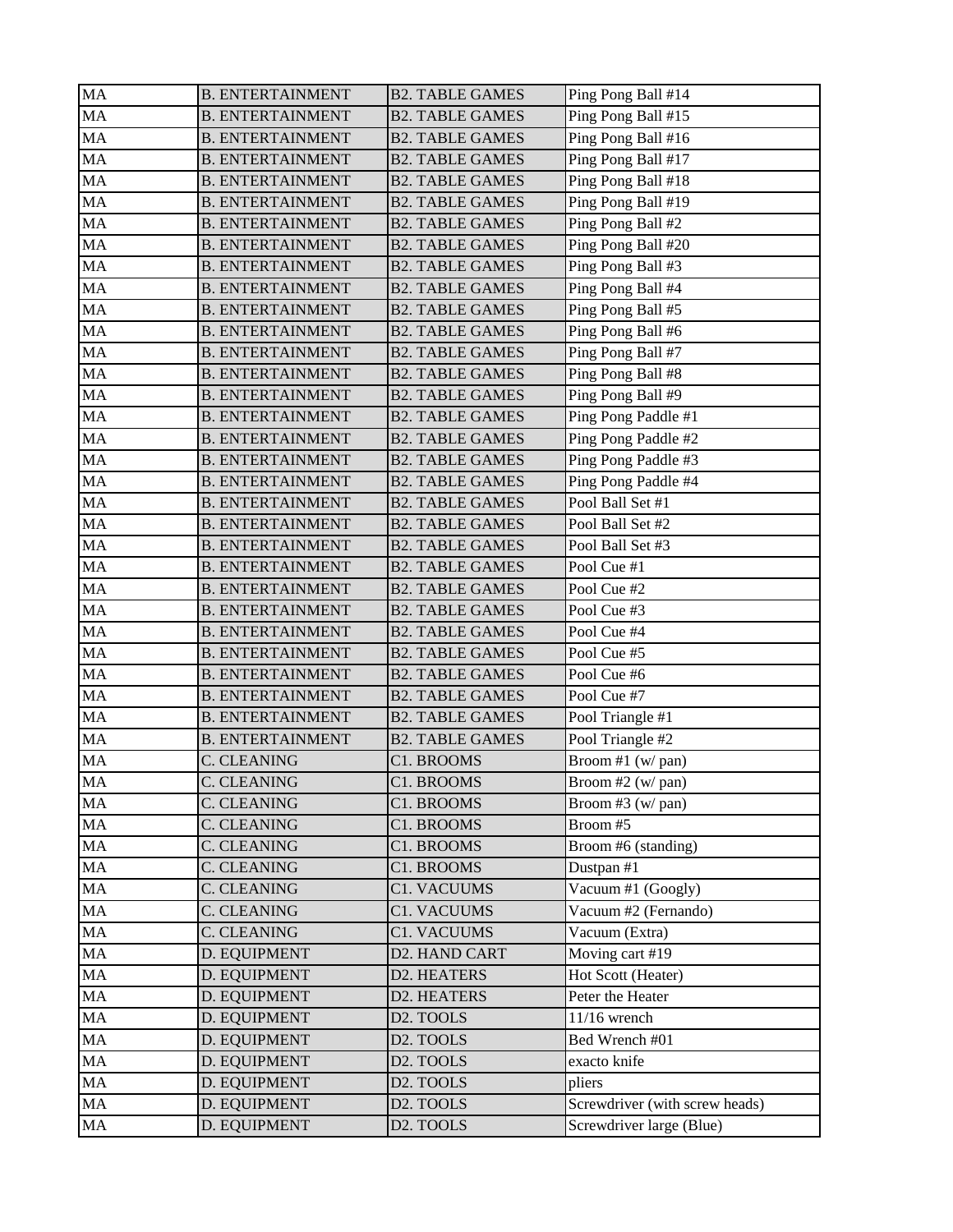| MA       | <b>B. ENTERTAINMENT</b> | <b>B2. TABLE GAMES</b>   | Ping Pong Ball #14                 |
|----------|-------------------------|--------------------------|------------------------------------|
| MA       | <b>B. ENTERTAINMENT</b> | <b>B2. TABLE GAMES</b>   | Ping Pong Ball #15                 |
| MA       | <b>B. ENTERTAINMENT</b> | <b>B2. TABLE GAMES</b>   | Ping Pong Ball #16                 |
| MA       | <b>B. ENTERTAINMENT</b> | <b>B2. TABLE GAMES</b>   | Ping Pong Ball #17                 |
| MA       | <b>B. ENTERTAINMENT</b> | <b>B2. TABLE GAMES</b>   | Ping Pong Ball #18                 |
| MA       | <b>B. ENTERTAINMENT</b> | <b>B2. TABLE GAMES</b>   | Ping Pong Ball #19                 |
| MA       | <b>B. ENTERTAINMENT</b> | <b>B2. TABLE GAMES</b>   | Ping Pong Ball #2                  |
| MA       | <b>B. ENTERTAINMENT</b> | <b>B2. TABLE GAMES</b>   | Ping Pong Ball #20                 |
| MA       | <b>B. ENTERTAINMENT</b> | <b>B2. TABLE GAMES</b>   | Ping Pong Ball #3                  |
| MA       | <b>B. ENTERTAINMENT</b> | <b>B2. TABLE GAMES</b>   | Ping Pong Ball #4                  |
| MA       | <b>B. ENTERTAINMENT</b> | <b>B2. TABLE GAMES</b>   | Ping Pong Ball #5                  |
| MA       | <b>B. ENTERTAINMENT</b> | <b>B2. TABLE GAMES</b>   | Ping Pong Ball #6                  |
| MA       | <b>B. ENTERTAINMENT</b> | <b>B2. TABLE GAMES</b>   | Ping Pong Ball #7                  |
| MA       | <b>B. ENTERTAINMENT</b> | <b>B2. TABLE GAMES</b>   | Ping Pong Ball #8                  |
| MA       | <b>B. ENTERTAINMENT</b> | <b>B2. TABLE GAMES</b>   | Ping Pong Ball #9                  |
| MA       | <b>B. ENTERTAINMENT</b> | <b>B2. TABLE GAMES</b>   | Ping Pong Paddle #1                |
| MA       | <b>B. ENTERTAINMENT</b> | <b>B2. TABLE GAMES</b>   | Ping Pong Paddle #2                |
| MA       | <b>B. ENTERTAINMENT</b> | <b>B2. TABLE GAMES</b>   | Ping Pong Paddle #3                |
| MA       | <b>B. ENTERTAINMENT</b> | <b>B2. TABLE GAMES</b>   | Ping Pong Paddle #4                |
| MA       | <b>B. ENTERTAINMENT</b> | <b>B2. TABLE GAMES</b>   | Pool Ball Set #1                   |
| MA       | <b>B. ENTERTAINMENT</b> | <b>B2. TABLE GAMES</b>   | Pool Ball Set #2                   |
| MA       | <b>B. ENTERTAINMENT</b> | <b>B2. TABLE GAMES</b>   | Pool Ball Set #3                   |
| MA       | <b>B. ENTERTAINMENT</b> | <b>B2. TABLE GAMES</b>   | Pool Cue #1                        |
| MA       | <b>B. ENTERTAINMENT</b> | <b>B2. TABLE GAMES</b>   | Pool Cue #2                        |
| MA       | <b>B. ENTERTAINMENT</b> | <b>B2. TABLE GAMES</b>   | Pool Cue #3                        |
| MA       | <b>B. ENTERTAINMENT</b> | <b>B2. TABLE GAMES</b>   | Pool Cue #4                        |
| MA       | <b>B. ENTERTAINMENT</b> | <b>B2. TABLE GAMES</b>   | Pool Cue #5                        |
| MA       | <b>B. ENTERTAINMENT</b> | <b>B2. TABLE GAMES</b>   | Pool Cue #6                        |
| MA       | <b>B. ENTERTAINMENT</b> | <b>B2. TABLE GAMES</b>   | Pool Cue #7                        |
| MA       | <b>B. ENTERTAINMENT</b> | <b>B2. TABLE GAMES</b>   | Pool Triangle #1                   |
| MA       | <b>B. ENTERTAINMENT</b> | <b>B2. TABLE GAMES</b>   | Pool Triangle #2                   |
| MA       | C. CLEANING             | C1. BROOMS               | Broom #1 (w/pan)                   |
| MA       | C. CLEANING             | C1. BROOMS               | Broom #2 (w/ pan)                  |
| MA       | C. CLEANING             |                          |                                    |
| MA       | <b>C. CLEANING</b>      | C1. BROOMS<br>C1. BROOMS | Broom #3 $(w/$ pan)<br>Broom #5    |
| MA       | <b>C. CLEANING</b>      | C1. BROOMS               |                                    |
|          |                         |                          | Broom #6 (standing)                |
| MA       | C. CLEANING             | C1. BROOMS               | Dustpan #1                         |
| $\rm MA$ | C. CLEANING             | C1. VACUUMS              | $\sqrt{\text{Vacuum}}$ #1 (Googly) |
| MA       | C. CLEANING             | <b>C1. VACUUMS</b>       | Vacuum #2 (Fernando)               |
| MA       | C. CLEANING             | <b>C1. VACUUMS</b>       | Vacuum (Extra)                     |
| MA       | D. EQUIPMENT            | D2. HAND CART            | Moving cart #19                    |
| MA       | D. EQUIPMENT            | D2. HEATERS              | Hot Scott (Heater)                 |
| MA       | D. EQUIPMENT            | D2. HEATERS              | Peter the Heater                   |
| MA       | D. EQUIPMENT            | D2. TOOLS                | $11/16$ wrench                     |
| MA       | D. EQUIPMENT            | D2. TOOLS                | Bed Wrench #01                     |
| MA       | D. EQUIPMENT            | D2. TOOLS                | exacto knife                       |
| MA       | D. EQUIPMENT            | D2. TOOLS                | pliers                             |
| MA       | D. EQUIPMENT            | D2. TOOLS                | Screwdriver (with screw heads)     |
| MA       | D. EQUIPMENT            | D2. TOOLS                | Screwdriver large (Blue)           |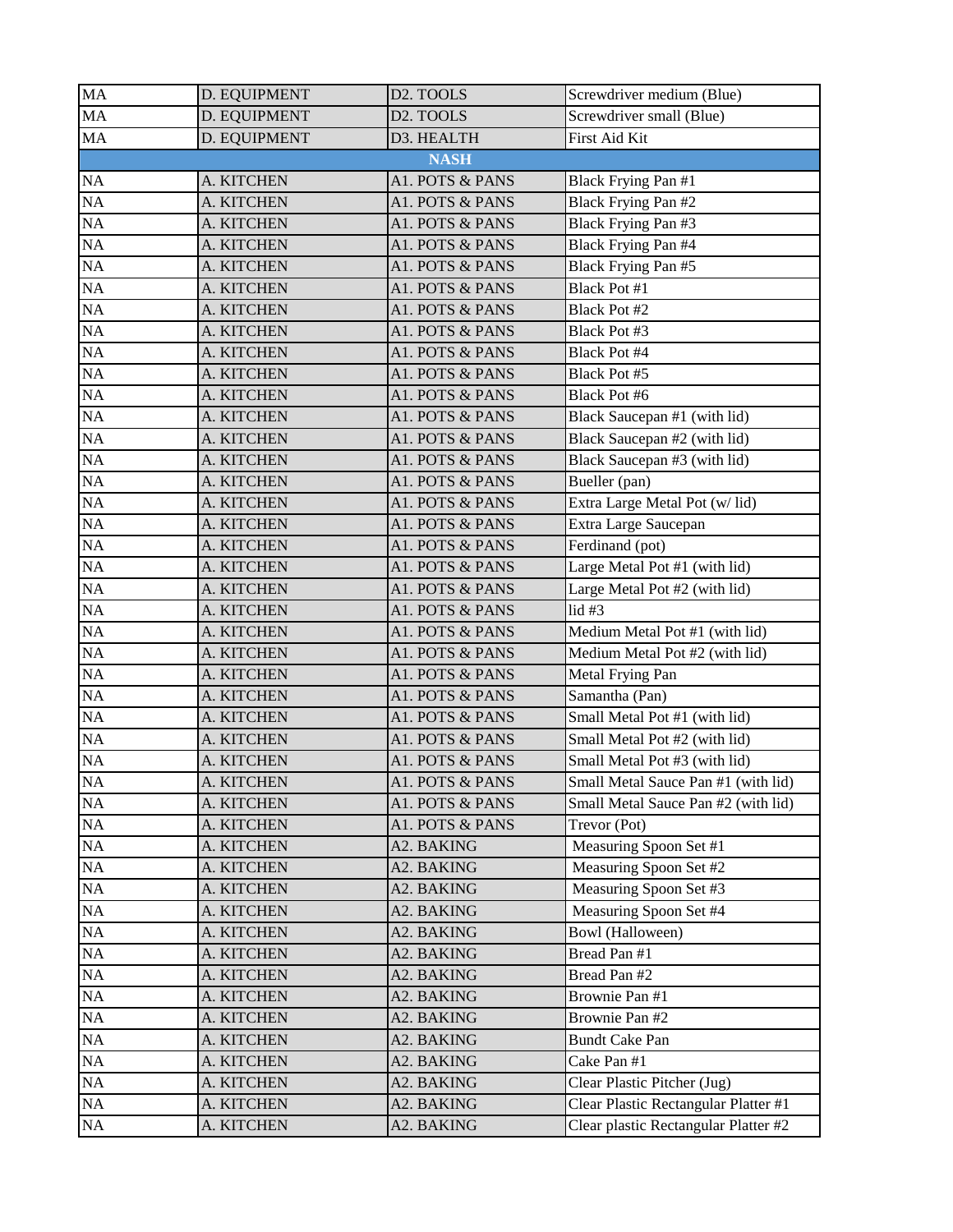| <b>MA</b>       | D. EQUIPMENT | D <sub>2</sub> . TOOLS | Screwdriver medium (Blue)            |
|-----------------|--------------|------------------------|--------------------------------------|
| <b>MA</b>       | D. EQUIPMENT | D <sub>2</sub> . TOOLS | Screwdriver small (Blue)             |
| MA              | D. EQUIPMENT | D3. HEALTH             | First Aid Kit                        |
|                 |              | <b>NASH</b>            |                                      |
| NA              | A. KITCHEN   | A1. POTS & PANS        | Black Frying Pan #1                  |
| NA              | A. KITCHEN   | A1. POTS & PANS        | Black Frying Pan #2                  |
| NA              | A. KITCHEN   | A1. POTS & PANS        | Black Frying Pan #3                  |
| NA              | A. KITCHEN   | A1. POTS & PANS        | Black Frying Pan #4                  |
| NA              | A. KITCHEN   | A1. POTS & PANS        | Black Frying Pan #5                  |
| NA              | A. KITCHEN   | A1. POTS & PANS        | <b>Black Pot #1</b>                  |
| NA              | A. KITCHEN   | A1. POTS & PANS        | Black Pot #2                         |
| <b>NA</b>       | A. KITCHEN   | A1. POTS & PANS        | Black Pot #3                         |
| NA              | A. KITCHEN   | A1. POTS & PANS        | Black Pot #4                         |
| NA              | A. KITCHEN   | A1. POTS & PANS        | Black Pot #5                         |
| NA              | A. KITCHEN   | A1. POTS & PANS        | Black Pot #6                         |
| <b>NA</b>       | A. KITCHEN   | A1. POTS & PANS        | Black Saucepan #1 (with lid)         |
| NA              | A. KITCHEN   | A1. POTS & PANS        | Black Saucepan #2 (with lid)         |
| NA              | A. KITCHEN   | A1. POTS & PANS        | Black Saucepan #3 (with lid)         |
| NA              | A. KITCHEN   | A1. POTS & PANS        | Bueller (pan)                        |
| NA              | A. KITCHEN   | A1. POTS & PANS        | Extra Large Metal Pot (w/lid)        |
| <b>NA</b>       | A. KITCHEN   | A1. POTS & PANS        | Extra Large Saucepan                 |
| NA              | A. KITCHEN   | A1. POTS & PANS        | Ferdinand (pot)                      |
| NA              | A. KITCHEN   | A1. POTS & PANS        | Large Metal Pot #1 (with lid)        |
| <b>NA</b>       | A. KITCHEN   | A1. POTS & PANS        | Large Metal Pot #2 (with lid)        |
| NA              | A. KITCHEN   | A1. POTS & PANS        | lid#3                                |
| NA              | A. KITCHEN   | A1. POTS & PANS        | Medium Metal Pot #1 (with lid)       |
| NA              | A. KITCHEN   | A1. POTS & PANS        | Medium Metal Pot #2 (with lid)       |
| NA              | A. KITCHEN   | A1. POTS & PANS        | Metal Frying Pan                     |
| <b>NA</b>       | A. KITCHEN   | A1. POTS & PANS        | Samantha (Pan)                       |
| NA              | A. KITCHEN   | A1. POTS & PANS        | Small Metal Pot #1 (with lid)        |
| NA              | A. KITCHEN   | A1. POTS & PANS        | Small Metal Pot #2 (with lid)        |
| NA              | A. KITCHEN   | A1. POTS & PANS        | Small Metal Pot #3 (with lid)        |
| $\overline{NA}$ | A. KITCHEN   | A1. POTS & PANS        | Small Metal Sauce Pan #1 (with lid)  |
| $\rm NA$        | A. KITCHEN   | A1. POTS & PANS        | Small Metal Sauce Pan #2 (with lid)  |
| NA              | A. KITCHEN   | A1. POTS & PANS        | Trevor (Pot)                         |
| NA              | A. KITCHEN   | A2. BAKING             | Measuring Spoon Set #1               |
| NA              | A. KITCHEN   | A2. BAKING             | Measuring Spoon Set #2               |
| $\rm NA$        | A. KITCHEN   | A2. BAKING             | Measuring Spoon Set #3               |
| $\rm NA$        | A. KITCHEN   | A2. BAKING             | Measuring Spoon Set #4               |
| NA              | A. KITCHEN   | A2. BAKING             | Bowl (Halloween)                     |
| $\rm NA$        | A. KITCHEN   | A2. BAKING             | Bread Pan #1                         |
| NA              | A. KITCHEN   | A2. BAKING             | Bread Pan #2                         |
| NA              | A. KITCHEN   | A2. BAKING             | Brownie Pan #1                       |
| $\rm NA$        | A. KITCHEN   | A2. BAKING             | Brownie Pan #2                       |
| NA              | A. KITCHEN   | A2. BAKING             | <b>Bundt Cake Pan</b>                |
| $\rm NA$        | A. KITCHEN   | A2. BAKING             | Cake Pan #1                          |
| $\rm NA$        | A. KITCHEN   | A2. BAKING             | Clear Plastic Pitcher (Jug)          |
| NA              | A. KITCHEN   | A2. BAKING             | Clear Plastic Rectangular Platter #1 |
| NA              | A. KITCHEN   | A2. BAKING             | Clear plastic Rectangular Platter #2 |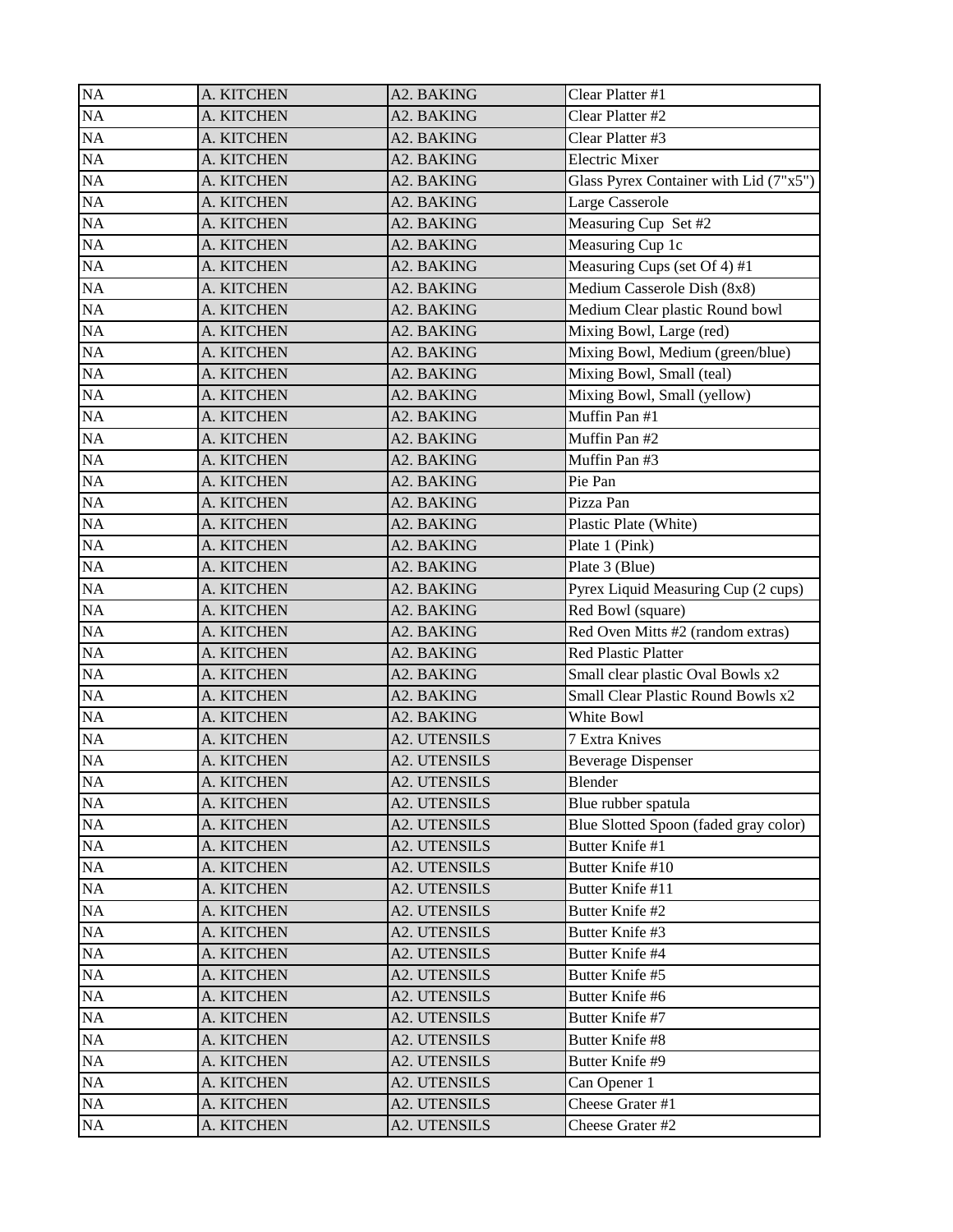| <b>NA</b> | A. KITCHEN | A2. BAKING          | Clear Platter #1                          |
|-----------|------------|---------------------|-------------------------------------------|
| <b>NA</b> | A. KITCHEN | A2. BAKING          | Clear Platter #2                          |
| <b>NA</b> | A. KITCHEN | A2. BAKING          | Clear Platter #3                          |
| NA        | A. KITCHEN | A2. BAKING          | <b>Electric Mixer</b>                     |
| <b>NA</b> | A. KITCHEN | A2. BAKING          | Glass Pyrex Container with Lid (7"x5")    |
| NA        | A. KITCHEN | A2. BAKING          | Large Casserole                           |
| NA        | A. KITCHEN | A2. BAKING          | Measuring Cup Set #2                      |
| <b>NA</b> | A. KITCHEN | A2. BAKING          | Measuring Cup 1c                          |
| NA        | A. KITCHEN | A2. BAKING          | Measuring Cups (set Of 4) #1              |
| NA        | A. KITCHEN | A2. BAKING          | Medium Casserole Dish (8x8)               |
| <b>NA</b> | A. KITCHEN | A2. BAKING          | Medium Clear plastic Round bowl           |
| <b>NA</b> | A. KITCHEN | A2. BAKING          | Mixing Bowl, Large (red)                  |
| NA        | A. KITCHEN | A2. BAKING          | Mixing Bowl, Medium (green/blue)          |
| NA        | A. KITCHEN | A2. BAKING          | Mixing Bowl, Small (teal)                 |
| <b>NA</b> | A. KITCHEN | A2. BAKING          | Mixing Bowl, Small (yellow)               |
| NA        | A. KITCHEN | A2. BAKING          | Muffin Pan #1                             |
| <b>NA</b> | A. KITCHEN | A2. BAKING          | Muffin Pan #2                             |
| <b>NA</b> | A. KITCHEN | A2. BAKING          | Muffin Pan #3                             |
| NA        | A. KITCHEN | A2. BAKING          | Pie Pan                                   |
| NA        | A. KITCHEN | A2. BAKING          | Pizza Pan                                 |
| <b>NA</b> | A. KITCHEN | A2. BAKING          | Plastic Plate (White)                     |
| <b>NA</b> | A. KITCHEN | A2. BAKING          | Plate 1 (Pink)                            |
| NA        | A. KITCHEN | A2. BAKING          | Plate 3 (Blue)                            |
| <b>NA</b> | A. KITCHEN | A2. BAKING          | Pyrex Liquid Measuring Cup (2 cups)       |
| <b>NA</b> | A. KITCHEN | A2. BAKING          | Red Bowl (square)                         |
| NA        | A. KITCHEN | A2. BAKING          | Red Oven Mitts #2 (random extras)         |
| NA        | A. KITCHEN | A2. BAKING          | <b>Red Plastic Platter</b>                |
| <b>NA</b> | A. KITCHEN | A2. BAKING          | Small clear plastic Oval Bowls x2         |
| NA        | A. KITCHEN | A2. BAKING          | <b>Small Clear Plastic Round Bowls x2</b> |
| NA        | A. KITCHEN | A2. BAKING          | White Bowl                                |
| NA        | A. KITCHEN | <b>A2. UTENSILS</b> | <b>7 Extra Knives</b>                     |
| $\rm NA$  | A. KITCHEN | <b>A2. UTENSILS</b> | <b>Beverage Dispenser</b>                 |
| NA        | A. KITCHEN | <b>A2. UTENSILS</b> | Blender                                   |
| $\rm NA$  | A. KITCHEN | A2. UTENSILS        | Blue rubber spatula                       |
| NA        | A. KITCHEN | A2. UTENSILS        | Blue Slotted Spoon (faded gray color)     |
| NA        | A. KITCHEN | <b>A2. UTENSILS</b> | Butter Knife #1                           |
| $\rm NA$  | A. KITCHEN | A2. UTENSILS        | Butter Knife #10                          |
| NA        | A. KITCHEN | A2. UTENSILS        | Butter Knife #11                          |
| NA        | A. KITCHEN | <b>A2. UTENSILS</b> | Butter Knife #2                           |
| NA        | A. KITCHEN | <b>A2. UTENSILS</b> | Butter Knife #3                           |
| $\rm NA$  | A. KITCHEN | <b>A2. UTENSILS</b> | Butter Knife #4                           |
| NA        | A. KITCHEN | <b>A2. UTENSILS</b> | Butter Knife #5                           |
| NA        | A. KITCHEN | <b>A2. UTENSILS</b> | Butter Knife #6                           |
| $\rm NA$  | A. KITCHEN | A2. UTENSILS        | Butter Knife #7                           |
| NA        | A. KITCHEN | A2. UTENSILS        | Butter Knife #8                           |
| NA        | A. KITCHEN | <b>A2. UTENSILS</b> | Butter Knife #9                           |
| $\rm NA$  | A. KITCHEN | A2. UTENSILS        | Can Opener 1                              |
| NA        | A. KITCHEN | A2. UTENSILS        | Cheese Grater #1                          |
| $\rm NA$  | A. KITCHEN | <b>A2. UTENSILS</b> | Cheese Grater #2                          |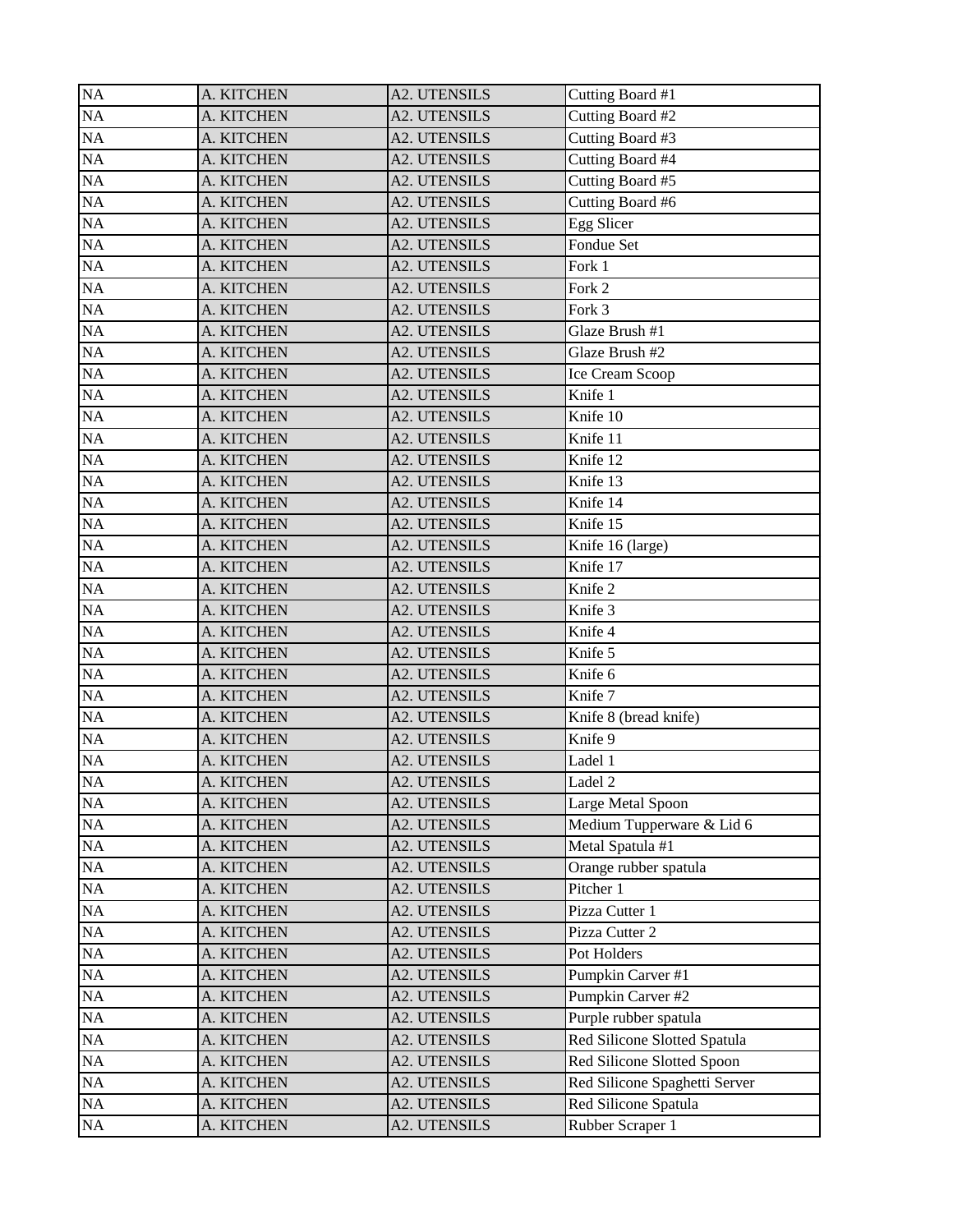| <b>NA</b> | A. KITCHEN | <b>A2. UTENSILS</b> | Cutting Board #1              |
|-----------|------------|---------------------|-------------------------------|
| <b>NA</b> | A. KITCHEN | <b>A2. UTENSILS</b> | Cutting Board #2              |
| NA        | A. KITCHEN | <b>A2. UTENSILS</b> | Cutting Board #3              |
| NA        | A. KITCHEN | <b>A2. UTENSILS</b> | Cutting Board #4              |
| NA        | A. KITCHEN | <b>A2. UTENSILS</b> | Cutting Board #5              |
| NA        | A. KITCHEN | <b>A2. UTENSILS</b> | Cutting Board #6              |
| NA        | A. KITCHEN | <b>A2. UTENSILS</b> | Egg Slicer                    |
| NA        | A. KITCHEN | <b>A2. UTENSILS</b> | Fondue Set                    |
| <b>NA</b> | A. KITCHEN | <b>A2. UTENSILS</b> | Fork 1                        |
| NA        | A. KITCHEN | <b>A2. UTENSILS</b> | Fork 2                        |
| NA        | A. KITCHEN | <b>A2. UTENSILS</b> | Fork 3                        |
| <b>NA</b> | A. KITCHEN | <b>A2. UTENSILS</b> | Glaze Brush #1                |
| NA        | A. KITCHEN | <b>A2. UTENSILS</b> | Glaze Brush #2                |
| NA        | A. KITCHEN | <b>A2. UTENSILS</b> | Ice Cream Scoop               |
| NA        | A. KITCHEN | <b>A2. UTENSILS</b> | Knife 1                       |
| NA        | A. KITCHEN | <b>A2. UTENSILS</b> | Knife 10                      |
| NA        | A. KITCHEN | A2. UTENSILS        | Knife 11                      |
| NA        | A. KITCHEN | <b>A2. UTENSILS</b> | Knife 12                      |
| NA        | A. KITCHEN | <b>A2. UTENSILS</b> | Knife 13                      |
| NA        | A. KITCHEN | <b>A2. UTENSILS</b> | Knife 14                      |
| NA        | A. KITCHEN | <b>A2. UTENSILS</b> | Knife 15                      |
| <b>NA</b> | A. KITCHEN | <b>A2. UTENSILS</b> | Knife 16 (large)              |
| NA        | A. KITCHEN | <b>A2. UTENSILS</b> | Knife 17                      |
| NA        | A. KITCHEN | <b>A2. UTENSILS</b> | Knife 2                       |
| NA        | A. KITCHEN | <b>A2. UTENSILS</b> | Knife 3                       |
| NA        | A. KITCHEN | <b>A2. UTENSILS</b> | Knife 4                       |
| NA        | A. KITCHEN | <b>A2. UTENSILS</b> | Knife 5                       |
| <b>NA</b> | A. KITCHEN | <b>A2. UTENSILS</b> | Knife 6                       |
| NA        | A. KITCHEN | <b>A2. UTENSILS</b> | Knife 7                       |
| NA        | A. KITCHEN | <b>A2. UTENSILS</b> | Knife 8 (bread knife)         |
| NA        | A. KITCHEN | <b>A2. UTENSILS</b> | Knife 9                       |
| NA        | A. KITCHEN | <b>A2. UTENSILS</b> | Ladel 1                       |
| $\rm NA$  | A. KITCHEN | A2. UTENSILS        | Ladel 2                       |
| $\rm NA$  | A. KITCHEN | A2. UTENSILS        | Large Metal Spoon             |
| NA        | A. KITCHEN | A2. UTENSILS        | Medium Tupperware & Lid 6     |
| NA        | A. KITCHEN | <b>A2. UTENSILS</b> | Metal Spatula #1              |
| NA        | A. KITCHEN | <b>A2. UTENSILS</b> | Orange rubber spatula         |
| NA        | A. KITCHEN | A2. UTENSILS        | Pitcher 1                     |
| NA        | A. KITCHEN | A2. UTENSILS        | Pizza Cutter 1                |
| NA        | A. KITCHEN | A2. UTENSILS        | Pizza Cutter 2                |
| NA        | A. KITCHEN | A2. UTENSILS        | Pot Holders                   |
| NA        | A. KITCHEN | <b>A2. UTENSILS</b> | Pumpkin Carver #1             |
| NA        | A. KITCHEN | <b>A2. UTENSILS</b> | Pumpkin Carver #2             |
| NA        | A. KITCHEN | A2. UTENSILS        | Purple rubber spatula         |
| NA        | A. KITCHEN | A2. UTENSILS        | Red Silicone Slotted Spatula  |
| NA        | A. KITCHEN | A2. UTENSILS        | Red Silicone Slotted Spoon    |
| NA        | A. KITCHEN | A2. UTENSILS        | Red Silicone Spaghetti Server |
| NA        | A. KITCHEN | A2. UTENSILS        | Red Silicone Spatula          |
| NA        | A. KITCHEN | A2. UTENSILS        | Rubber Scraper 1              |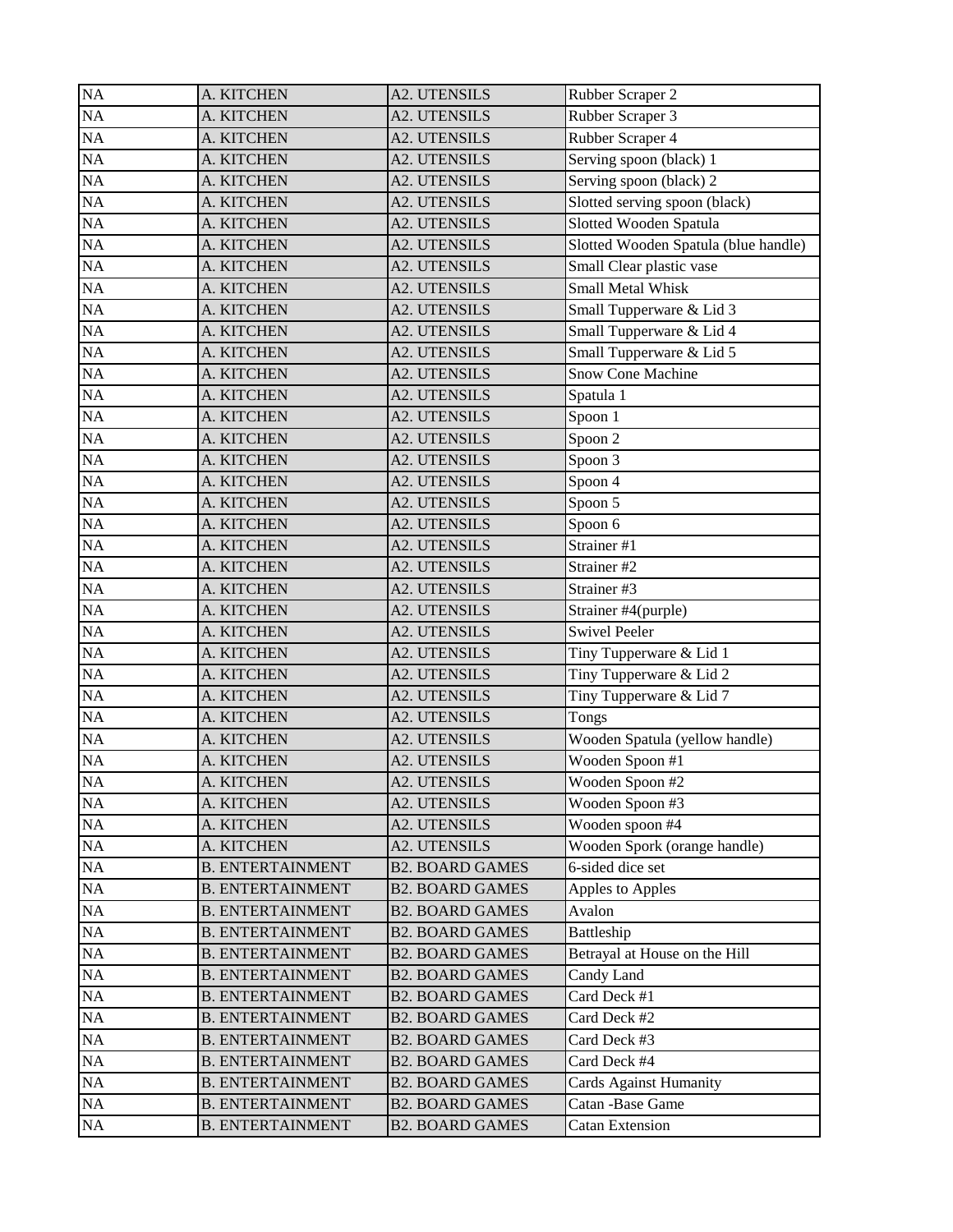| <b>NA</b> | A. KITCHEN              | <b>A2. UTENSILS</b>    | Rubber Scraper 2                     |
|-----------|-------------------------|------------------------|--------------------------------------|
| <b>NA</b> | A. KITCHEN              | <b>A2. UTENSILS</b>    | Rubber Scraper 3                     |
| NA        | A. KITCHEN              | <b>A2. UTENSILS</b>    | Rubber Scraper 4                     |
| NA        | A. KITCHEN              | <b>A2. UTENSILS</b>    | Serving spoon (black) 1              |
| NA        | A. KITCHEN              | <b>A2. UTENSILS</b>    | Serving spoon (black) 2              |
| NA        | A. KITCHEN              | <b>A2. UTENSILS</b>    | Slotted serving spoon (black)        |
| NA        | A. KITCHEN              | <b>A2. UTENSILS</b>    | Slotted Wooden Spatula               |
| NA        | A. KITCHEN              | <b>A2. UTENSILS</b>    | Slotted Wooden Spatula (blue handle) |
| <b>NA</b> | A. KITCHEN              | <b>A2. UTENSILS</b>    | Small Clear plastic vase             |
| NA        | A. KITCHEN              | <b>A2. UTENSILS</b>    | Small Metal Whisk                    |
| NA        | A. KITCHEN              | <b>A2. UTENSILS</b>    | Small Tupperware & Lid 3             |
| NA        | A. KITCHEN              | <b>A2. UTENSILS</b>    | Small Tupperware & Lid 4             |
| NA        | A. KITCHEN              | <b>A2. UTENSILS</b>    | Small Tupperware & Lid 5             |
| NA        | A. KITCHEN              | <b>A2. UTENSILS</b>    | Snow Cone Machine                    |
| NA        | A. KITCHEN              | <b>A2. UTENSILS</b>    | Spatula 1                            |
| NA        | A. KITCHEN              | <b>A2. UTENSILS</b>    | Spoon 1                              |
| NA        | A. KITCHEN              | A2. UTENSILS           | Spoon 2                              |
| NA        | A. KITCHEN              | <b>A2. UTENSILS</b>    | Spoon 3                              |
| NA        | A. KITCHEN              | <b>A2. UTENSILS</b>    | Spoon 4                              |
| NA        | A. KITCHEN              | <b>A2. UTENSILS</b>    | Spoon 5                              |
| NA        | A. KITCHEN              | <b>A2. UTENSILS</b>    | Spoon 6                              |
| NA        | A. KITCHEN              | <b>A2. UTENSILS</b>    | Strainer #1                          |
| NA        | A. KITCHEN              | <b>A2. UTENSILS</b>    | Strainer #2                          |
| NA        | A. KITCHEN              | <b>A2. UTENSILS</b>    | Strainer #3                          |
| NA        | A. KITCHEN              | <b>A2. UTENSILS</b>    | Strainer #4(purple)                  |
| NA        | A. KITCHEN              | <b>A2. UTENSILS</b>    | <b>Swivel Peeler</b>                 |
| <b>NA</b> | A. KITCHEN              | <b>A2. UTENSILS</b>    | Tiny Tupperware & Lid 1              |
| NA        | A. KITCHEN              | <b>A2. UTENSILS</b>    | Tiny Tupperware & Lid 2              |
| <b>NA</b> | A. KITCHEN              | <b>A2. UTENSILS</b>    | Tiny Tupperware & Lid 7              |
| <b>NA</b> | A. KITCHEN              | <b>A2. UTENSILS</b>    | Tongs                                |
| NA        | A. KITCHEN              | <b>A2. UTENSILS</b>    | Wooden Spatula (yellow handle)       |
| NA        | A. KITCHEN              | <b>A2. UTENSILS</b>    | Wooden Spoon #1                      |
| NA        | A. KITCHEN              | <b>A2. UTENSILS</b>    | Wooden Spoon #2                      |
| NA        | A. KITCHEN              | A2. UTENSILS           | Wooden Spoon #3                      |
| NA        | A. KITCHEN              | <b>A2. UTENSILS</b>    | Wooden spoon #4                      |
| NA        | A. KITCHEN              | <b>A2. UTENSILS</b>    | Wooden Spork (orange handle)         |
| NA        | <b>B. ENTERTAINMENT</b> | <b>B2. BOARD GAMES</b> | 6-sided dice set                     |
| NA        | <b>B. ENTERTAINMENT</b> | <b>B2. BOARD GAMES</b> | Apples to Apples                     |
| NA        | <b>B. ENTERTAINMENT</b> | <b>B2. BOARD GAMES</b> | Avalon                               |
| NA        | <b>B. ENTERTAINMENT</b> | <b>B2. BOARD GAMES</b> | Battleship                           |
| $\rm NA$  | <b>B. ENTERTAINMENT</b> | <b>B2. BOARD GAMES</b> | Betrayal at House on the Hill        |
| NA        | <b>B. ENTERTAINMENT</b> | <b>B2. BOARD GAMES</b> | Candy Land                           |
| NA        | <b>B. ENTERTAINMENT</b> | <b>B2. BOARD GAMES</b> | Card Deck #1                         |
| NA        | <b>B. ENTERTAINMENT</b> | <b>B2. BOARD GAMES</b> | Card Deck #2                         |
| NA        | <b>B. ENTERTAINMENT</b> | <b>B2. BOARD GAMES</b> | Card Deck #3                         |
| NA        | <b>B. ENTERTAINMENT</b> | <b>B2. BOARD GAMES</b> | Card Deck #4                         |
| NA        | <b>B. ENTERTAINMENT</b> | <b>B2. BOARD GAMES</b> | <b>Cards Against Humanity</b>        |
| NA        | <b>B. ENTERTAINMENT</b> | <b>B2. BOARD GAMES</b> | Catan -Base Game                     |
| $\rm NA$  | <b>B. ENTERTAINMENT</b> | <b>B2. BOARD GAMES</b> | <b>Catan Extension</b>               |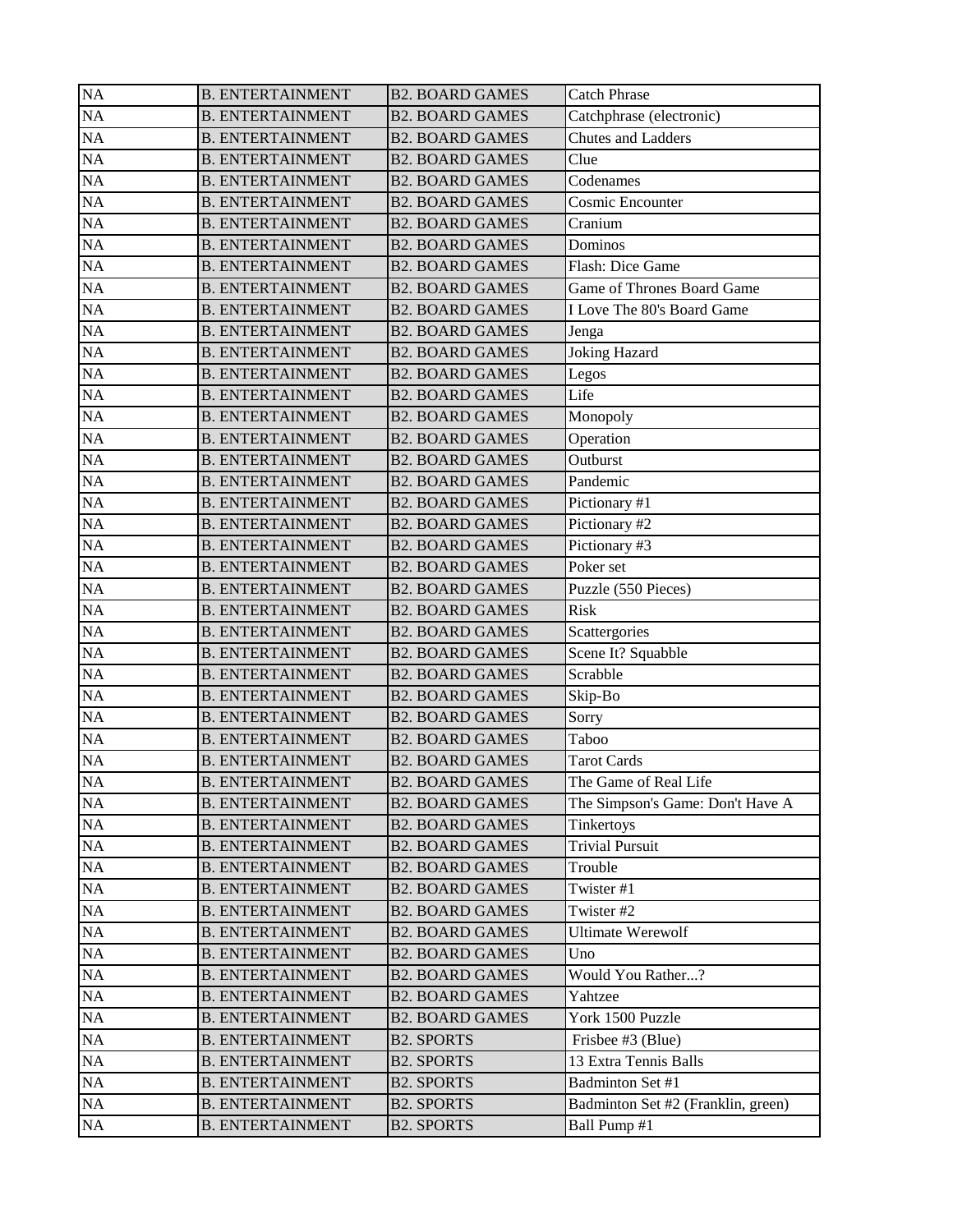| <b>NA</b> | <b>B. ENTERTAINMENT</b> | <b>B2. BOARD GAMES</b> | <b>Catch Phrase</b>                |
|-----------|-------------------------|------------------------|------------------------------------|
| <b>NA</b> | <b>B. ENTERTAINMENT</b> | <b>B2. BOARD GAMES</b> | Catchphrase (electronic)           |
| <b>NA</b> | <b>B. ENTERTAINMENT</b> | <b>B2. BOARD GAMES</b> | Chutes and Ladders                 |
| NA        | <b>B. ENTERTAINMENT</b> | <b>B2. BOARD GAMES</b> | Clue                               |
| NA        | <b>B. ENTERTAINMENT</b> | <b>B2. BOARD GAMES</b> | Codenames                          |
| NA        | <b>B. ENTERTAINMENT</b> | <b>B2. BOARD GAMES</b> | Cosmic Encounter                   |
| NA        | <b>B. ENTERTAINMENT</b> | <b>B2. BOARD GAMES</b> | Cranium                            |
| NA        | <b>B. ENTERTAINMENT</b> | <b>B2. BOARD GAMES</b> | Dominos                            |
| NA        | <b>B. ENTERTAINMENT</b> | <b>B2. BOARD GAMES</b> | <b>Flash: Dice Game</b>            |
| <b>NA</b> | <b>B. ENTERTAINMENT</b> | <b>B2. BOARD GAMES</b> | Game of Thrones Board Game         |
| NA        | <b>B. ENTERTAINMENT</b> | <b>B2. BOARD GAMES</b> | I Love The 80's Board Game         |
| <b>NA</b> | <b>B. ENTERTAINMENT</b> | <b>B2. BOARD GAMES</b> | Jenga                              |
| <b>NA</b> | <b>B. ENTERTAINMENT</b> | <b>B2. BOARD GAMES</b> | <b>Joking Hazard</b>               |
| NA        | <b>B. ENTERTAINMENT</b> | <b>B2. BOARD GAMES</b> | Legos                              |
| NA        | <b>B. ENTERTAINMENT</b> | <b>B2. BOARD GAMES</b> | Life                               |
| NA        | <b>B. ENTERTAINMENT</b> | <b>B2. BOARD GAMES</b> | Monopoly                           |
| NA        | <b>B. ENTERTAINMENT</b> | <b>B2. BOARD GAMES</b> | Operation                          |
| NA        | <b>B. ENTERTAINMENT</b> | <b>B2. BOARD GAMES</b> | Outburst                           |
| NA        | <b>B. ENTERTAINMENT</b> | <b>B2. BOARD GAMES</b> | Pandemic                           |
| <b>NA</b> | <b>B. ENTERTAINMENT</b> | <b>B2. BOARD GAMES</b> | Pictionary #1                      |
| NA        | <b>B. ENTERTAINMENT</b> | <b>B2. BOARD GAMES</b> | Pictionary #2                      |
| <b>NA</b> | <b>B. ENTERTAINMENT</b> | <b>B2. BOARD GAMES</b> | Pictionary #3                      |
| <b>NA</b> | <b>B. ENTERTAINMENT</b> | <b>B2. BOARD GAMES</b> | Poker set                          |
| NA        | <b>B. ENTERTAINMENT</b> | <b>B2. BOARD GAMES</b> | Puzzle (550 Pieces)                |
| NA        | <b>B. ENTERTAINMENT</b> | <b>B2. BOARD GAMES</b> | <b>Risk</b>                        |
| NA        | <b>B. ENTERTAINMENT</b> | <b>B2. BOARD GAMES</b> | Scattergories                      |
| NA        | <b>B. ENTERTAINMENT</b> | <b>B2. BOARD GAMES</b> | Scene It? Squabble                 |
| <b>NA</b> | <b>B. ENTERTAINMENT</b> | <b>B2. BOARD GAMES</b> | Scrabble                           |
| <b>NA</b> | <b>B. ENTERTAINMENT</b> | <b>B2. BOARD GAMES</b> | Skip-Bo                            |
| NA        | <b>B. ENTERTAINMENT</b> | <b>B2. BOARD GAMES</b> | Sorry                              |
| NA        | <b>B. ENTERTAINMENT</b> | <b>B2. BOARD GAMES</b> | Taboo                              |
| NA        | <b>B. ENTERTAINMENT</b> | <b>B2. BOARD GAMES</b> | <b>Tarot Cards</b>                 |
| $\rm NA$  | <b>B. ENTERTAINMENT</b> | <b>B2. BOARD GAMES</b> | The Game of Real Life              |
| NA        | <b>B. ENTERTAINMENT</b> | <b>B2. BOARD GAMES</b> | The Simpson's Game: Don't Have A   |
| NA        | <b>B. ENTERTAINMENT</b> | <b>B2. BOARD GAMES</b> | Tinkertoys                         |
| NA        | <b>B. ENTERTAINMENT</b> | <b>B2. BOARD GAMES</b> | <b>Trivial Pursuit</b>             |
| NA        | <b>B. ENTERTAINMENT</b> | <b>B2. BOARD GAMES</b> | Trouble                            |
| NA        | <b>B. ENTERTAINMENT</b> | <b>B2. BOARD GAMES</b> | Twister #1                         |
| NA        | <b>B. ENTERTAINMENT</b> | <b>B2. BOARD GAMES</b> | Twister #2                         |
| NA        | <b>B. ENTERTAINMENT</b> | <b>B2. BOARD GAMES</b> | <b>Ultimate Werewolf</b>           |
| $\rm NA$  | <b>B. ENTERTAINMENT</b> | <b>B2. BOARD GAMES</b> | Uno                                |
| NA        | <b>B. ENTERTAINMENT</b> | <b>B2. BOARD GAMES</b> | Would You Rather?                  |
| NA        | <b>B. ENTERTAINMENT</b> | <b>B2. BOARD GAMES</b> | Yahtzee                            |
|           |                         | <b>B2. BOARD GAMES</b> |                                    |
| NA        | <b>B. ENTERTAINMENT</b> |                        | York 1500 Puzzle                   |
| NA        | <b>B. ENTERTAINMENT</b> | <b>B2. SPORTS</b>      | Frisbee #3 (Blue)                  |
| NA        | <b>B. ENTERTAINMENT</b> | <b>B2. SPORTS</b>      | 13 Extra Tennis Balls              |
| NA        | <b>B. ENTERTAINMENT</b> | <b>B2. SPORTS</b>      | Badminton Set #1                   |
| NA        | <b>B. ENTERTAINMENT</b> | <b>B2. SPORTS</b>      | Badminton Set #2 (Franklin, green) |
| NA        | <b>B. ENTERTAINMENT</b> | <b>B2. SPORTS</b>      | Ball Pump #1                       |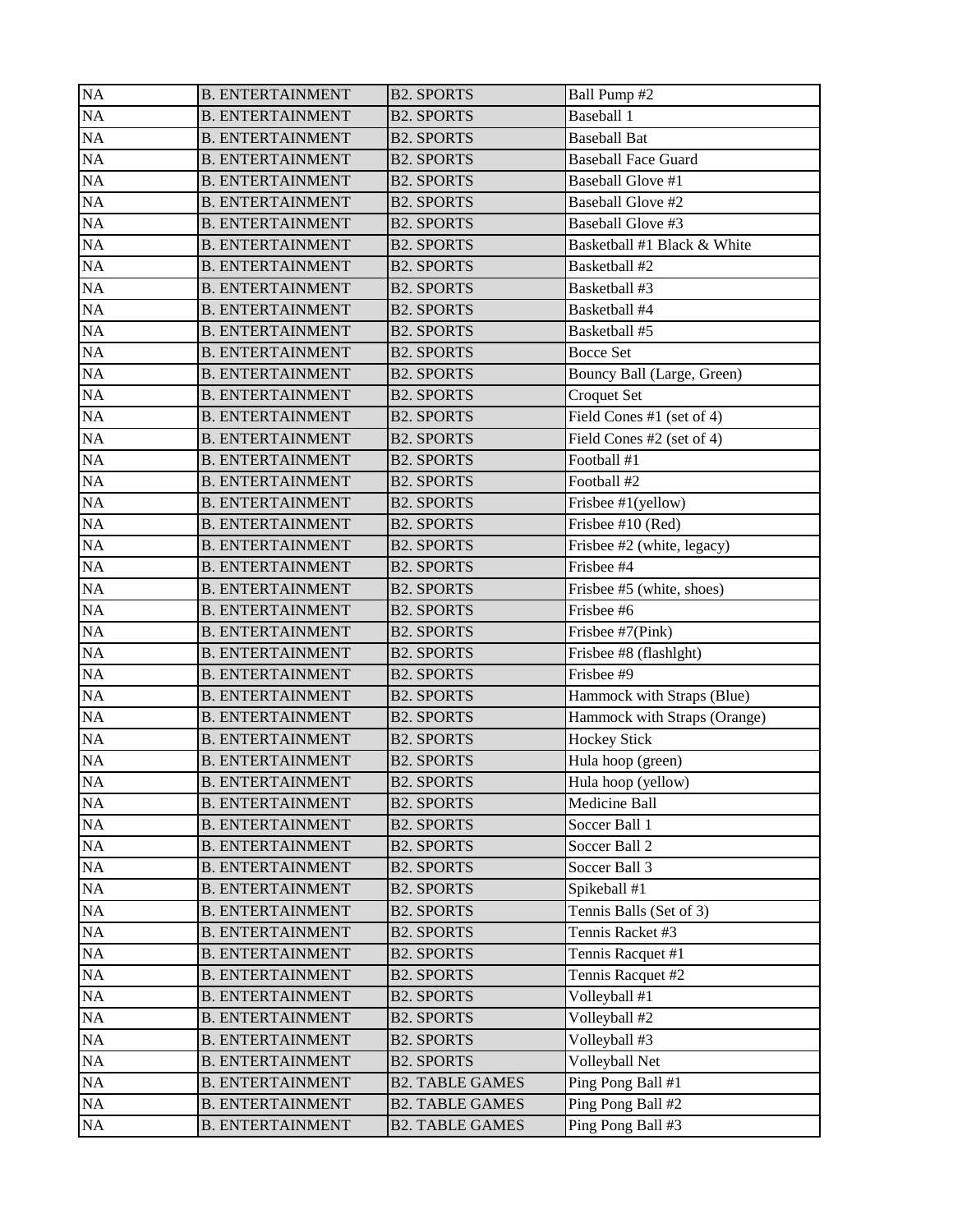| <b>NA</b> | <b>B. ENTERTAINMENT</b> | <b>B2. SPORTS</b>      | Ball Pump #2                 |
|-----------|-------------------------|------------------------|------------------------------|
| <b>NA</b> | <b>B. ENTERTAINMENT</b> | <b>B2. SPORTS</b>      | Baseball 1                   |
| <b>NA</b> | <b>B. ENTERTAINMENT</b> | <b>B2. SPORTS</b>      | <b>Baseball Bat</b>          |
| NA        | <b>B. ENTERTAINMENT</b> | <b>B2. SPORTS</b>      | <b>Baseball Face Guard</b>   |
| NA        | <b>B. ENTERTAINMENT</b> | <b>B2. SPORTS</b>      | <b>Baseball Glove #1</b>     |
| NA        | <b>B. ENTERTAINMENT</b> | <b>B2. SPORTS</b>      | <b>Baseball Glove #2</b>     |
| NA        | <b>B. ENTERTAINMENT</b> | <b>B2. SPORTS</b>      | Baseball Glove #3            |
| NA        | <b>B. ENTERTAINMENT</b> | <b>B2. SPORTS</b>      | Basketball #1 Black & White  |
| <b>NA</b> | <b>B. ENTERTAINMENT</b> | <b>B2. SPORTS</b>      | Basketball #2                |
| NA        | <b>B. ENTERTAINMENT</b> | <b>B2. SPORTS</b>      | Basketball #3                |
| NA        | <b>B. ENTERTAINMENT</b> | <b>B2. SPORTS</b>      | Basketball #4                |
| <b>NA</b> | <b>B. ENTERTAINMENT</b> | <b>B2. SPORTS</b>      | Basketball #5                |
| <b>NA</b> | <b>B. ENTERTAINMENT</b> | <b>B2. SPORTS</b>      | <b>Bocce Set</b>             |
| NA        | <b>B. ENTERTAINMENT</b> | <b>B2. SPORTS</b>      | Bouncy Ball (Large, Green)   |
| NA        | <b>B. ENTERTAINMENT</b> | <b>B2. SPORTS</b>      | Croquet Set                  |
| NA        | <b>B. ENTERTAINMENT</b> | <b>B2. SPORTS</b>      | Field Cones #1 (set of 4)    |
| NA        | <b>B. ENTERTAINMENT</b> | <b>B2. SPORTS</b>      | Field Cones #2 (set of 4)    |
| NA        | <b>B. ENTERTAINMENT</b> | <b>B2. SPORTS</b>      | Football #1                  |
| <b>NA</b> | <b>B. ENTERTAINMENT</b> | <b>B2. SPORTS</b>      | Football #2                  |
| NA        | <b>B. ENTERTAINMENT</b> | <b>B2. SPORTS</b>      | Frisbee #1(yellow)           |
| NA        | <b>B. ENTERTAINMENT</b> | <b>B2. SPORTS</b>      | Frisbee #10 (Red)            |
| NA        | <b>B. ENTERTAINMENT</b> | <b>B2. SPORTS</b>      | Frisbee #2 (white, legacy)   |
| <b>NA</b> | <b>B. ENTERTAINMENT</b> | <b>B2. SPORTS</b>      | Frisbee #4                   |
| NA        | <b>B. ENTERTAINMENT</b> | <b>B2. SPORTS</b>      | Frisbee #5 (white, shoes)    |
| NA        | <b>B. ENTERTAINMENT</b> | <b>B2. SPORTS</b>      | Frisbee #6                   |
| NA        | <b>B. ENTERTAINMENT</b> | <b>B2. SPORTS</b>      | Frisbee #7(Pink)             |
| NA        | <b>B. ENTERTAINMENT</b> | <b>B2. SPORTS</b>      | Frisbee #8 (flashlght)       |
| <b>NA</b> | <b>B. ENTERTAINMENT</b> | <b>B2. SPORTS</b>      | Frisbee #9                   |
| <b>NA</b> | <b>B. ENTERTAINMENT</b> | <b>B2. SPORTS</b>      | Hammock with Straps (Blue)   |
| NA        | <b>B. ENTERTAINMENT</b> | <b>B2. SPORTS</b>      | Hammock with Straps (Orange) |
| NA        | <b>B. ENTERTAINMENT</b> | <b>B2. SPORTS</b>      | <b>Hockey Stick</b>          |
| NA        | <b>B. ENTERTAINMENT</b> | <b>B2. SPORTS</b>      | Hula hoop (green)            |
| $\rm NA$  | <b>B. ENTERTAINMENT</b> | <b>B2. SPORTS</b>      | Hula hoop (yellow)           |
| NA        | <b>B. ENTERTAINMENT</b> | <b>B2. SPORTS</b>      | Medicine Ball                |
| NA        | <b>B. ENTERTAINMENT</b> | <b>B2. SPORTS</b>      | Soccer Ball 1                |
| NA        | <b>B. ENTERTAINMENT</b> | <b>B2. SPORTS</b>      | Soccer Ball 2                |
| NA        | <b>B. ENTERTAINMENT</b> | <b>B2. SPORTS</b>      | Soccer Ball 3                |
| NA        | <b>B. ENTERTAINMENT</b> | <b>B2. SPORTS</b>      | Spikeball #1                 |
| NA        | <b>B. ENTERTAINMENT</b> | <b>B2. SPORTS</b>      | Tennis Balls (Set of 3)      |
| NA        | <b>B. ENTERTAINMENT</b> | <b>B2. SPORTS</b>      | Tennis Racket #3             |
| $\rm NA$  | <b>B. ENTERTAINMENT</b> | <b>B2. SPORTS</b>      | Tennis Racquet #1            |
| NA        | <b>B. ENTERTAINMENT</b> | <b>B2. SPORTS</b>      | Tennis Racquet #2            |
| NA        | <b>B. ENTERTAINMENT</b> | <b>B2. SPORTS</b>      | Volleyball #1                |
| NA        | <b>B. ENTERTAINMENT</b> | <b>B2. SPORTS</b>      | Volleyball #2                |
| NA        | <b>B. ENTERTAINMENT</b> | <b>B2. SPORTS</b>      | Volleyball #3                |
| NA        | <b>B. ENTERTAINMENT</b> | <b>B2. SPORTS</b>      | Volleyball Net               |
| NA        | <b>B. ENTERTAINMENT</b> | <b>B2. TABLE GAMES</b> | Ping Pong Ball #1            |
| NA        | <b>B. ENTERTAINMENT</b> | <b>B2. TABLE GAMES</b> | Ping Pong Ball #2            |
| $\rm NA$  | <b>B. ENTERTAINMENT</b> | <b>B2. TABLE GAMES</b> | Ping Pong Ball #3            |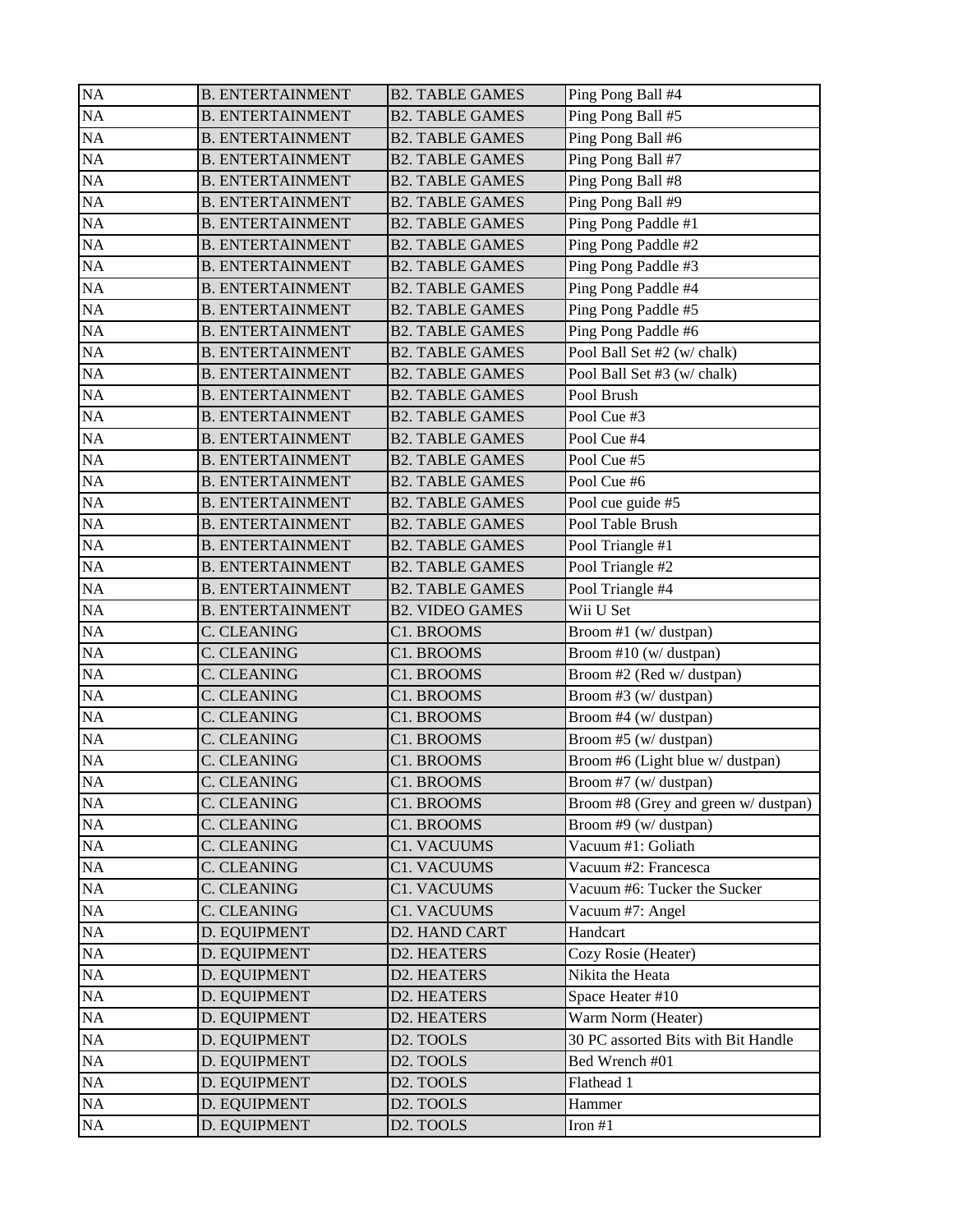| <b>NA</b> | <b>B. ENTERTAINMENT</b> | <b>B2. TABLE GAMES</b> | Ping Pong Ball #4                    |
|-----------|-------------------------|------------------------|--------------------------------------|
| <b>NA</b> | <b>B. ENTERTAINMENT</b> | <b>B2. TABLE GAMES</b> | Ping Pong Ball #5                    |
| <b>NA</b> | <b>B. ENTERTAINMENT</b> | <b>B2. TABLE GAMES</b> | Ping Pong Ball #6                    |
| NA        | <b>B. ENTERTAINMENT</b> | <b>B2. TABLE GAMES</b> | Ping Pong Ball #7                    |
| <b>NA</b> | <b>B. ENTERTAINMENT</b> | <b>B2. TABLE GAMES</b> | Ping Pong Ball #8                    |
| <b>NA</b> | <b>B. ENTERTAINMENT</b> | <b>B2. TABLE GAMES</b> | Ping Pong Ball #9                    |
| <b>NA</b> | <b>B. ENTERTAINMENT</b> | <b>B2. TABLE GAMES</b> | Ping Pong Paddle #1                  |
| <b>NA</b> | <b>B. ENTERTAINMENT</b> | <b>B2. TABLE GAMES</b> | Ping Pong Paddle #2                  |
| <b>NA</b> | <b>B. ENTERTAINMENT</b> | <b>B2. TABLE GAMES</b> | Ping Pong Paddle #3                  |
| <b>NA</b> | <b>B. ENTERTAINMENT</b> | <b>B2. TABLE GAMES</b> | Ping Pong Paddle #4                  |
| NA        | <b>B. ENTERTAINMENT</b> | <b>B2. TABLE GAMES</b> | Ping Pong Paddle #5                  |
| <b>NA</b> | <b>B. ENTERTAINMENT</b> | <b>B2. TABLE GAMES</b> | Ping Pong Paddle #6                  |
| NA        | <b>B. ENTERTAINMENT</b> | <b>B2. TABLE GAMES</b> | Pool Ball Set #2 (w/ chalk)          |
| NA        | <b>B. ENTERTAINMENT</b> | <b>B2. TABLE GAMES</b> | Pool Ball Set #3 (w/ chalk)          |
| <b>NA</b> | <b>B. ENTERTAINMENT</b> | <b>B2. TABLE GAMES</b> | Pool Brush                           |
| <b>NA</b> | <b>B. ENTERTAINMENT</b> | <b>B2. TABLE GAMES</b> | Pool Cue #3                          |
| <b>NA</b> | <b>B. ENTERTAINMENT</b> | <b>B2. TABLE GAMES</b> | Pool Cue #4                          |
| <b>NA</b> | <b>B. ENTERTAINMENT</b> | <b>B2. TABLE GAMES</b> | Pool Cue #5                          |
| NA        | <b>B. ENTERTAINMENT</b> | <b>B2. TABLE GAMES</b> | Pool Cue #6                          |
| NA        | <b>B. ENTERTAINMENT</b> | <b>B2. TABLE GAMES</b> | Pool cue guide #5                    |
| <b>NA</b> | <b>B. ENTERTAINMENT</b> | <b>B2. TABLE GAMES</b> | Pool Table Brush                     |
| <b>NA</b> | <b>B. ENTERTAINMENT</b> | <b>B2. TABLE GAMES</b> | Pool Triangle #1                     |
| <b>NA</b> | <b>B. ENTERTAINMENT</b> | <b>B2. TABLE GAMES</b> | Pool Triangle #2                     |
| <b>NA</b> | <b>B. ENTERTAINMENT</b> | <b>B2. TABLE GAMES</b> | Pool Triangle #4                     |
| <b>NA</b> | <b>B. ENTERTAINMENT</b> | <b>B2. VIDEO GAMES</b> | Wii U Set                            |
| <b>NA</b> | <b>C. CLEANING</b>      | C1. BROOMS             | Broom #1 (w/ dustpan)                |
| <b>NA</b> | C. CLEANING             | C1. BROOMS             | Broom #10 (w/ dustpan)               |
| <b>NA</b> | C. CLEANING             | C1. BROOMS             | Broom #2 (Red w/ dustpan)            |
| NA        | C. CLEANING             | C1. BROOMS             | Broom #3 (w/ dustpan)                |
| <b>NA</b> | C. CLEANING             | C1. BROOMS             | Broom #4 (w/ dustpan)                |
| NA        | C. CLEANING             | C1. BROOMS             | Broom #5 (w/ dustpan)                |
| <b>NA</b> | C. CLEANING             | C1. BROOMS             | Broom #6 (Light blue w/ dustpan)     |
| NA        | C. CLEANING             | C1. BROOMS             | Broom #7 (w/ dustpan)                |
| NA        | C. CLEANING             | C1. BROOMS             | Broom #8 (Grey and green w/ dustpan) |
| NA        | C. CLEANING             | C1. BROOMS             | Broom #9 (w/ dustpan)                |
| NA        | <b>C. CLEANING</b>      | C1. VACUUMS            | Vacuum #1: Goliath                   |
| $\rm NA$  | C. CLEANING             | C1. VACUUMS            | Vacuum #2: Francesca                 |
| $\rm NA$  | C. CLEANING             | C1. VACUUMS            | Vacuum #6: Tucker the Sucker         |
| NA        | <b>C. CLEANING</b>      | C1. VACUUMS            | Vacuum #7: Angel                     |
| $\rm NA$  | D. EQUIPMENT            | D2. HAND CART          | Handcart                             |
| $\rm NA$  | D. EQUIPMENT            | D2. HEATERS            | Cozy Rosie (Heater)                  |
| NA        | D. EQUIPMENT            | D2. HEATERS            | Nikita the Heata                     |
| NA        | D. EQUIPMENT            | D2. HEATERS            | Space Heater #10                     |
| NA        | D. EQUIPMENT            | D2. HEATERS            | Warm Norm (Heater)                   |
| NA        | D. EQUIPMENT            | D2. TOOLS              | 30 PC assorted Bits with Bit Handle  |
| $\rm NA$  | D. EQUIPMENT            | D2. TOOLS              | Bed Wrench #01                       |
| $\rm NA$  | D. EQUIPMENT            | D2. TOOLS              | Flathead 1                           |
| $\rm NA$  | D. EQUIPMENT            | D2. TOOLS              | Hammer                               |
| NA        | D. EQUIPMENT            | D <sub>2</sub> . TOOLS | Iron $#1$                            |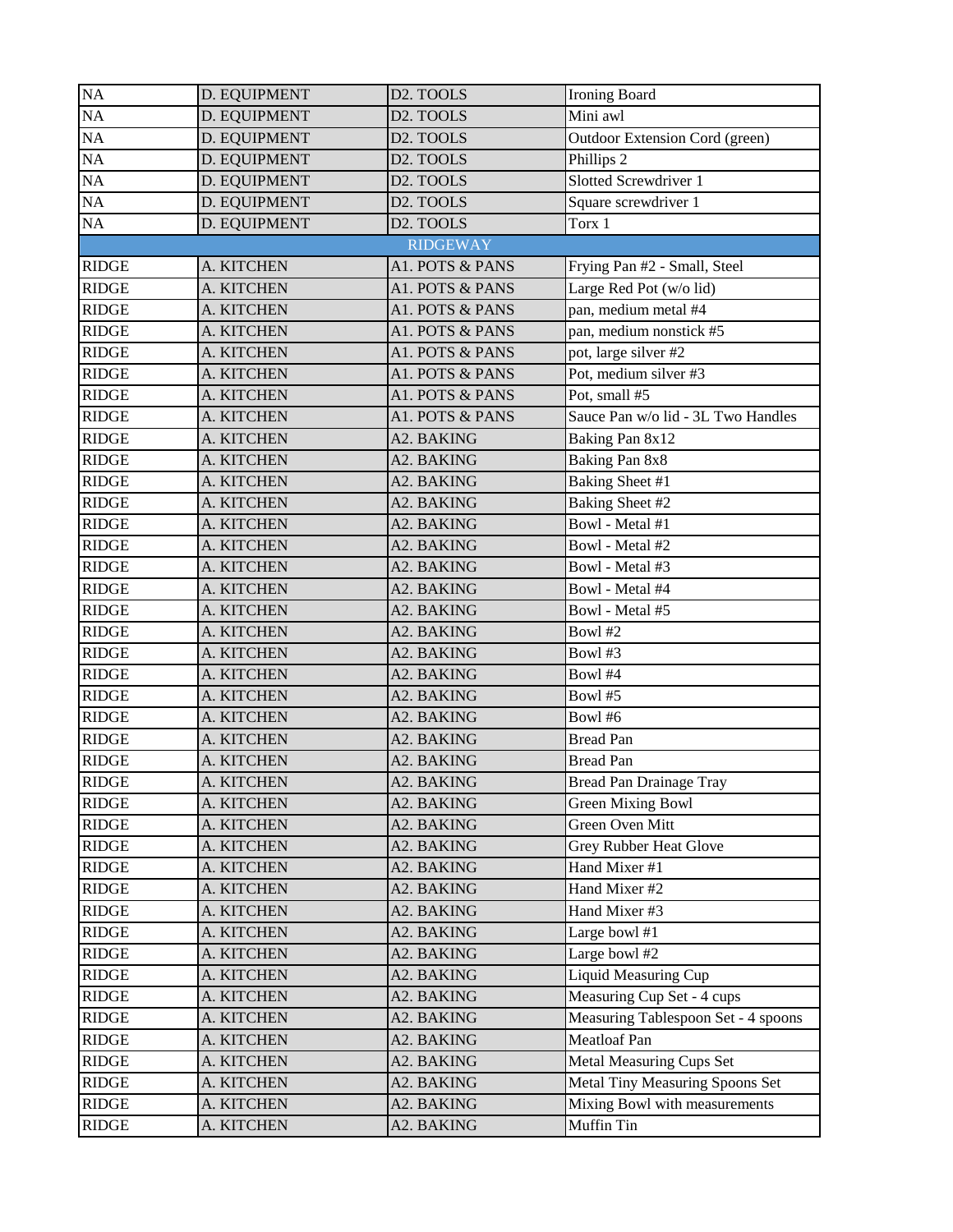| <b>Ironing Board</b>                                |
|-----------------------------------------------------|
| Mini awl                                            |
| Outdoor Extension Cord (green)                      |
| Phillips 2                                          |
| Slotted Screwdriver 1                               |
| Square screwdriver 1                                |
|                                                     |
|                                                     |
| Frying Pan #2 - Small, Steel                        |
| Large Red Pot (w/o lid)                             |
| pan, medium metal #4                                |
| pan, medium nonstick #5                             |
| pot, large silver #2                                |
| Pot, medium silver #3                               |
| Pot, small #5                                       |
| Sauce Pan w/o lid - 3L Two Handles                  |
| Baking Pan 8x12                                     |
| Baking Pan 8x8                                      |
| <b>Baking Sheet #1</b>                              |
| Baking Sheet #2                                     |
| Bowl - Metal #1                                     |
| Bowl - Metal #2                                     |
| Bowl - Metal #3                                     |
| Bowl - Metal #4                                     |
| Bowl - Metal #5                                     |
| Bowl #2                                             |
| Bowl #3                                             |
| Bowl #4                                             |
| Bowl#5                                              |
| Bowl #6                                             |
| <b>Bread Pan</b>                                    |
| <b>Bread Pan</b>                                    |
| Bread Pan Drainage Tray                             |
| <b>Green Mixing Bowl</b>                            |
| Green Oven Mitt                                     |
| <b>Grey Rubber Heat Glove</b>                       |
| Hand Mixer #1                                       |
| Hand Mixer #2                                       |
| Hand Mixer #3                                       |
| Large bowl #1                                       |
| Large bowl #2                                       |
| <b>Liquid Measuring Cup</b>                         |
| Measuring Cup Set - 4 cups                          |
|                                                     |
| Measuring Tablespoon Set - 4 spoons<br>Meatloaf Pan |
|                                                     |
| Metal Measuring Cups Set                            |
| Metal Tiny Measuring Spoons Set                     |
| Mixing Bowl with measurements                       |
| Muffin Tin                                          |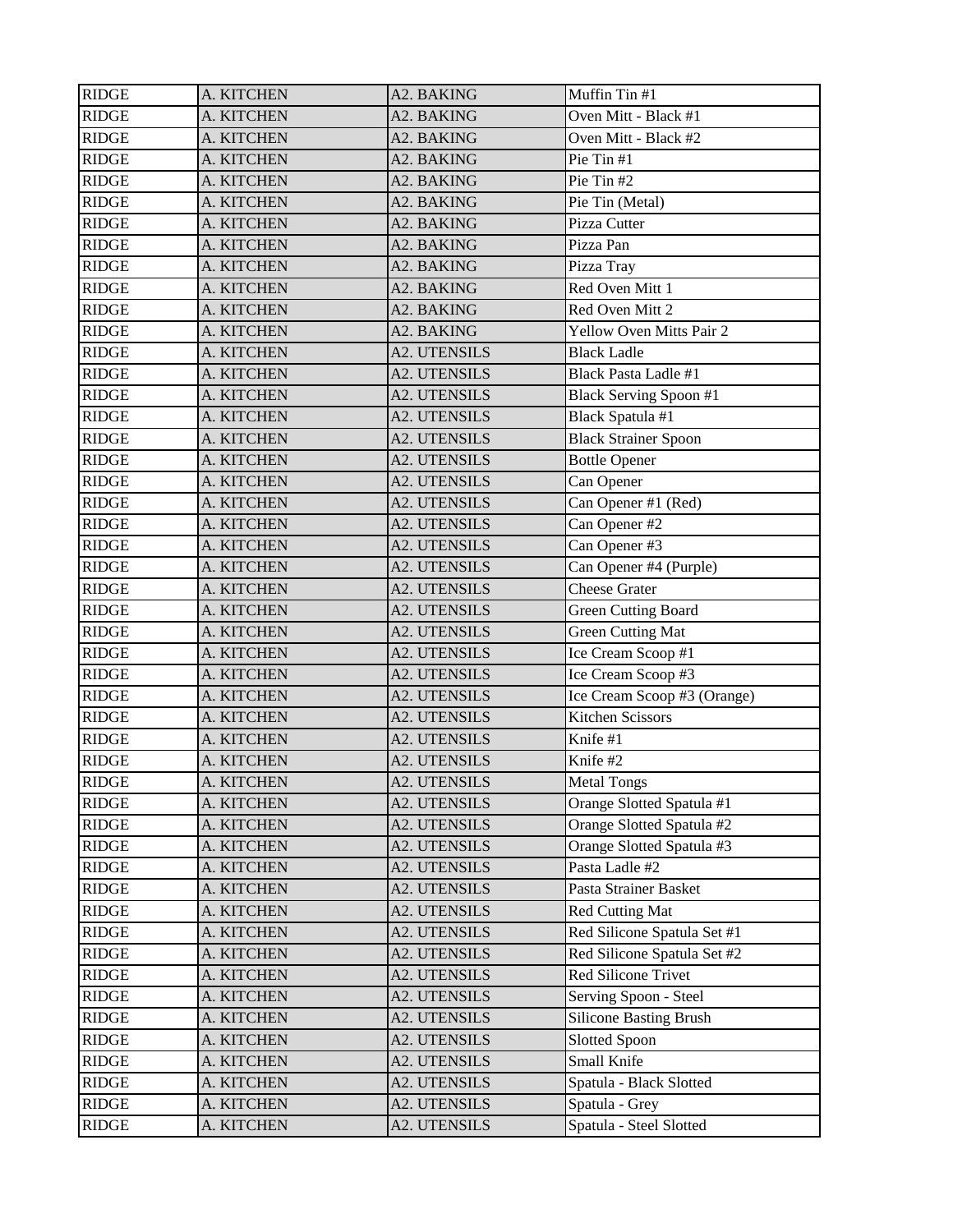| <b>RIDGE</b>     | A. KITCHEN | A2. BAKING          | Muffin Tin #1                 |
|------------------|------------|---------------------|-------------------------------|
| <b>RIDGE</b>     | A. KITCHEN | A2. BAKING          | Oven Mitt - Black #1          |
| <b>RIDGE</b>     | A. KITCHEN | A2. BAKING          | Oven Mitt - Black #2          |
| <b>RIDGE</b>     | A. KITCHEN | A2. BAKING          | Pie Tin #1                    |
| <b>RIDGE</b>     | A. KITCHEN | A2. BAKING          | Pie Tin #2                    |
| <b>RIDGE</b>     | A. KITCHEN | A2. BAKING          | Pie Tin (Metal)               |
| <b>RIDGE</b>     | A. KITCHEN | A2. BAKING          | Pizza Cutter                  |
| <b>RIDGE</b>     | A. KITCHEN | A2. BAKING          | Pizza Pan                     |
| <b>RIDGE</b>     | A. KITCHEN | A2. BAKING          | Pizza Tray                    |
| <b>RIDGE</b>     | A. KITCHEN | A2. BAKING          | Red Oven Mitt 1               |
| <b>RIDGE</b>     | A. KITCHEN | A2. BAKING          | Red Oven Mitt 2               |
| <b>RIDGE</b>     | A. KITCHEN | A2. BAKING          | Yellow Oven Mitts Pair 2      |
| <b>RIDGE</b>     | A. KITCHEN | <b>A2. UTENSILS</b> | <b>Black Ladle</b>            |
| <b>RIDGE</b>     | A. KITCHEN | A2. UTENSILS        | <b>Black Pasta Ladle #1</b>   |
| <b>RIDGE</b>     | A. KITCHEN | A2. UTENSILS        | <b>Black Serving Spoon #1</b> |
| <b>RIDGE</b>     | A. KITCHEN | A2. UTENSILS        | Black Spatula #1              |
| <b>RIDGE</b>     | A. KITCHEN | A2. UTENSILS        | <b>Black Strainer Spoon</b>   |
| <b>RIDGE</b>     | A. KITCHEN | A2. UTENSILS        | <b>Bottle Opener</b>          |
| <b>RIDGE</b>     | A. KITCHEN | A2. UTENSILS        | Can Opener                    |
| <b>RIDGE</b>     | A. KITCHEN | <b>A2. UTENSILS</b> | Can Opener #1 (Red)           |
| <b>RIDGE</b>     | A. KITCHEN | <b>A2. UTENSILS</b> | Can Opener #2                 |
| <b>RIDGE</b>     | A. KITCHEN | A2. UTENSILS        | Can Opener #3                 |
| <b>RIDGE</b>     | A. KITCHEN | A2. UTENSILS        | Can Opener #4 (Purple)        |
| <b>RIDGE</b>     | A. KITCHEN | A2. UTENSILS        | <b>Cheese Grater</b>          |
| <b>RIDGE</b>     | A. KITCHEN | A2. UTENSILS        | <b>Green Cutting Board</b>    |
| <b>RIDGE</b>     | A. KITCHEN | A2. UTENSILS        | <b>Green Cutting Mat</b>      |
| <b>RIDGE</b>     | A. KITCHEN | A2. UTENSILS        | Ice Cream Scoop #1            |
| <b>RIDGE</b>     | A. KITCHEN | <b>A2. UTENSILS</b> | Ice Cream Scoop #3            |
| <b>RIDGE</b>     | A. KITCHEN | A2. UTENSILS        | Ice Cream Scoop #3 (Orange)   |
| <b>RIDGE</b>     | A. KITCHEN | A2. UTENSILS        | <b>Kitchen Scissors</b>       |
| <b>RIDGE</b>     | A. KITCHEN | A2. UTENSILS        | Knife #1                      |
| <b>RIDGE</b>     | A. KITCHEN | <b>A2. UTENSILS</b> | Knife #2                      |
| <b>RIDGE</b>     | A. KITCHEN | A2. UTENSILS        | <b>Metal Tongs</b>            |
| <b>RIDGE</b>     | A. KITCHEN | A2. UTENSILS        | Orange Slotted Spatula #1     |
| <b>RIDGE</b>     | A. KITCHEN | A2. UTENSILS        | Orange Slotted Spatula #2     |
| <b>RIDGE</b>     | A. KITCHEN | A2. UTENSILS        | Orange Slotted Spatula #3     |
| <b>RIDGE</b>     | A. KITCHEN | A2. UTENSILS        | Pasta Ladle #2                |
| <b>RIDGE</b>     | A. KITCHEN | A2. UTENSILS        | Pasta Strainer Basket         |
| <b>RIDGE</b>     | A. KITCHEN | A2. UTENSILS        | <b>Red Cutting Mat</b>        |
| <b>RIDGE</b>     | A. KITCHEN | A2. UTENSILS        | Red Silicone Spatula Set #1   |
| <b>RIDGE</b>     | A. KITCHEN | A2. UTENSILS        | Red Silicone Spatula Set #2   |
| <b>RIDGE</b>     | A. KITCHEN | A2. UTENSILS        | Red Silicone Trivet           |
| <b>RIDGE</b>     | A. KITCHEN | A2. UTENSILS        | Serving Spoon - Steel         |
| <b>RIDGE</b>     | A. KITCHEN | A2. UTENSILS        | <b>Silicone Basting Brush</b> |
| <b>RIDGE</b>     | A. KITCHEN | A2. UTENSILS        | <b>Slotted Spoon</b>          |
| <b>RIDGE</b>     | A. KITCHEN | A2. UTENSILS        | Small Knife                   |
| <b>RIDGE</b>     | A. KITCHEN | A2. UTENSILS        | Spatula - Black Slotted       |
| <b>RIDGE</b>     | A. KITCHEN | A2. UTENSILS        | Spatula - Grey                |
| $\mathbf{RIDGE}$ | A. KITCHEN | A2. UTENSILS        | Spatula - Steel Slotted       |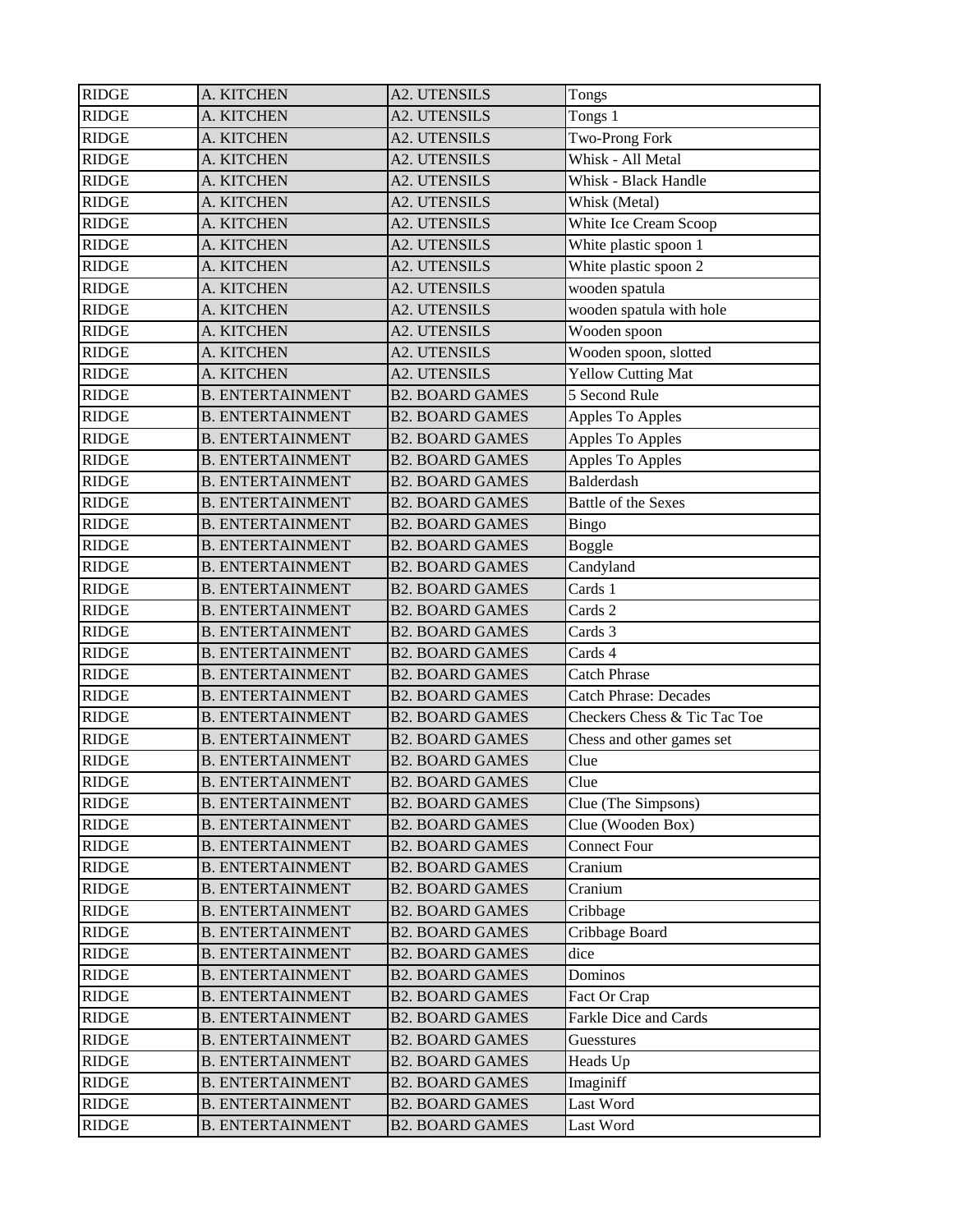| <b>RIDGE</b> | A. KITCHEN              | <b>A2. UTENSILS</b>    | Tongs                        |
|--------------|-------------------------|------------------------|------------------------------|
| <b>RIDGE</b> | A. KITCHEN              | <b>A2. UTENSILS</b>    | Tongs 1                      |
| <b>RIDGE</b> | A. KITCHEN              | <b>A2. UTENSILS</b>    | Two-Prong Fork               |
| <b>RIDGE</b> |                         | <b>A2. UTENSILS</b>    | Whisk - All Metal            |
|              | A. KITCHEN              |                        |                              |
| <b>RIDGE</b> | A. KITCHEN              | <b>A2. UTENSILS</b>    | Whisk - Black Handle         |
| <b>RIDGE</b> | A. KITCHEN              | <b>A2. UTENSILS</b>    | Whisk (Metal)                |
| <b>RIDGE</b> | A. KITCHEN              | <b>A2. UTENSILS</b>    | White Ice Cream Scoop        |
| <b>RIDGE</b> | A. KITCHEN              | <b>A2. UTENSILS</b>    | White plastic spoon 1        |
| <b>RIDGE</b> | A. KITCHEN              | <b>A2. UTENSILS</b>    | White plastic spoon $2$      |
| <b>RIDGE</b> | A. KITCHEN              | <b>A2. UTENSILS</b>    | wooden spatula               |
| <b>RIDGE</b> | A. KITCHEN              | <b>A2. UTENSILS</b>    | wooden spatula with hole     |
| <b>RIDGE</b> | A. KITCHEN              | <b>A2. UTENSILS</b>    | Wooden spoon                 |
| <b>RIDGE</b> | A. KITCHEN              | <b>A2. UTENSILS</b>    | Wooden spoon, slotted        |
| <b>RIDGE</b> | A. KITCHEN              | <b>A2. UTENSILS</b>    | <b>Yellow Cutting Mat</b>    |
| <b>RIDGE</b> | <b>B. ENTERTAINMENT</b> | <b>B2. BOARD GAMES</b> | 5 Second Rule                |
| <b>RIDGE</b> | <b>B. ENTERTAINMENT</b> | <b>B2. BOARD GAMES</b> | Apples To Apples             |
| <b>RIDGE</b> | <b>B. ENTERTAINMENT</b> | <b>B2. BOARD GAMES</b> | Apples To Apples             |
| <b>RIDGE</b> | <b>B. ENTERTAINMENT</b> | <b>B2. BOARD GAMES</b> | Apples To Apples             |
| <b>RIDGE</b> | <b>B. ENTERTAINMENT</b> | <b>B2. BOARD GAMES</b> | <b>Balderdash</b>            |
| <b>RIDGE</b> | <b>B. ENTERTAINMENT</b> | <b>B2. BOARD GAMES</b> | <b>Battle of the Sexes</b>   |
| <b>RIDGE</b> | <b>B. ENTERTAINMENT</b> | <b>B2. BOARD GAMES</b> | Bingo                        |
| <b>RIDGE</b> | <b>B. ENTERTAINMENT</b> | <b>B2. BOARD GAMES</b> | Boggle                       |
| <b>RIDGE</b> | <b>B. ENTERTAINMENT</b> | <b>B2. BOARD GAMES</b> | Candyland                    |
| <b>RIDGE</b> | <b>B. ENTERTAINMENT</b> | <b>B2. BOARD GAMES</b> | Cards 1                      |
| <b>RIDGE</b> | <b>B. ENTERTAINMENT</b> | <b>B2. BOARD GAMES</b> | Cards 2                      |
| <b>RIDGE</b> | <b>B. ENTERTAINMENT</b> | <b>B2. BOARD GAMES</b> | Cards 3                      |
| <b>RIDGE</b> | <b>B. ENTERTAINMENT</b> | <b>B2. BOARD GAMES</b> | Cards 4                      |
| <b>RIDGE</b> | <b>B. ENTERTAINMENT</b> | <b>B2. BOARD GAMES</b> | <b>Catch Phrase</b>          |
| <b>RIDGE</b> | <b>B. ENTERTAINMENT</b> | <b>B2. BOARD GAMES</b> | <b>Catch Phrase: Decades</b> |
| <b>RIDGE</b> | <b>B. ENTERTAINMENT</b> | <b>B2. BOARD GAMES</b> | Checkers Chess & Tic Tac Toe |
| <b>RIDGE</b> | <b>B. ENTERTAINMENT</b> | <b>B2. BOARD GAMES</b> | Chess and other games set    |
| <b>RIDGE</b> | <b>B. ENTERTAINMENT</b> | <b>B2. BOARD GAMES</b> | Clue                         |
| <b>RIDGE</b> | <b>B. ENTERTAINMENT</b> | <b>B2. BOARD GAMES</b> | Clue                         |
| <b>RIDGE</b> | <b>B. ENTERTAINMENT</b> | <b>B2. BOARD GAMES</b> | Clue (The Simpsons)          |
| <b>RIDGE</b> | <b>B. ENTERTAINMENT</b> | <b>B2. BOARD GAMES</b> | Clue (Wooden Box)            |
| <b>RIDGE</b> | <b>B. ENTERTAINMENT</b> | <b>B2. BOARD GAMES</b> | <b>Connect Four</b>          |
| <b>RIDGE</b> | <b>B. ENTERTAINMENT</b> | <b>B2. BOARD GAMES</b> | Cranium                      |
| <b>RIDGE</b> | <b>B. ENTERTAINMENT</b> | <b>B2. BOARD GAMES</b> | Cranium                      |
| <b>RIDGE</b> | <b>B. ENTERTAINMENT</b> | <b>B2. BOARD GAMES</b> | Cribbage                     |
| <b>RIDGE</b> | <b>B. ENTERTAINMENT</b> | <b>B2. BOARD GAMES</b> | Cribbage Board               |
| <b>RIDGE</b> | <b>B. ENTERTAINMENT</b> | <b>B2. BOARD GAMES</b> | dice                         |
| <b>RIDGE</b> | <b>B. ENTERTAINMENT</b> | <b>B2. BOARD GAMES</b> | Dominos                      |
| <b>RIDGE</b> | <b>B. ENTERTAINMENT</b> | <b>B2. BOARD GAMES</b> | Fact Or Crap                 |
| <b>RIDGE</b> | <b>B. ENTERTAINMENT</b> | <b>B2. BOARD GAMES</b> | Farkle Dice and Cards        |
| <b>RIDGE</b> | <b>B. ENTERTAINMENT</b> | <b>B2. BOARD GAMES</b> | Guesstures                   |
| <b>RIDGE</b> | <b>B. ENTERTAINMENT</b> | <b>B2. BOARD GAMES</b> | Heads Up                     |
| <b>RIDGE</b> | <b>B. ENTERTAINMENT</b> | <b>B2. BOARD GAMES</b> | Imaginiff                    |
| <b>RIDGE</b> | <b>B. ENTERTAINMENT</b> | <b>B2. BOARD GAMES</b> | Last Word                    |
| <b>RIDGE</b> | <b>B. ENTERTAINMENT</b> | <b>B2. BOARD GAMES</b> | Last Word                    |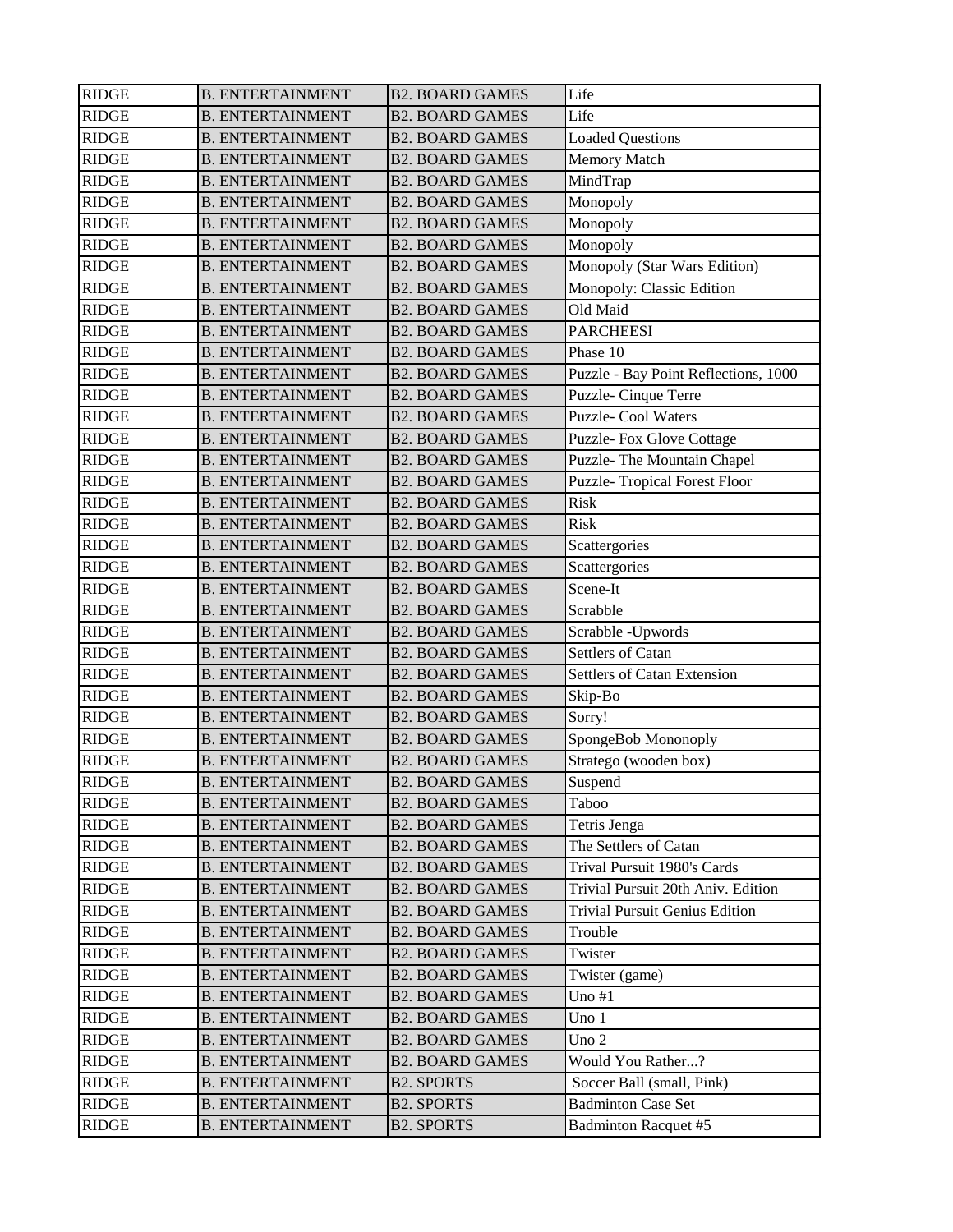| <b>RIDGE</b> | <b>B. ENTERTAINMENT</b> | <b>B2. BOARD GAMES</b> | Life                                  |
|--------------|-------------------------|------------------------|---------------------------------------|
| <b>RIDGE</b> | <b>B. ENTERTAINMENT</b> | <b>B2. BOARD GAMES</b> | Life                                  |
| <b>RIDGE</b> | <b>B. ENTERTAINMENT</b> | <b>B2. BOARD GAMES</b> | <b>Loaded Questions</b>               |
| <b>RIDGE</b> | <b>B. ENTERTAINMENT</b> | <b>B2. BOARD GAMES</b> | <b>Memory Match</b>                   |
| <b>RIDGE</b> | <b>B. ENTERTAINMENT</b> | <b>B2. BOARD GAMES</b> | MindTrap                              |
| <b>RIDGE</b> | <b>B. ENTERTAINMENT</b> | <b>B2. BOARD GAMES</b> | Monopoly                              |
| <b>RIDGE</b> | <b>B. ENTERTAINMENT</b> | <b>B2. BOARD GAMES</b> | Monopoly                              |
| <b>RIDGE</b> | <b>B. ENTERTAINMENT</b> | <b>B2. BOARD GAMES</b> | Monopoly                              |
| <b>RIDGE</b> | <b>B. ENTERTAINMENT</b> | <b>B2. BOARD GAMES</b> | Monopoly (Star Wars Edition)          |
| <b>RIDGE</b> | <b>B. ENTERTAINMENT</b> | <b>B2. BOARD GAMES</b> | Monopoly: Classic Edition             |
| <b>RIDGE</b> | <b>B. ENTERTAINMENT</b> | <b>B2. BOARD GAMES</b> | Old Maid                              |
| <b>RIDGE</b> | <b>B. ENTERTAINMENT</b> | <b>B2. BOARD GAMES</b> | <b>PARCHEESI</b>                      |
| <b>RIDGE</b> | <b>B. ENTERTAINMENT</b> | <b>B2. BOARD GAMES</b> | Phase 10                              |
| <b>RIDGE</b> | <b>B. ENTERTAINMENT</b> | <b>B2. BOARD GAMES</b> | Puzzle - Bay Point Reflections, 1000  |
| <b>RIDGE</b> | <b>B. ENTERTAINMENT</b> | <b>B2. BOARD GAMES</b> | Puzzle-Cinque Terre                   |
| <b>RIDGE</b> | <b>B. ENTERTAINMENT</b> | <b>B2. BOARD GAMES</b> | <b>Puzzle-Cool Waters</b>             |
| <b>RIDGE</b> | <b>B. ENTERTAINMENT</b> | <b>B2. BOARD GAMES</b> | Puzzle- Fox Glove Cottage             |
| <b>RIDGE</b> | <b>B. ENTERTAINMENT</b> | <b>B2. BOARD GAMES</b> | Puzzle- The Mountain Chapel           |
| <b>RIDGE</b> | <b>B. ENTERTAINMENT</b> | <b>B2. BOARD GAMES</b> | <b>Puzzle- Tropical Forest Floor</b>  |
| <b>RIDGE</b> | <b>B. ENTERTAINMENT</b> | <b>B2. BOARD GAMES</b> | Risk                                  |
| <b>RIDGE</b> | <b>B. ENTERTAINMENT</b> | <b>B2. BOARD GAMES</b> | Risk                                  |
| <b>RIDGE</b> | <b>B. ENTERTAINMENT</b> | <b>B2. BOARD GAMES</b> | Scattergories                         |
| <b>RIDGE</b> | <b>B. ENTERTAINMENT</b> | <b>B2. BOARD GAMES</b> | Scattergories                         |
| <b>RIDGE</b> | <b>B. ENTERTAINMENT</b> | <b>B2. BOARD GAMES</b> | Scene-It                              |
| <b>RIDGE</b> | <b>B. ENTERTAINMENT</b> | <b>B2. BOARD GAMES</b> | Scrabble                              |
| <b>RIDGE</b> | <b>B. ENTERTAINMENT</b> | <b>B2. BOARD GAMES</b> | Scrabble - Upwords                    |
| <b>RIDGE</b> | <b>B. ENTERTAINMENT</b> | <b>B2. BOARD GAMES</b> | Settlers of Catan                     |
| <b>RIDGE</b> | <b>B. ENTERTAINMENT</b> | <b>B2. BOARD GAMES</b> | <b>Settlers of Catan Extension</b>    |
| <b>RIDGE</b> | <b>B. ENTERTAINMENT</b> | <b>B2. BOARD GAMES</b> | Skip-Bo                               |
| <b>RIDGE</b> | <b>B. ENTERTAINMENT</b> | <b>B2. BOARD GAMES</b> | Sorry!                                |
| <b>RIDGE</b> | <b>B. ENTERTAINMENT</b> | <b>B2. BOARD GAMES</b> | SpongeBob Mononoply                   |
| <b>RIDGE</b> | <b>B. ENTERTAINMENT</b> | <b>B2. BOARD GAMES</b> | Stratego (wooden box)                 |
| <b>RIDGE</b> | <b>B. ENTERTAINMENT</b> | <b>B2. BOARD GAMES</b> | Suspend                               |
| <b>RIDGE</b> | <b>B. ENTERTAINMENT</b> | <b>B2. BOARD GAMES</b> | Taboo                                 |
| <b>RIDGE</b> | <b>B. ENTERTAINMENT</b> | <b>B2. BOARD GAMES</b> | Tetris Jenga                          |
| <b>RIDGE</b> | <b>B. ENTERTAINMENT</b> | <b>B2. BOARD GAMES</b> | The Settlers of Catan                 |
| <b>RIDGE</b> | <b>B. ENTERTAINMENT</b> | <b>B2. BOARD GAMES</b> | Trival Pursuit 1980's Cards           |
| <b>RIDGE</b> | <b>B. ENTERTAINMENT</b> | <b>B2. BOARD GAMES</b> | Trivial Pursuit 20th Aniv. Edition    |
| <b>RIDGE</b> | <b>B. ENTERTAINMENT</b> | <b>B2. BOARD GAMES</b> | <b>Trivial Pursuit Genius Edition</b> |
| <b>RIDGE</b> | <b>B. ENTERTAINMENT</b> | <b>B2. BOARD GAMES</b> | Trouble                               |
| <b>RIDGE</b> | <b>B. ENTERTAINMENT</b> | <b>B2. BOARD GAMES</b> | Twister                               |
| <b>RIDGE</b> | <b>B. ENTERTAINMENT</b> | <b>B2. BOARD GAMES</b> | Twister (game)                        |
| <b>RIDGE</b> | <b>B. ENTERTAINMENT</b> | <b>B2. BOARD GAMES</b> | Uno $#1$                              |
| <b>RIDGE</b> | <b>B. ENTERTAINMENT</b> | <b>B2. BOARD GAMES</b> | Uno 1                                 |
| <b>RIDGE</b> | <b>B. ENTERTAINMENT</b> | <b>B2. BOARD GAMES</b> | Uno 2                                 |
| <b>RIDGE</b> | <b>B. ENTERTAINMENT</b> | <b>B2. BOARD GAMES</b> | Would You Rather?                     |
| <b>RIDGE</b> | <b>B. ENTERTAINMENT</b> | <b>B2. SPORTS</b>      | Soccer Ball (small, Pink)             |
| <b>RIDGE</b> | <b>B. ENTERTAINMENT</b> | <b>B2. SPORTS</b>      | <b>Badminton Case Set</b>             |
| <b>RIDGE</b> | <b>B. ENTERTAINMENT</b> | <b>B2. SPORTS</b>      | <b>Badminton Racquet #5</b>           |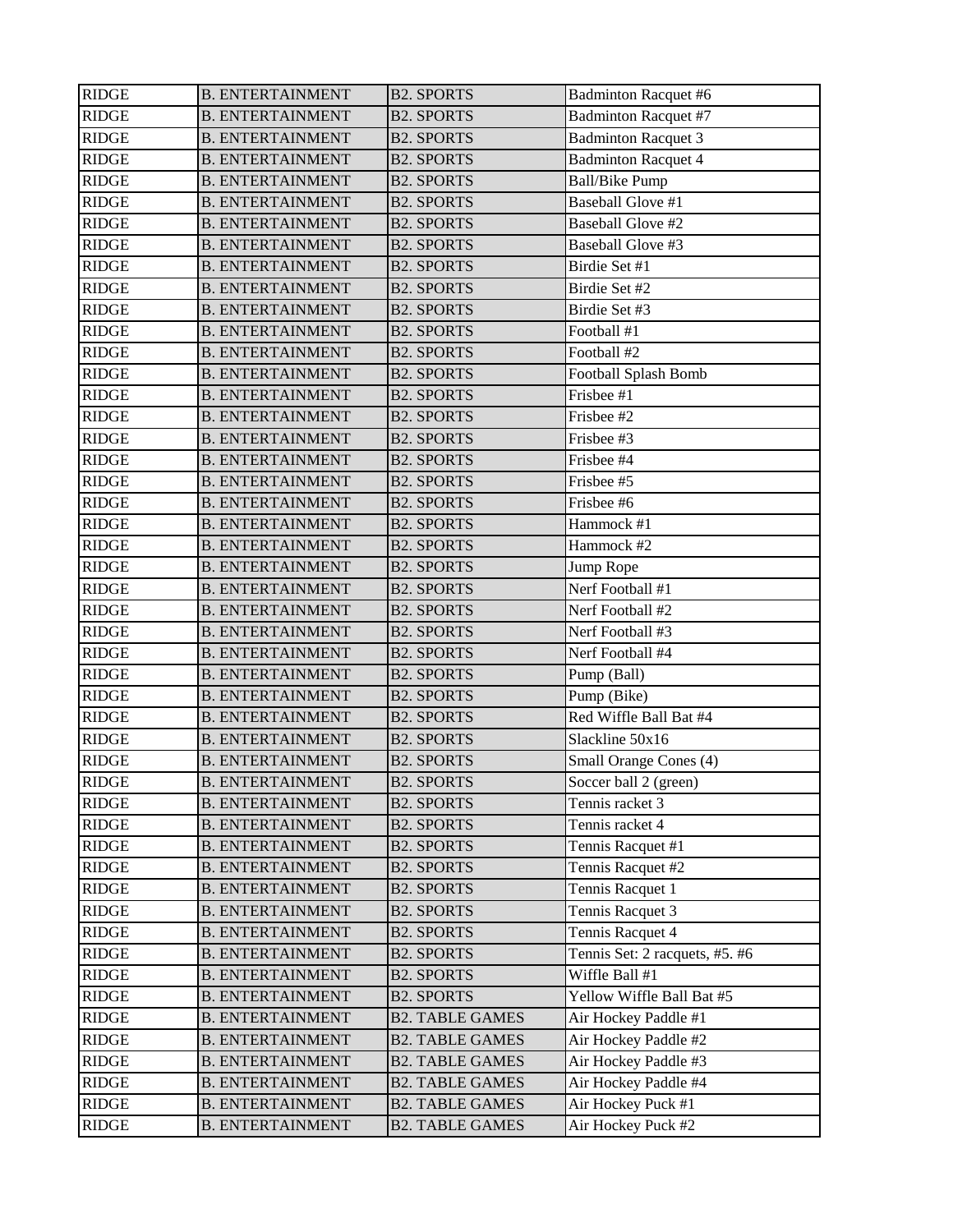| <b>RIDGE</b> | <b>B. ENTERTAINMENT</b> | <b>B2. SPORTS</b>      | <b>Badminton Racquet #6</b>    |
|--------------|-------------------------|------------------------|--------------------------------|
| <b>RIDGE</b> | <b>B. ENTERTAINMENT</b> | <b>B2. SPORTS</b>      | <b>Badminton Racquet #7</b>    |
| <b>RIDGE</b> | <b>B. ENTERTAINMENT</b> | <b>B2. SPORTS</b>      | <b>Badminton Racquet 3</b>     |
| <b>RIDGE</b> | <b>B. ENTERTAINMENT</b> | <b>B2. SPORTS</b>      | <b>Badminton Racquet 4</b>     |
| <b>RIDGE</b> | <b>B. ENTERTAINMENT</b> | <b>B2. SPORTS</b>      | <b>Ball/Bike Pump</b>          |
| <b>RIDGE</b> | <b>B. ENTERTAINMENT</b> | <b>B2. SPORTS</b>      | <b>Baseball Glove #1</b>       |
| <b>RIDGE</b> | <b>B. ENTERTAINMENT</b> | <b>B2. SPORTS</b>      | <b>Baseball Glove #2</b>       |
| <b>RIDGE</b> | <b>B. ENTERTAINMENT</b> | <b>B2. SPORTS</b>      | Baseball Glove #3              |
| <b>RIDGE</b> | <b>B. ENTERTAINMENT</b> | <b>B2. SPORTS</b>      | Birdie Set #1                  |
| <b>RIDGE</b> | <b>B. ENTERTAINMENT</b> | <b>B2. SPORTS</b>      | Birdie Set #2                  |
| <b>RIDGE</b> | <b>B. ENTERTAINMENT</b> | <b>B2. SPORTS</b>      | Birdie Set #3                  |
| <b>RIDGE</b> | <b>B. ENTERTAINMENT</b> | <b>B2. SPORTS</b>      | Football #1                    |
| <b>RIDGE</b> | <b>B. ENTERTAINMENT</b> | <b>B2. SPORTS</b>      | Football #2                    |
| <b>RIDGE</b> | <b>B. ENTERTAINMENT</b> | <b>B2. SPORTS</b>      | Football Splash Bomb           |
| <b>RIDGE</b> | <b>B. ENTERTAINMENT</b> | <b>B2. SPORTS</b>      | Frisbee #1                     |
| <b>RIDGE</b> | <b>B. ENTERTAINMENT</b> | <b>B2. SPORTS</b>      | Frisbee #2                     |
| <b>RIDGE</b> | <b>B. ENTERTAINMENT</b> | <b>B2. SPORTS</b>      | Frisbee #3                     |
| <b>RIDGE</b> | <b>B. ENTERTAINMENT</b> | <b>B2. SPORTS</b>      | Frisbee #4                     |
| <b>RIDGE</b> | <b>B. ENTERTAINMENT</b> | <b>B2. SPORTS</b>      | Frisbee #5                     |
| <b>RIDGE</b> | <b>B. ENTERTAINMENT</b> | <b>B2. SPORTS</b>      | Frisbee #6                     |
| <b>RIDGE</b> | <b>B. ENTERTAINMENT</b> | <b>B2. SPORTS</b>      | Hammock #1                     |
| <b>RIDGE</b> | <b>B. ENTERTAINMENT</b> | <b>B2. SPORTS</b>      | Hammock #2                     |
| <b>RIDGE</b> | <b>B. ENTERTAINMENT</b> | <b>B2. SPORTS</b>      | Jump Rope                      |
| <b>RIDGE</b> | <b>B. ENTERTAINMENT</b> | <b>B2. SPORTS</b>      | Nerf Football #1               |
| <b>RIDGE</b> | <b>B. ENTERTAINMENT</b> | <b>B2. SPORTS</b>      | Nerf Football #2               |
| <b>RIDGE</b> | <b>B. ENTERTAINMENT</b> | <b>B2. SPORTS</b>      | Nerf Football #3               |
| <b>RIDGE</b> | <b>B. ENTERTAINMENT</b> | <b>B2. SPORTS</b>      | Nerf Football #4               |
| <b>RIDGE</b> | <b>B. ENTERTAINMENT</b> | <b>B2. SPORTS</b>      | Pump (Ball)                    |
| <b>RIDGE</b> | <b>B. ENTERTAINMENT</b> | <b>B2. SPORTS</b>      | Pump (Bike)                    |
| <b>RIDGE</b> | <b>B. ENTERTAINMENT</b> | <b>B2. SPORTS</b>      | Red Wiffle Ball Bat #4         |
| <b>RIDGE</b> | <b>B. ENTERTAINMENT</b> | <b>B2. SPORTS</b>      | Slackline 50x16                |
| <b>RIDGE</b> | <b>B. ENTERTAINMENT</b> | <b>B2. SPORTS</b>      | Small Orange Cones (4)         |
| <b>RIDGE</b> | <b>B. ENTERTAINMENT</b> | <b>B2. SPORTS</b>      | Soccer ball 2 (green)          |
| <b>RIDGE</b> | <b>B. ENTERTAINMENT</b> | <b>B2. SPORTS</b>      | Tennis racket 3                |
| <b>RIDGE</b> | <b>B. ENTERTAINMENT</b> | <b>B2. SPORTS</b>      | Tennis racket 4                |
| <b>RIDGE</b> | <b>B. ENTERTAINMENT</b> | <b>B2. SPORTS</b>      | Tennis Racquet #1              |
| <b>RIDGE</b> | <b>B. ENTERTAINMENT</b> | <b>B2. SPORTS</b>      | Tennis Racquet #2              |
| <b>RIDGE</b> | <b>B. ENTERTAINMENT</b> | <b>B2. SPORTS</b>      | Tennis Racquet 1               |
| <b>RIDGE</b> | <b>B. ENTERTAINMENT</b> | <b>B2. SPORTS</b>      | Tennis Racquet 3               |
| <b>RIDGE</b> | <b>B. ENTERTAINMENT</b> | <b>B2. SPORTS</b>      | Tennis Racquet 4               |
| <b>RIDGE</b> | <b>B. ENTERTAINMENT</b> | <b>B2. SPORTS</b>      | Tennis Set: 2 racquets, #5. #6 |
| <b>RIDGE</b> | <b>B. ENTERTAINMENT</b> | <b>B2. SPORTS</b>      | Wiffle Ball #1                 |
| <b>RIDGE</b> | <b>B. ENTERTAINMENT</b> | <b>B2. SPORTS</b>      | Yellow Wiffle Ball Bat #5      |
| <b>RIDGE</b> | <b>B. ENTERTAINMENT</b> | <b>B2. TABLE GAMES</b> | Air Hockey Paddle #1           |
| <b>RIDGE</b> | <b>B. ENTERTAINMENT</b> | <b>B2. TABLE GAMES</b> | Air Hockey Paddle #2           |
| <b>RIDGE</b> | <b>B. ENTERTAINMENT</b> | <b>B2. TABLE GAMES</b> | Air Hockey Paddle #3           |
| <b>RIDGE</b> | <b>B. ENTERTAINMENT</b> | <b>B2. TABLE GAMES</b> | Air Hockey Paddle #4           |
| <b>RIDGE</b> | <b>B. ENTERTAINMENT</b> | <b>B2. TABLE GAMES</b> | Air Hockey Puck #1             |
| <b>RIDGE</b> | <b>B. ENTERTAINMENT</b> | <b>B2. TABLE GAMES</b> | Air Hockey Puck #2             |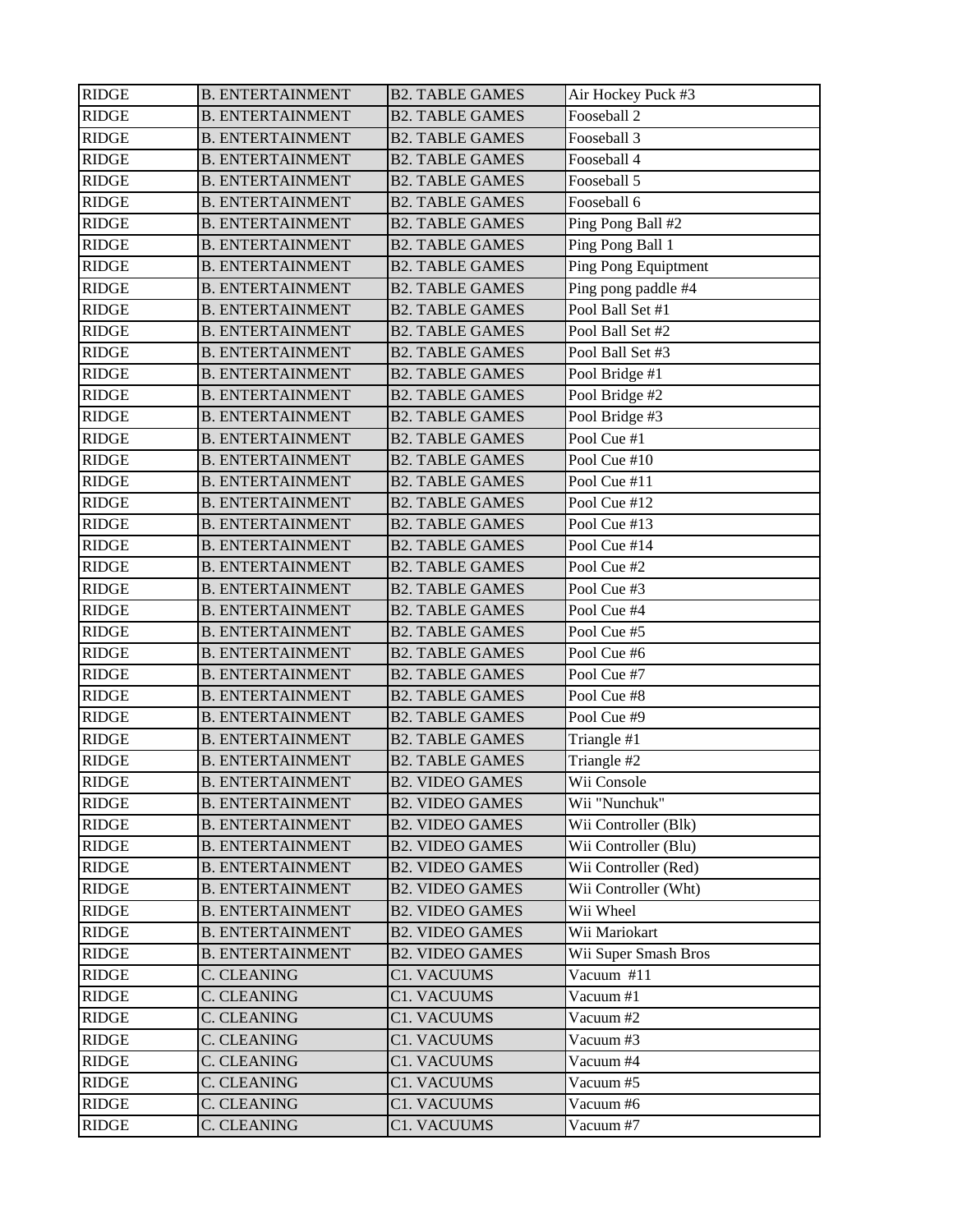| <b>RIDGE</b> | <b>B. ENTERTAINMENT</b> | <b>B2. TABLE GAMES</b> | Air Hockey Puck #3   |
|--------------|-------------------------|------------------------|----------------------|
| <b>RIDGE</b> | <b>B. ENTERTAINMENT</b> | <b>B2. TABLE GAMES</b> | Fooseball 2          |
| <b>RIDGE</b> | <b>B. ENTERTAINMENT</b> | <b>B2. TABLE GAMES</b> | Fooseball 3          |
| <b>RIDGE</b> | <b>B. ENTERTAINMENT</b> | <b>B2. TABLE GAMES</b> | Fooseball 4          |
| <b>RIDGE</b> | <b>B. ENTERTAINMENT</b> | <b>B2. TABLE GAMES</b> | Fooseball 5          |
| <b>RIDGE</b> | <b>B. ENTERTAINMENT</b> | <b>B2. TABLE GAMES</b> | Fooseball 6          |
| <b>RIDGE</b> | <b>B. ENTERTAINMENT</b> | <b>B2. TABLE GAMES</b> | Ping Pong Ball #2    |
| <b>RIDGE</b> | <b>B. ENTERTAINMENT</b> | <b>B2. TABLE GAMES</b> | Ping Pong Ball 1     |
| <b>RIDGE</b> | <b>B. ENTERTAINMENT</b> | <b>B2. TABLE GAMES</b> | Ping Pong Equiptment |
| <b>RIDGE</b> | <b>B. ENTERTAINMENT</b> | <b>B2. TABLE GAMES</b> | Ping pong paddle #4  |
| <b>RIDGE</b> | <b>B. ENTERTAINMENT</b> | <b>B2. TABLE GAMES</b> | Pool Ball Set #1     |
| <b>RIDGE</b> | <b>B. ENTERTAINMENT</b> | <b>B2. TABLE GAMES</b> | Pool Ball Set #2     |
| <b>RIDGE</b> | <b>B. ENTERTAINMENT</b> | <b>B2. TABLE GAMES</b> | Pool Ball Set #3     |
| <b>RIDGE</b> | <b>B. ENTERTAINMENT</b> | <b>B2. TABLE GAMES</b> | Pool Bridge #1       |
| <b>RIDGE</b> | <b>B. ENTERTAINMENT</b> | <b>B2. TABLE GAMES</b> | Pool Bridge #2       |
| <b>RIDGE</b> | <b>B. ENTERTAINMENT</b> | <b>B2. TABLE GAMES</b> | Pool Bridge #3       |
| <b>RIDGE</b> | <b>B. ENTERTAINMENT</b> | <b>B2. TABLE GAMES</b> | Pool Cue #1          |
| <b>RIDGE</b> | <b>B. ENTERTAINMENT</b> | <b>B2. TABLE GAMES</b> | Pool Cue #10         |
| <b>RIDGE</b> | <b>B. ENTERTAINMENT</b> | <b>B2. TABLE GAMES</b> | Pool Cue #11         |
| <b>RIDGE</b> | <b>B. ENTERTAINMENT</b> | <b>B2. TABLE GAMES</b> | Pool Cue #12         |
| <b>RIDGE</b> | <b>B. ENTERTAINMENT</b> | <b>B2. TABLE GAMES</b> | Pool Cue #13         |
| <b>RIDGE</b> | <b>B. ENTERTAINMENT</b> | <b>B2. TABLE GAMES</b> | Pool Cue #14         |
| <b>RIDGE</b> | <b>B. ENTERTAINMENT</b> | <b>B2. TABLE GAMES</b> | Pool Cue #2          |
| <b>RIDGE</b> | <b>B. ENTERTAINMENT</b> | <b>B2. TABLE GAMES</b> | Pool Cue #3          |
| <b>RIDGE</b> | <b>B. ENTERTAINMENT</b> | <b>B2. TABLE GAMES</b> | Pool Cue #4          |
| <b>RIDGE</b> | <b>B. ENTERTAINMENT</b> | <b>B2. TABLE GAMES</b> | Pool Cue #5          |
| <b>RIDGE</b> | <b>B. ENTERTAINMENT</b> | <b>B2. TABLE GAMES</b> | Pool Cue #6          |
| <b>RIDGE</b> | <b>B. ENTERTAINMENT</b> | <b>B2. TABLE GAMES</b> | Pool Cue #7          |
| <b>RIDGE</b> | <b>B. ENTERTAINMENT</b> | <b>B2. TABLE GAMES</b> | Pool Cue #8          |
| <b>RIDGE</b> | <b>B. ENTERTAINMENT</b> | <b>B2. TABLE GAMES</b> | Pool Cue #9          |
| <b>RIDGE</b> | <b>B. ENTERTAINMENT</b> | <b>B2. TABLE GAMES</b> | Triangle #1          |
| <b>RIDGE</b> | <b>B. ENTERTAINMENT</b> | <b>B2. TABLE GAMES</b> | Triangle #2          |
| <b>RIDGE</b> | <b>B. ENTERTAINMENT</b> | <b>B2. VIDEO GAMES</b> | Wii Console          |
| <b>RIDGE</b> | <b>B. ENTERTAINMENT</b> | <b>B2. VIDEO GAMES</b> | Wii "Nunchuk"        |
| <b>RIDGE</b> | <b>B. ENTERTAINMENT</b> | <b>B2. VIDEO GAMES</b> | Wii Controller (Blk) |
| <b>RIDGE</b> | <b>B. ENTERTAINMENT</b> | <b>B2. VIDEO GAMES</b> | Wii Controller (Blu) |
| <b>RIDGE</b> | <b>B. ENTERTAINMENT</b> | <b>B2. VIDEO GAMES</b> | Wii Controller (Red) |
| <b>RIDGE</b> | <b>B. ENTERTAINMENT</b> | <b>B2. VIDEO GAMES</b> | Wii Controller (Wht) |
| <b>RIDGE</b> | <b>B. ENTERTAINMENT</b> | <b>B2. VIDEO GAMES</b> | Wii Wheel            |
| <b>RIDGE</b> | <b>B. ENTERTAINMENT</b> | <b>B2. VIDEO GAMES</b> | Wii Mariokart        |
| <b>RIDGE</b> | <b>B. ENTERTAINMENT</b> | <b>B2. VIDEO GAMES</b> | Wii Super Smash Bros |
| <b>RIDGE</b> | <b>C. CLEANING</b>      | <b>C1. VACUUMS</b>     | Vacuum #11           |
| <b>RIDGE</b> | C. CLEANING             | C1. VACUUMS            | Vacuum #1            |
| <b>RIDGE</b> | C. CLEANING             | C1. VACUUMS            | Vacuum #2            |
| <b>RIDGE</b> | C. CLEANING             | C1. VACUUMS            | Vacuum #3            |
| <b>RIDGE</b> | C. CLEANING             | C1. VACUUMS            | Vacuum #4            |
| <b>RIDGE</b> | C. CLEANING             | C1. VACUUMS            | Vacuum #5            |
| <b>RIDGE</b> | C. CLEANING             | <b>C1. VACUUMS</b>     | Vacuum #6            |
| <b>RIDGE</b> | <b>C. CLEANING</b>      | <b>C1. VACUUMS</b>     | Vacuum #7            |